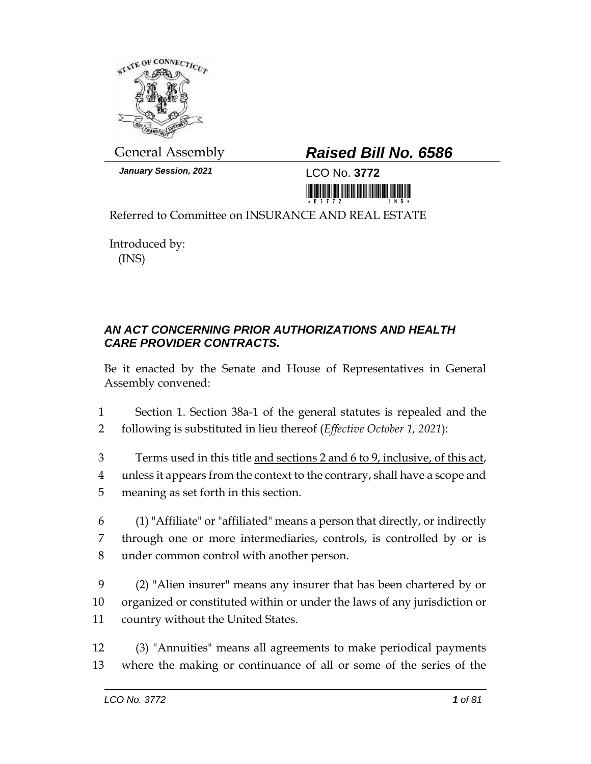

*January Session, 2021* LCO No. **3772**

## General Assembly *Raised Bill No. 6586*

<u> III maa kale kale ka siiraa ka siiraa ka siiraa ka siiraa ka siiraa ka siiraa ka siiraa ka siiraa ka siiraa k</u>

Referred to Committee on INSURANCE AND REAL ESTATE

Introduced by: (INS)

## *AN ACT CONCERNING PRIOR AUTHORIZATIONS AND HEALTH CARE PROVIDER CONTRACTS.*

Be it enacted by the Senate and House of Representatives in General Assembly convened:

1 Section 1. Section 38a-1 of the general statutes is repealed and the 2 following is substituted in lieu thereof (*Effective October 1, 2021*):

- 3 Terms used in this title and sections 2 and 6 to 9, inclusive, of this act, 4 unless it appears from the context to the contrary, shall have a scope and 5 meaning as set forth in this section.
- 6 (1) "Affiliate" or "affiliated" means a person that directly, or indirectly 7 through one or more intermediaries, controls, is controlled by or is 8 under common control with another person.
- 9 (2) "Alien insurer" means any insurer that has been chartered by or 10 organized or constituted within or under the laws of any jurisdiction or 11 country without the United States.
- 12 (3) "Annuities" means all agreements to make periodical payments 13 where the making or continuance of all or some of the series of the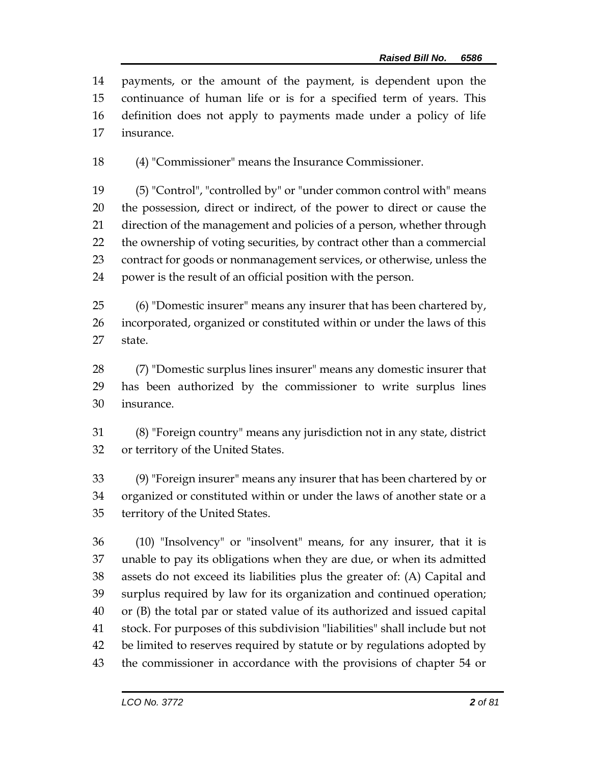payments, or the amount of the payment, is dependent upon the continuance of human life or is for a specified term of years. This definition does not apply to payments made under a policy of life insurance.

(4) "Commissioner" means the Insurance Commissioner.

 (5) "Control", "controlled by" or "under common control with" means the possession, direct or indirect, of the power to direct or cause the direction of the management and policies of a person, whether through the ownership of voting securities, by contract other than a commercial contract for goods or nonmanagement services, or otherwise, unless the power is the result of an official position with the person.

 (6) "Domestic insurer" means any insurer that has been chartered by, incorporated, organized or constituted within or under the laws of this state.

 (7) "Domestic surplus lines insurer" means any domestic insurer that has been authorized by the commissioner to write surplus lines insurance.

 (8) "Foreign country" means any jurisdiction not in any state, district or territory of the United States.

 (9) "Foreign insurer" means any insurer that has been chartered by or organized or constituted within or under the laws of another state or a territory of the United States.

 (10) "Insolvency" or "insolvent" means, for any insurer, that it is unable to pay its obligations when they are due, or when its admitted assets do not exceed its liabilities plus the greater of: (A) Capital and surplus required by law for its organization and continued operation; or (B) the total par or stated value of its authorized and issued capital stock. For purposes of this subdivision "liabilities" shall include but not be limited to reserves required by statute or by regulations adopted by the commissioner in accordance with the provisions of chapter 54 or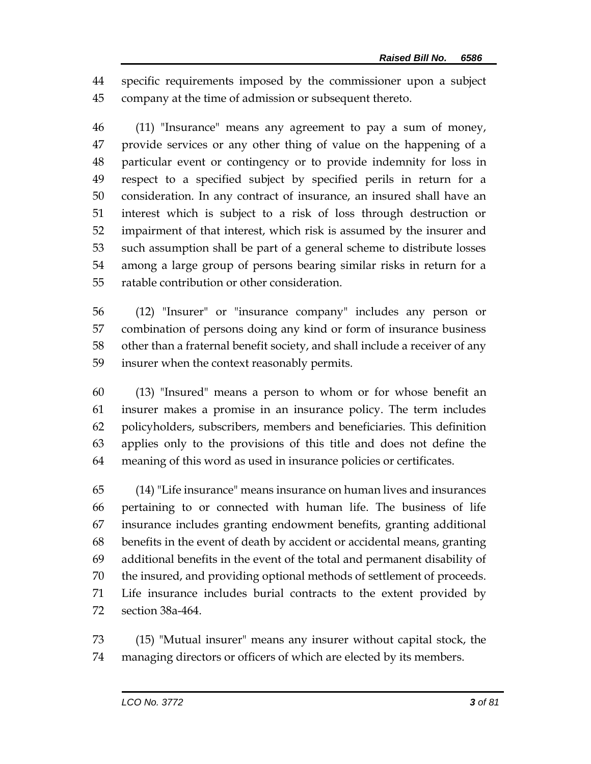specific requirements imposed by the commissioner upon a subject company at the time of admission or subsequent thereto.

 (11) "Insurance" means any agreement to pay a sum of money, provide services or any other thing of value on the happening of a particular event or contingency or to provide indemnity for loss in respect to a specified subject by specified perils in return for a consideration. In any contract of insurance, an insured shall have an interest which is subject to a risk of loss through destruction or impairment of that interest, which risk is assumed by the insurer and such assumption shall be part of a general scheme to distribute losses among a large group of persons bearing similar risks in return for a ratable contribution or other consideration.

 (12) "Insurer" or "insurance company" includes any person or combination of persons doing any kind or form of insurance business other than a fraternal benefit society, and shall include a receiver of any insurer when the context reasonably permits.

 (13) "Insured" means a person to whom or for whose benefit an insurer makes a promise in an insurance policy. The term includes policyholders, subscribers, members and beneficiaries. This definition applies only to the provisions of this title and does not define the meaning of this word as used in insurance policies or certificates.

 (14) "Life insurance" means insurance on human lives and insurances pertaining to or connected with human life. The business of life insurance includes granting endowment benefits, granting additional benefits in the event of death by accident or accidental means, granting additional benefits in the event of the total and permanent disability of the insured, and providing optional methods of settlement of proceeds. Life insurance includes burial contracts to the extent provided by section 38a-464.

 (15) "Mutual insurer" means any insurer without capital stock, the managing directors or officers of which are elected by its members.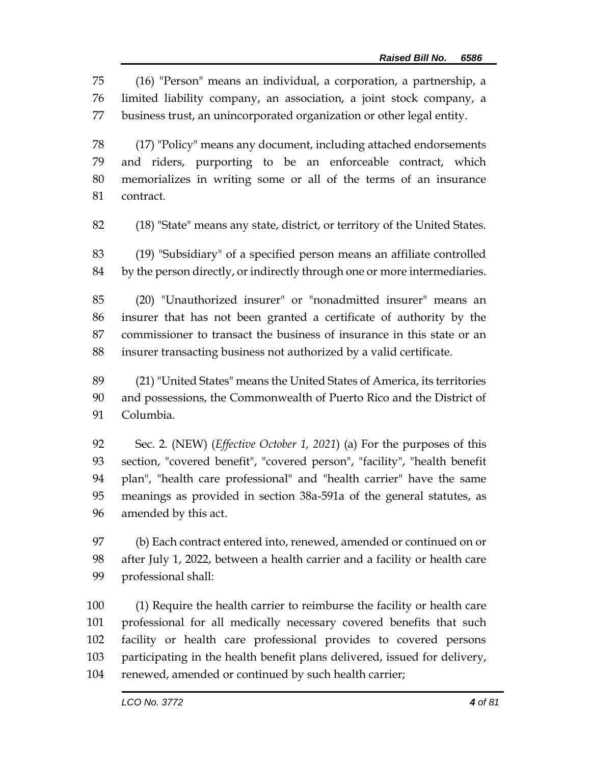(16) "Person" means an individual, a corporation, a partnership, a limited liability company, an association, a joint stock company, a business trust, an unincorporated organization or other legal entity.

 (17) "Policy" means any document, including attached endorsements and riders, purporting to be an enforceable contract, which memorializes in writing some or all of the terms of an insurance contract.

(18) "State" means any state, district, or territory of the United States.

 (19) "Subsidiary" of a specified person means an affiliate controlled by the person directly, or indirectly through one or more intermediaries.

 (20) "Unauthorized insurer" or "nonadmitted insurer" means an insurer that has not been granted a certificate of authority by the commissioner to transact the business of insurance in this state or an insurer transacting business not authorized by a valid certificate.

 (21) "United States" means the United States of America, its territories and possessions, the Commonwealth of Puerto Rico and the District of Columbia.

 Sec. 2. (NEW) (*Effective October 1, 2021*) (a) For the purposes of this section, "covered benefit", "covered person", "facility", "health benefit plan", "health care professional" and "health carrier" have the same meanings as provided in section 38a-591a of the general statutes, as amended by this act.

 (b) Each contract entered into, renewed, amended or continued on or after July 1, 2022, between a health carrier and a facility or health care professional shall:

 (1) Require the health carrier to reimburse the facility or health care professional for all medically necessary covered benefits that such facility or health care professional provides to covered persons participating in the health benefit plans delivered, issued for delivery, renewed, amended or continued by such health carrier;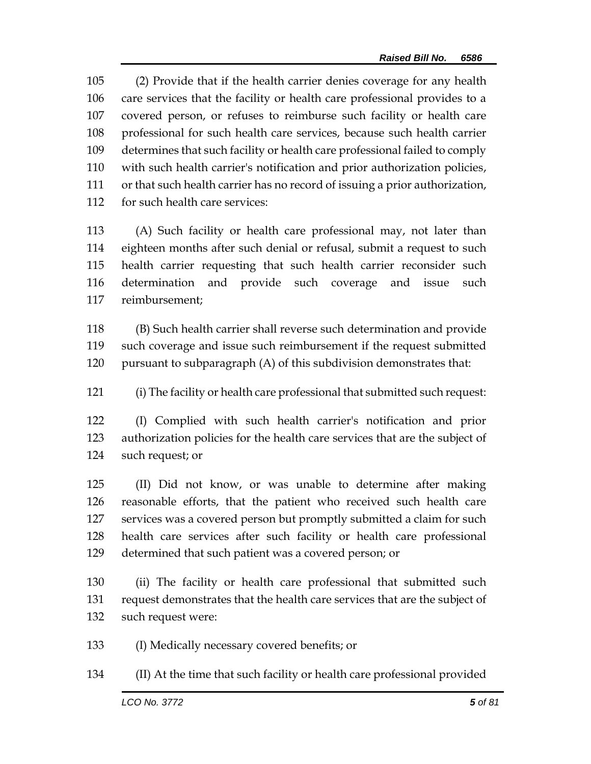(2) Provide that if the health carrier denies coverage for any health care services that the facility or health care professional provides to a covered person, or refuses to reimburse such facility or health care professional for such health care services, because such health carrier determines that such facility or health care professional failed to comply with such health carrier's notification and prior authorization policies, or that such health carrier has no record of issuing a prior authorization, for such health care services:

 (A) Such facility or health care professional may, not later than eighteen months after such denial or refusal, submit a request to such health carrier requesting that such health carrier reconsider such determination and provide such coverage and issue such reimbursement;

 (B) Such health carrier shall reverse such determination and provide such coverage and issue such reimbursement if the request submitted pursuant to subparagraph (A) of this subdivision demonstrates that:

(i) The facility or health care professional that submitted such request:

 (I) Complied with such health carrier's notification and prior authorization policies for the health care services that are the subject of such request; or

 (II) Did not know, or was unable to determine after making reasonable efforts, that the patient who received such health care services was a covered person but promptly submitted a claim for such health care services after such facility or health care professional determined that such patient was a covered person; or

 (ii) The facility or health care professional that submitted such request demonstrates that the health care services that are the subject of such request were:

(I) Medically necessary covered benefits; or

(II) At the time that such facility or health care professional provided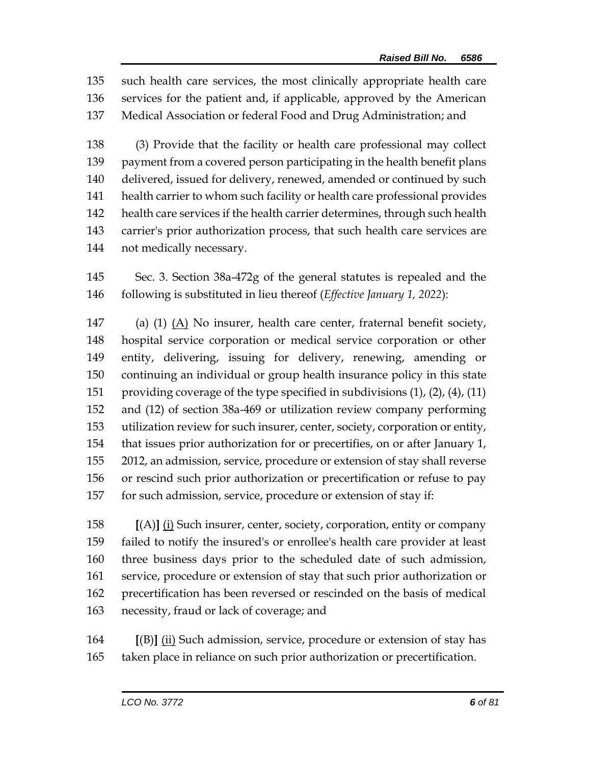such health care services, the most clinically appropriate health care services for the patient and, if applicable, approved by the American Medical Association or federal Food and Drug Administration; and

 (3) Provide that the facility or health care professional may collect 139 payment from a covered person participating in the health benefit plans delivered, issued for delivery, renewed, amended or continued by such health carrier to whom such facility or health care professional provides health care services if the health carrier determines, through such health carrier's prior authorization process, that such health care services are not medically necessary.

 Sec. 3. Section 38a-472g of the general statutes is repealed and the following is substituted in lieu thereof (*Effective January 1, 2022*):

 (a) (1) (A) No insurer, health care center, fraternal benefit society, hospital service corporation or medical service corporation or other entity, delivering, issuing for delivery, renewing, amending or continuing an individual or group health insurance policy in this state providing coverage of the type specified in subdivisions (1), (2), (4), (11) and (12) of section 38a-469 or utilization review company performing utilization review for such insurer, center, society, corporation or entity, that issues prior authorization for or precertifies, on or after January 1, 2012, an admission, service, procedure or extension of stay shall reverse or rescind such prior authorization or precertification or refuse to pay for such admission, service, procedure or extension of stay if:

 **[**(A)**]** (i) Such insurer, center, society, corporation, entity or company failed to notify the insured's or enrollee's health care provider at least three business days prior to the scheduled date of such admission, service, procedure or extension of stay that such prior authorization or precertification has been reversed or rescinded on the basis of medical necessity, fraud or lack of coverage; and

 **[**(B)**]** (ii) Such admission, service, procedure or extension of stay has taken place in reliance on such prior authorization or precertification.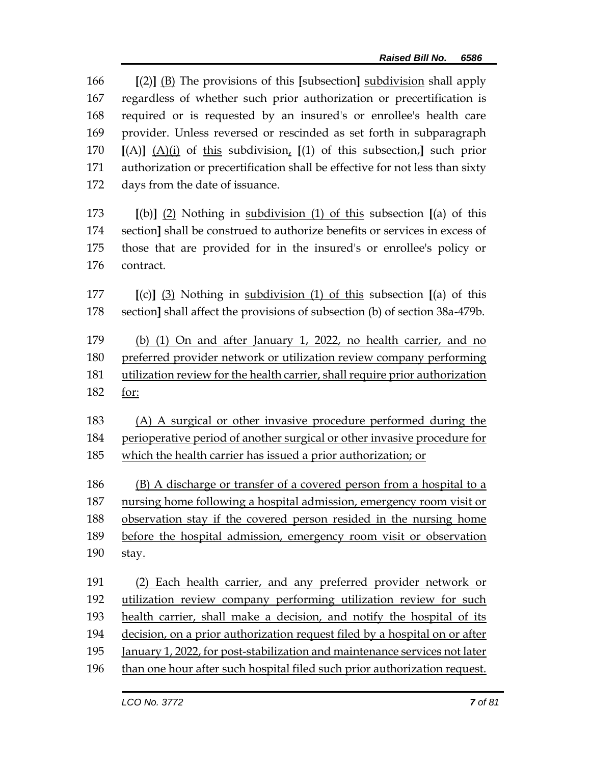**[**(2)**]** (B) The provisions of this **[**subsection**]** subdivision shall apply regardless of whether such prior authorization or precertification is required or is requested by an insured's or enrollee's health care provider. Unless reversed or rescinded as set forth in subparagraph **[**(A)**]** (A)(i) of this subdivision, **[**(1) of this subsection,**]** such prior authorization or precertification shall be effective for not less than sixty days from the date of issuance. **[**(b)**]** (2) Nothing in subdivision (1) of this subsection **[**(a) of this section**]** shall be construed to authorize benefits or services in excess of those that are provided for in the insured's or enrollee's policy or contract. **[**(c)**]** (3) Nothing in subdivision (1) of this subsection **[**(a) of this section**]** shall affect the provisions of subsection (b) of section 38a-479b. (b) (1) On and after January 1, 2022, no health carrier, and no preferred provider network or utilization review company performing utilization review for the health carrier, shall require prior authorization for: (A) A surgical or other invasive procedure performed during the perioperative period of another surgical or other invasive procedure for which the health carrier has issued a prior authorization; or (B) A discharge or transfer of a covered person from a hospital to a nursing home following a hospital admission, emergency room visit or observation stay if the covered person resided in the nursing home before the hospital admission, emergency room visit or observation stay. (2) Each health carrier, and any preferred provider network or utilization review company performing utilization review for such health carrier, shall make a decision, and notify the hospital of its decision, on a prior authorization request filed by a hospital on or after January 1, 2022, for post-stabilization and maintenance services not later than one hour after such hospital filed such prior authorization request.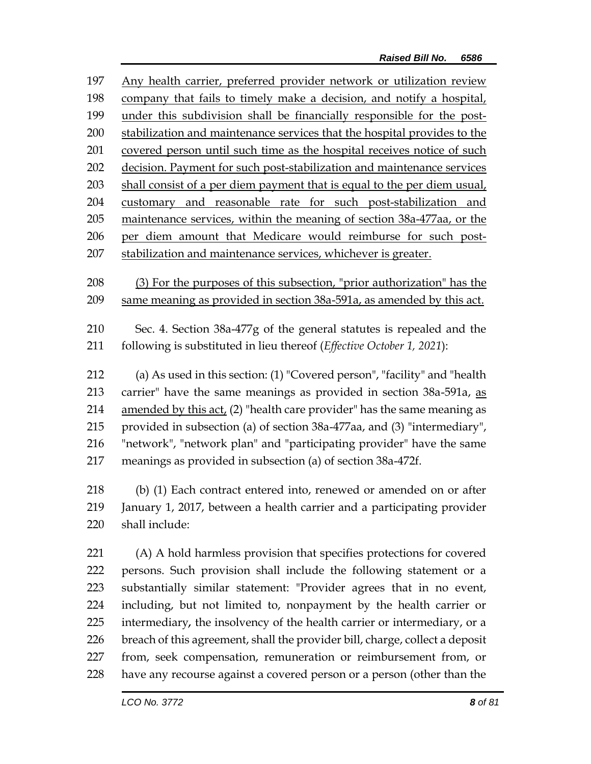| 197 | Any health carrier, preferred provider network or utilization review      |
|-----|---------------------------------------------------------------------------|
| 198 | company that fails to timely make a decision, and notify a hospital,      |
| 199 | under this subdivision shall be financially responsible for the post-     |
| 200 | stabilization and maintenance services that the hospital provides to the  |
| 201 | covered person until such time as the hospital receives notice of such    |
| 202 | decision. Payment for such post-stabilization and maintenance services    |
| 203 | shall consist of a per diem payment that is equal to the per diem usual,  |
| 204 | customary and reasonable rate for such post-stabilization and             |
| 205 | maintenance services, within the meaning of section 38a-477aa, or the     |
| 206 | per diem amount that Medicare would reimburse for such post-              |
| 207 | stabilization and maintenance services, whichever is greater.             |
|     |                                                                           |
| 208 | (3) For the purposes of this subsection, "prior authorization" has the    |
| 209 | same meaning as provided in section 38a-591a, as amended by this act.     |
| 210 | Sec. 4. Section 38a-477g of the general statutes is repealed and the      |
|     |                                                                           |
| 211 | following is substituted in lieu thereof (Effective October 1, 2021):     |
| 212 | (a) As used in this section: (1) "Covered person", "facility" and "health |
| 213 | carrier" have the same meanings as provided in section 38a-591a, as       |
| 214 | amended by this act, (2) "health care provider" has the same meaning as   |
| 215 | provided in subsection (a) of section 38a-477aa, and (3) "intermediary",  |
| 216 | "network", "network plan" and "participating provider" have the same      |
| 217 | meanings as provided in subsection (a) of section 38a-472f.               |
|     |                                                                           |
| 218 | (b) (1) Each contract entered into, renewed or amended on or after        |
| 219 | January 1, 2017, between a health carrier and a participating provider    |
| 220 | shall include:                                                            |
|     |                                                                           |
| 221 | (A) A hold harmless provision that specifies protections for covered      |
| 222 | persons. Such provision shall include the following statement or a        |
| 223 | substantially similar statement: "Provider agrees that in no event,       |
| 224 | including, but not limited to, nonpayment by the health carrier or        |
| 225 | intermediary, the insolvency of the health carrier or intermediary, or a  |

- 226 breach of this agreement, shall the provider bill, charge, collect a deposit 227 from, seek compensation, remuneration or reimbursement from, or
- 228 have any recourse against a covered person or a person (other than the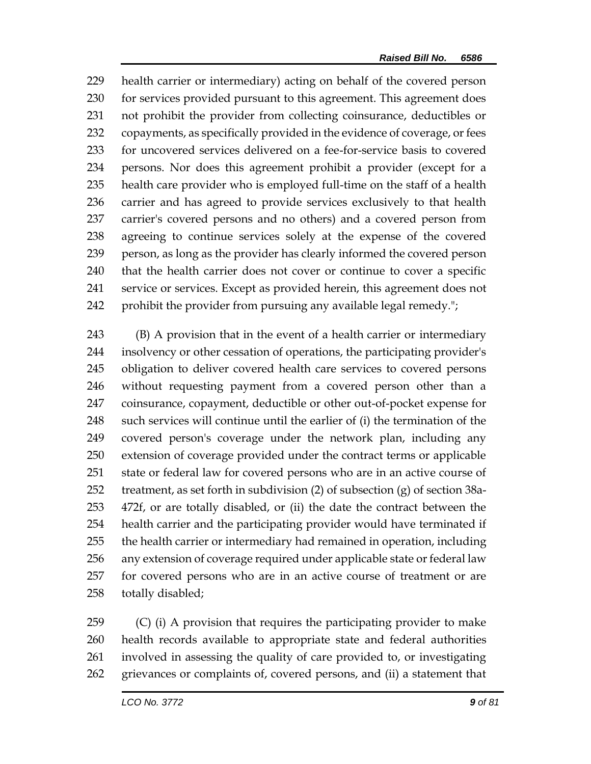health carrier or intermediary) acting on behalf of the covered person for services provided pursuant to this agreement. This agreement does not prohibit the provider from collecting coinsurance, deductibles or copayments, as specifically provided in the evidence of coverage, or fees for uncovered services delivered on a fee-for-service basis to covered persons. Nor does this agreement prohibit a provider (except for a health care provider who is employed full-time on the staff of a health carrier and has agreed to provide services exclusively to that health carrier's covered persons and no others) and a covered person from agreeing to continue services solely at the expense of the covered person, as long as the provider has clearly informed the covered person that the health carrier does not cover or continue to cover a specific service or services. Except as provided herein, this agreement does not prohibit the provider from pursuing any available legal remedy.";

 (B) A provision that in the event of a health carrier or intermediary insolvency or other cessation of operations, the participating provider's obligation to deliver covered health care services to covered persons without requesting payment from a covered person other than a coinsurance, copayment, deductible or other out-of-pocket expense for such services will continue until the earlier of (i) the termination of the covered person's coverage under the network plan, including any extension of coverage provided under the contract terms or applicable state or federal law for covered persons who are in an active course of treatment, as set forth in subdivision (2) of subsection (g) of section 38a- 472f, or are totally disabled, or (ii) the date the contract between the health carrier and the participating provider would have terminated if the health carrier or intermediary had remained in operation, including any extension of coverage required under applicable state or federal law for covered persons who are in an active course of treatment or are totally disabled;

 (C) (i) A provision that requires the participating provider to make health records available to appropriate state and federal authorities involved in assessing the quality of care provided to, or investigating grievances or complaints of, covered persons, and (ii) a statement that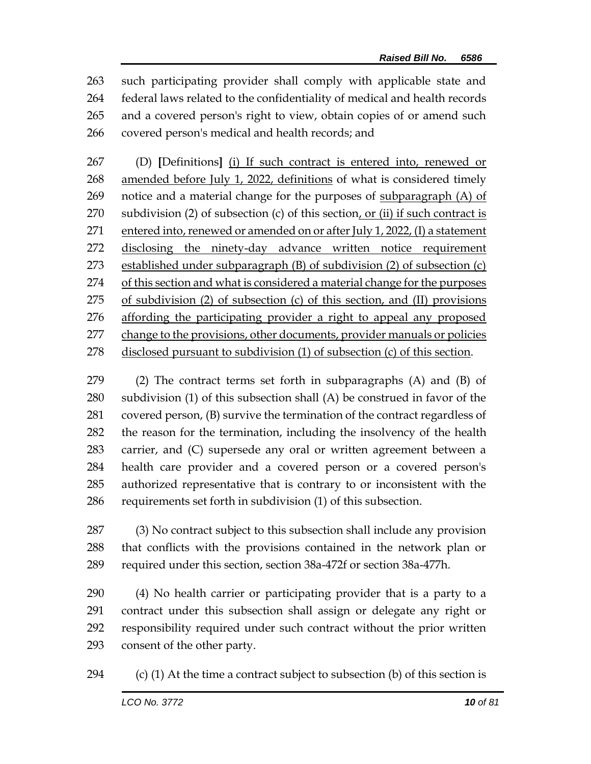such participating provider shall comply with applicable state and federal laws related to the confidentiality of medical and health records and a covered person's right to view, obtain copies of or amend such covered person's medical and health records; and

 (D) **[**Definitions**]** (i) If such contract is entered into, renewed or amended before July 1, 2022, definitions of what is considered timely 269 notice and a material change for the purposes of subparagraph  $(A)$  of subdivision (2) of subsection (c) of this section, or (ii) if such contract is entered into, renewed or amended on or after July 1, 2022, (I) a statement disclosing the ninety-day advance written notice requirement established under subparagraph (B) of subdivision (2) of subsection (c) of this section and what is considered a material change for the purposes of subdivision (2) of subsection (c) of this section, and (II) provisions affording the participating provider a right to appeal any proposed change to the provisions, other documents, provider manuals or policies disclosed pursuant to subdivision (1) of subsection (c) of this section.

 (2) The contract terms set forth in subparagraphs (A) and (B) of subdivision (1) of this subsection shall (A) be construed in favor of the covered person, (B) survive the termination of the contract regardless of the reason for the termination, including the insolvency of the health carrier, and (C) supersede any oral or written agreement between a health care provider and a covered person or a covered person's authorized representative that is contrary to or inconsistent with the requirements set forth in subdivision (1) of this subsection.

 (3) No contract subject to this subsection shall include any provision that conflicts with the provisions contained in the network plan or required under this section, section 38a-472f or section 38a-477h.

 (4) No health carrier or participating provider that is a party to a contract under this subsection shall assign or delegate any right or responsibility required under such contract without the prior written consent of the other party.

294 (c) (1) At the time a contract subject to subsection (b) of this section is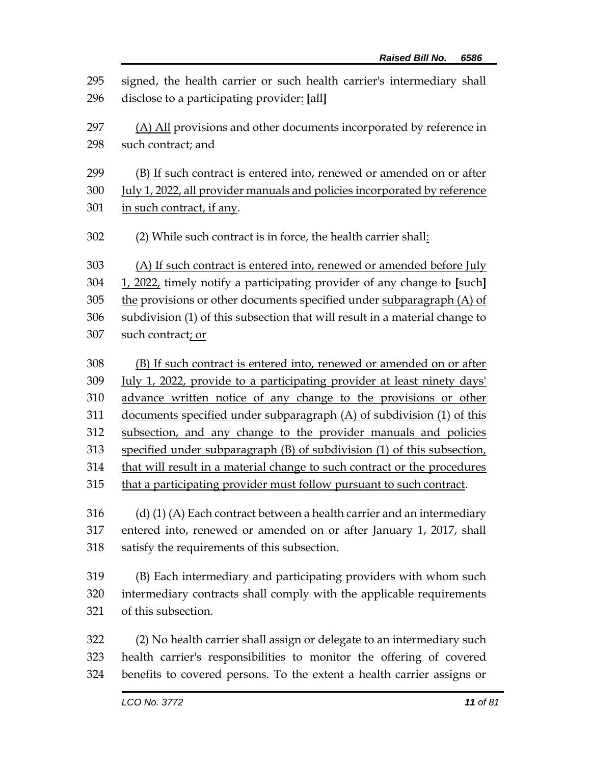signed, the health carrier or such health carrier's intermediary shall disclose to a participating provider: **[**all**]** (A) All provisions and other documents incorporated by reference in such contract; and (B) If such contract is entered into, renewed or amended on or after July 1, 2022, all provider manuals and policies incorporated by reference in such contract, if any. (2) While such contract is in force, the health carrier shall: (A) If such contract is entered into, renewed or amended before July 1, 2022, timely notify a participating provider of any change to **[**such**]** the provisions or other documents specified under subparagraph (A) of subdivision (1) of this subsection that will result in a material change to such contract; or (B) If such contract is entered into, renewed or amended on or after 309 July 1, 2022, provide to a participating provider at least ninety days' advance written notice of any change to the provisions or other documents specified under subparagraph (A) of subdivision (1) of this subsection, and any change to the provider manuals and policies specified under subparagraph (B) of subdivision (1) of this subsection, that will result in a material change to such contract or the procedures that a participating provider must follow pursuant to such contract. 316 (d) (1) (A) Each contract between a health carrier and an intermediary entered into, renewed or amended on or after January 1, 2017, shall satisfy the requirements of this subsection. (B) Each intermediary and participating providers with whom such intermediary contracts shall comply with the applicable requirements of this subsection. (2) No health carrier shall assign or delegate to an intermediary such health carrier's responsibilities to monitor the offering of covered benefits to covered persons. To the extent a health carrier assigns or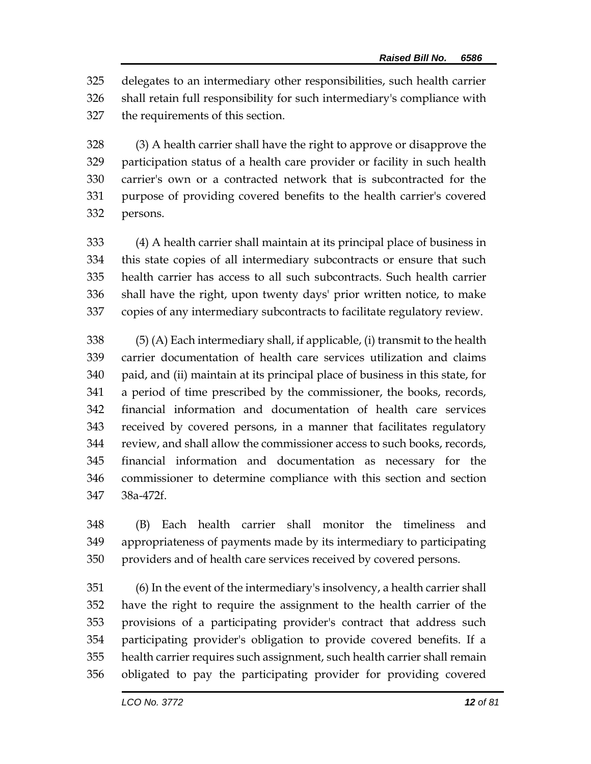delegates to an intermediary other responsibilities, such health carrier shall retain full responsibility for such intermediary's compliance with the requirements of this section.

 (3) A health carrier shall have the right to approve or disapprove the participation status of a health care provider or facility in such health carrier's own or a contracted network that is subcontracted for the purpose of providing covered benefits to the health carrier's covered persons.

 (4) A health carrier shall maintain at its principal place of business in this state copies of all intermediary subcontracts or ensure that such health carrier has access to all such subcontracts. Such health carrier shall have the right, upon twenty days' prior written notice, to make copies of any intermediary subcontracts to facilitate regulatory review.

 (5) (A) Each intermediary shall, if applicable, (i) transmit to the health carrier documentation of health care services utilization and claims paid, and (ii) maintain at its principal place of business in this state, for a period of time prescribed by the commissioner, the books, records, financial information and documentation of health care services received by covered persons, in a manner that facilitates regulatory review, and shall allow the commissioner access to such books, records, financial information and documentation as necessary for the commissioner to determine compliance with this section and section 38a-472f.

 (B) Each health carrier shall monitor the timeliness and appropriateness of payments made by its intermediary to participating providers and of health care services received by covered persons.

 (6) In the event of the intermediary's insolvency, a health carrier shall have the right to require the assignment to the health carrier of the provisions of a participating provider's contract that address such participating provider's obligation to provide covered benefits. If a health carrier requires such assignment, such health carrier shall remain obligated to pay the participating provider for providing covered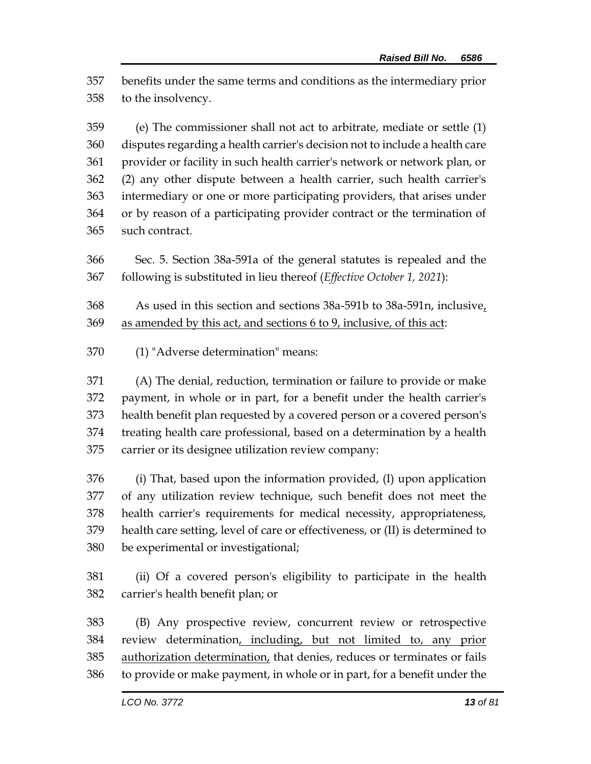benefits under the same terms and conditions as the intermediary prior to the insolvency.

 (e) The commissioner shall not act to arbitrate, mediate or settle (1) disputes regarding a health carrier's decision not to include a health care provider or facility in such health carrier's network or network plan, or (2) any other dispute between a health carrier, such health carrier's intermediary or one or more participating providers, that arises under or by reason of a participating provider contract or the termination of such contract.

 Sec. 5. Section 38a-591a of the general statutes is repealed and the following is substituted in lieu thereof (*Effective October 1, 2021*):

 As used in this section and sections 38a-591b to 38a-591n, inclusive, as amended by this act, and sections 6 to 9, inclusive, of this act:

(1) "Adverse determination" means:

 (A) The denial, reduction, termination or failure to provide or make payment, in whole or in part, for a benefit under the health carrier's health benefit plan requested by a covered person or a covered person's treating health care professional, based on a determination by a health carrier or its designee utilization review company:

 (i) That, based upon the information provided, (I) upon application of any utilization review technique, such benefit does not meet the health carrier's requirements for medical necessity, appropriateness, health care setting, level of care or effectiveness, or (II) is determined to be experimental or investigational;

 (ii) Of a covered person's eligibility to participate in the health carrier's health benefit plan; or

 (B) Any prospective review, concurrent review or retrospective review determination, including, but not limited to, any prior 385 authorization determination, that denies, reduces or terminates or fails to provide or make payment, in whole or in part, for a benefit under the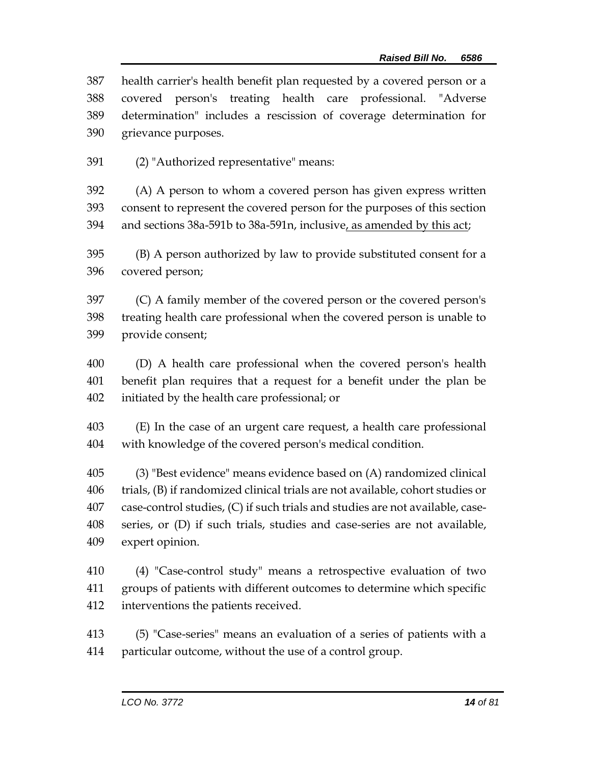health carrier's health benefit plan requested by a covered person or a covered person's treating health care professional. "Adverse determination" includes a rescission of coverage determination for grievance purposes.

(2) "Authorized representative" means:

 (A) A person to whom a covered person has given express written consent to represent the covered person for the purposes of this section 394 and sections 38a-591b to 38a-591n, inclusive, as amended by this act;

 (B) A person authorized by law to provide substituted consent for a covered person;

 (C) A family member of the covered person or the covered person's treating health care professional when the covered person is unable to provide consent;

 (D) A health care professional when the covered person's health benefit plan requires that a request for a benefit under the plan be initiated by the health care professional; or

 (E) In the case of an urgent care request, a health care professional with knowledge of the covered person's medical condition.

 (3) "Best evidence" means evidence based on (A) randomized clinical trials, (B) if randomized clinical trials are not available, cohort studies or case-control studies, (C) if such trials and studies are not available, case- series, or (D) if such trials, studies and case-series are not available, expert opinion.

 (4) "Case-control study" means a retrospective evaluation of two groups of patients with different outcomes to determine which specific interventions the patients received.

 (5) "Case-series" means an evaluation of a series of patients with a particular outcome, without the use of a control group.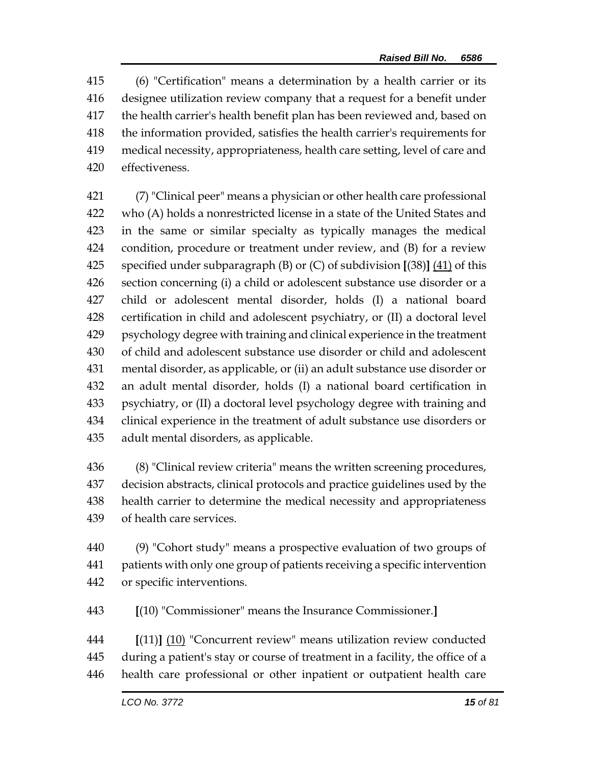(6) "Certification" means a determination by a health carrier or its designee utilization review company that a request for a benefit under the health carrier's health benefit plan has been reviewed and, based on the information provided, satisfies the health carrier's requirements for medical necessity, appropriateness, health care setting, level of care and effectiveness.

 (7) "Clinical peer" means a physician or other health care professional who (A) holds a nonrestricted license in a state of the United States and in the same or similar specialty as typically manages the medical condition, procedure or treatment under review, and (B) for a review specified under subparagraph (B) or (C) of subdivision **[**(38)**]** (41) of this section concerning (i) a child or adolescent substance use disorder or a child or adolescent mental disorder, holds (I) a national board certification in child and adolescent psychiatry, or (II) a doctoral level psychology degree with training and clinical experience in the treatment of child and adolescent substance use disorder or child and adolescent mental disorder, as applicable, or (ii) an adult substance use disorder or an adult mental disorder, holds (I) a national board certification in psychiatry, or (II) a doctoral level psychology degree with training and clinical experience in the treatment of adult substance use disorders or adult mental disorders, as applicable.

 (8) "Clinical review criteria" means the written screening procedures, decision abstracts, clinical protocols and practice guidelines used by the health carrier to determine the medical necessity and appropriateness of health care services.

 (9) "Cohort study" means a prospective evaluation of two groups of patients with only one group of patients receiving a specific intervention or specific interventions.

**[**(10) "Commissioner" means the Insurance Commissioner.**]**

 **[**(11)**]** (10) "Concurrent review" means utilization review conducted during a patient's stay or course of treatment in a facility, the office of a health care professional or other inpatient or outpatient health care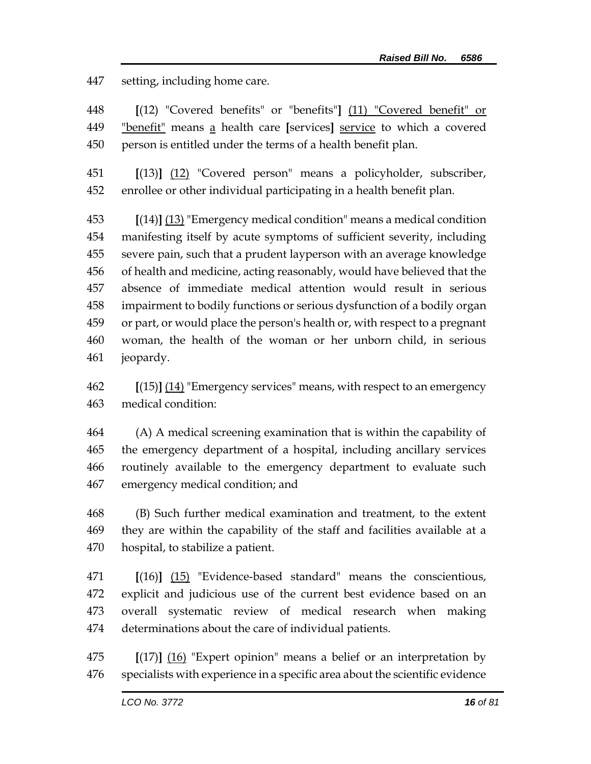setting, including home care.

 **[**(12) "Covered benefits" or "benefits"**]** (11) "Covered benefit" or "benefit" means a health care **[**services**]** service to which a covered person is entitled under the terms of a health benefit plan.

 **[**(13)**]** (12) "Covered person" means a policyholder, subscriber, enrollee or other individual participating in a health benefit plan.

 **[**(14)**]** (13) "Emergency medical condition" means a medical condition manifesting itself by acute symptoms of sufficient severity, including severe pain, such that a prudent layperson with an average knowledge of health and medicine, acting reasonably, would have believed that the absence of immediate medical attention would result in serious impairment to bodily functions or serious dysfunction of a bodily organ or part, or would place the person's health or, with respect to a pregnant woman, the health of the woman or her unborn child, in serious jeopardy.

 **[**(15)**]** (14) "Emergency services" means, with respect to an emergency medical condition:

 (A) A medical screening examination that is within the capability of the emergency department of a hospital, including ancillary services routinely available to the emergency department to evaluate such emergency medical condition; and

 (B) Such further medical examination and treatment, to the extent they are within the capability of the staff and facilities available at a hospital, to stabilize a patient.

 **[**(16)**]** (15) "Evidence-based standard" means the conscientious, explicit and judicious use of the current best evidence based on an overall systematic review of medical research when making determinations about the care of individual patients.

 **[**(17)**]** (16) "Expert opinion" means a belief or an interpretation by specialists with experience in a specific area about the scientific evidence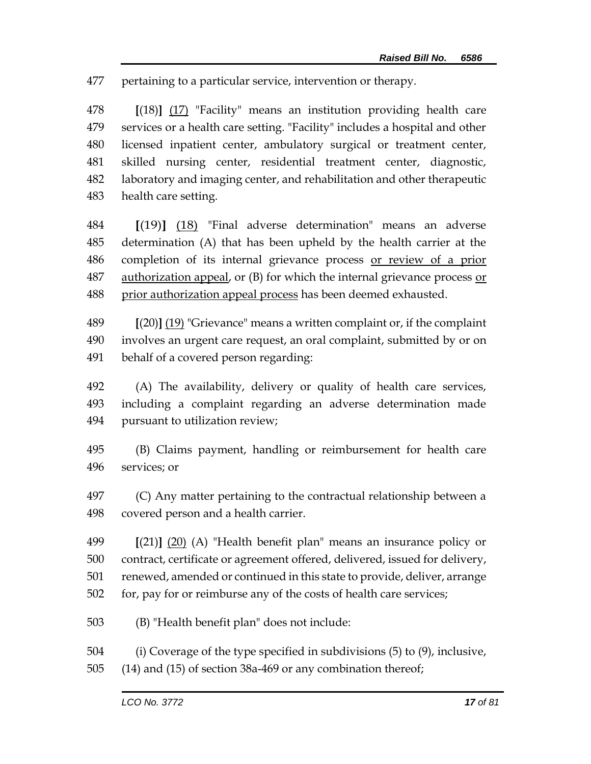pertaining to a particular service, intervention or therapy.

 **[**(18)**]** (17) "Facility" means an institution providing health care services or a health care setting. "Facility" includes a hospital and other licensed inpatient center, ambulatory surgical or treatment center, skilled nursing center, residential treatment center, diagnostic, laboratory and imaging center, and rehabilitation and other therapeutic health care setting.

 **[**(19)**]** (18) "Final adverse determination" means an adverse determination (A) that has been upheld by the health carrier at the completion of its internal grievance process or review of a prior authorization appeal, or (B) for which the internal grievance process or prior authorization appeal process has been deemed exhausted.

 **[**(20)**]** (19) "Grievance" means a written complaint or, if the complaint involves an urgent care request, an oral complaint, submitted by or on behalf of a covered person regarding:

 (A) The availability, delivery or quality of health care services, including a complaint regarding an adverse determination made pursuant to utilization review;

 (B) Claims payment, handling or reimbursement for health care services; or

 (C) Any matter pertaining to the contractual relationship between a covered person and a health carrier.

 **[**(21)**]** (20) (A) "Health benefit plan" means an insurance policy or contract, certificate or agreement offered, delivered, issued for delivery, renewed, amended or continued in this state to provide, deliver, arrange for, pay for or reimburse any of the costs of health care services;

(B) "Health benefit plan" does not include:

(i) Coverage of the type specified in subdivisions (5) to (9), inclusive,

(14) and (15) of section 38a-469 or any combination thereof;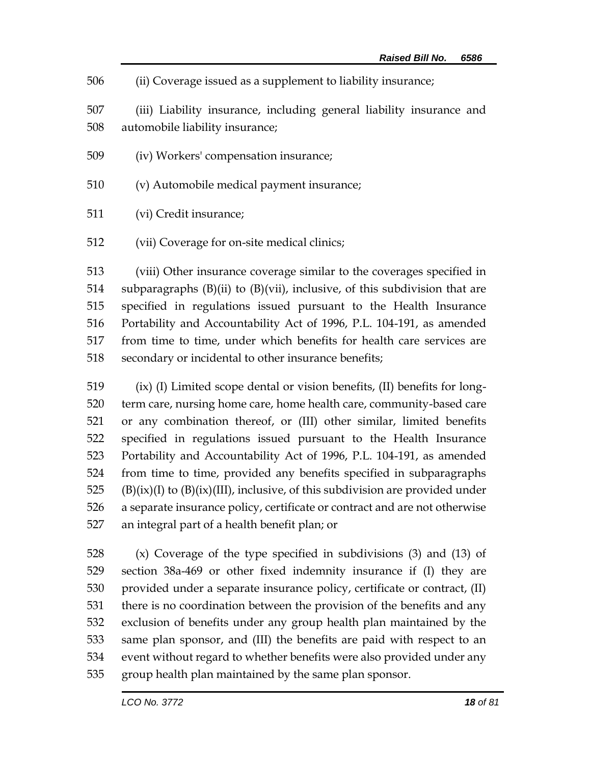| 506 |  |  | (ii) Coverage issued as a supplement to liability insurance; |  |  |
|-----|--|--|--------------------------------------------------------------|--|--|
|     |  |  |                                                              |  |  |

 (iii) Liability insurance, including general liability insurance and automobile liability insurance;

- (iv) Workers' compensation insurance;
- (v) Automobile medical payment insurance;
- (vi) Credit insurance;
- (vii) Coverage for on-site medical clinics;

 (viii) Other insurance coverage similar to the coverages specified in 514 subparagraphs  $(B)(ii)$  to  $(B)(vii)$ , inclusive, of this subdivision that are specified in regulations issued pursuant to the Health Insurance Portability and Accountability Act of 1996, P.L. 104-191, as amended from time to time, under which benefits for health care services are secondary or incidental to other insurance benefits;

 (ix) (I) Limited scope dental or vision benefits, (II) benefits for long- term care, nursing home care, home health care, community-based care or any combination thereof, or (III) other similar, limited benefits specified in regulations issued pursuant to the Health Insurance Portability and Accountability Act of 1996, P.L. 104-191, as amended from time to time, provided any benefits specified in subparagraphs 525 (B)(ix)(I) to  $(B)(ix)(III)$ , inclusive, of this subdivision are provided under a separate insurance policy, certificate or contract and are not otherwise an integral part of a health benefit plan; or

 (x) Coverage of the type specified in subdivisions (3) and (13) of section 38a-469 or other fixed indemnity insurance if (I) they are provided under a separate insurance policy, certificate or contract, (II) there is no coordination between the provision of the benefits and any exclusion of benefits under any group health plan maintained by the same plan sponsor, and (III) the benefits are paid with respect to an event without regard to whether benefits were also provided under any group health plan maintained by the same plan sponsor.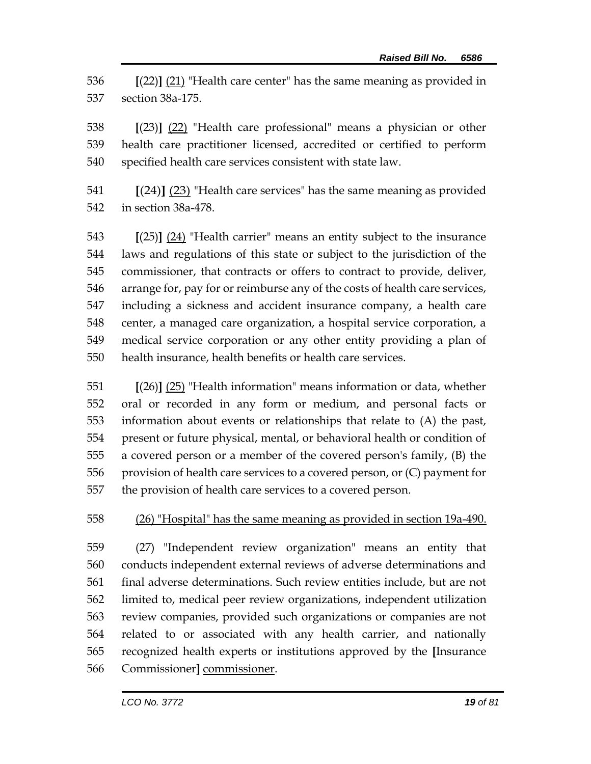**[**(22)**]** (21) "Health care center" has the same meaning as provided in section 38a-175.

 **[**(23)**]** (22) "Health care professional" means a physician or other health care practitioner licensed, accredited or certified to perform specified health care services consistent with state law.

 **[**(24)**]** (23) "Health care services" has the same meaning as provided in section 38a-478.

 **[**(25)**]** (24) "Health carrier" means an entity subject to the insurance laws and regulations of this state or subject to the jurisdiction of the commissioner, that contracts or offers to contract to provide, deliver, arrange for, pay for or reimburse any of the costs of health care services, including a sickness and accident insurance company, a health care center, a managed care organization, a hospital service corporation, a medical service corporation or any other entity providing a plan of health insurance, health benefits or health care services.

 **[**(26)**]** (25) "Health information" means information or data, whether oral or recorded in any form or medium, and personal facts or information about events or relationships that relate to (A) the past, present or future physical, mental, or behavioral health or condition of a covered person or a member of the covered person's family, (B) the provision of health care services to a covered person, or (C) payment for the provision of health care services to a covered person.

(26) "Hospital" has the same meaning as provided in section 19a-490.

 (27) "Independent review organization" means an entity that conducts independent external reviews of adverse determinations and final adverse determinations. Such review entities include, but are not limited to, medical peer review organizations, independent utilization review companies, provided such organizations or companies are not related to or associated with any health carrier, and nationally recognized health experts or institutions approved by the **[**Insurance Commissioner**]** commissioner.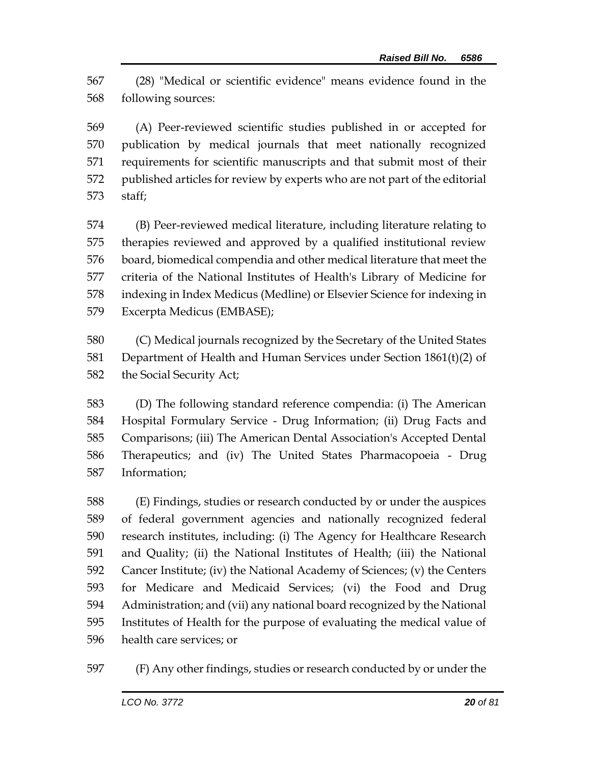(28) "Medical or scientific evidence" means evidence found in the following sources:

 (A) Peer-reviewed scientific studies published in or accepted for publication by medical journals that meet nationally recognized requirements for scientific manuscripts and that submit most of their published articles for review by experts who are not part of the editorial staff;

 (B) Peer-reviewed medical literature, including literature relating to therapies reviewed and approved by a qualified institutional review board, biomedical compendia and other medical literature that meet the criteria of the National Institutes of Health's Library of Medicine for indexing in Index Medicus (Medline) or Elsevier Science for indexing in Excerpta Medicus (EMBASE);

 (C) Medical journals recognized by the Secretary of the United States Department of Health and Human Services under Section 1861(t)(2) of the Social Security Act;

 (D) The following standard reference compendia: (i) The American Hospital Formulary Service - Drug Information; (ii) Drug Facts and Comparisons; (iii) The American Dental Association's Accepted Dental Therapeutics; and (iv) The United States Pharmacopoeia - Drug Information;

 (E) Findings, studies or research conducted by or under the auspices of federal government agencies and nationally recognized federal research institutes, including: (i) The Agency for Healthcare Research and Quality; (ii) the National Institutes of Health; (iii) the National Cancer Institute; (iv) the National Academy of Sciences; (v) the Centers for Medicare and Medicaid Services; (vi) the Food and Drug Administration; and (vii) any national board recognized by the National Institutes of Health for the purpose of evaluating the medical value of health care services; or

(F) Any other findings, studies or research conducted by or under the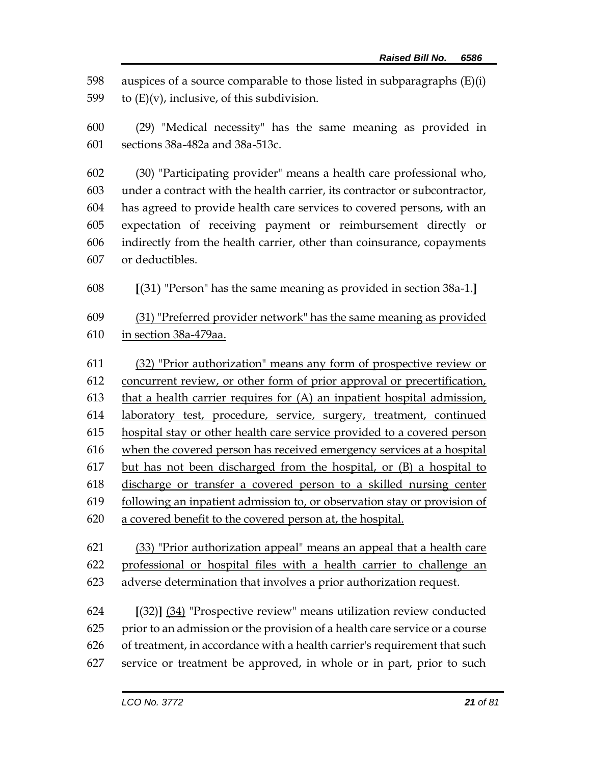598 auspices of a source comparable to those listed in subparagraphs  $(E)(i)$ 599 to  $(E)(v)$ , inclusive, of this subdivision.

 (29) "Medical necessity" has the same meaning as provided in sections 38a-482a and 38a-513c.

 (30) "Participating provider" means a health care professional who, under a contract with the health carrier, its contractor or subcontractor, has agreed to provide health care services to covered persons, with an expectation of receiving payment or reimbursement directly or indirectly from the health carrier, other than coinsurance, copayments or deductibles.

**[**(31) "Person" has the same meaning as provided in section 38a-1.**]**

 (31) "Preferred provider network" has the same meaning as provided in section 38a-479aa.

 (32) "Prior authorization" means any form of prospective review or concurrent review, or other form of prior approval or precertification, that a health carrier requires for (A) an inpatient hospital admission, laboratory test, procedure, service, surgery, treatment, continued hospital stay or other health care service provided to a covered person when the covered person has received emergency services at a hospital but has not been discharged from the hospital, or (B) a hospital to discharge or transfer a covered person to a skilled nursing center following an inpatient admission to, or observation stay or provision of a covered benefit to the covered person at, the hospital.

 (33) "Prior authorization appeal" means an appeal that a health care professional or hospital files with a health carrier to challenge an adverse determination that involves a prior authorization request.

 **[**(32)**]** (34) "Prospective review" means utilization review conducted prior to an admission or the provision of a health care service or a course of treatment, in accordance with a health carrier's requirement that such service or treatment be approved, in whole or in part, prior to such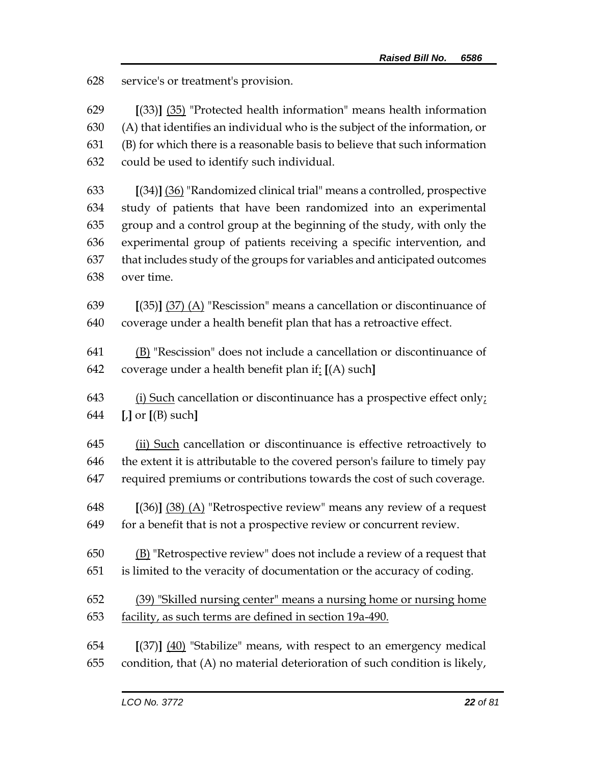service's or treatment's provision.

 **[**(33)**]** (35) "Protected health information" means health information (A) that identifies an individual who is the subject of the information, or (B) for which there is a reasonable basis to believe that such information could be used to identify such individual.

 **[**(34)**]** (36) "Randomized clinical trial" means a controlled, prospective study of patients that have been randomized into an experimental group and a control group at the beginning of the study, with only the experimental group of patients receiving a specific intervention, and that includes study of the groups for variables and anticipated outcomes over time.

 **[**(35)**]** (37) (A) "Rescission" means a cancellation or discontinuance of coverage under a health benefit plan that has a retroactive effect.

 (B) "Rescission" does not include a cancellation or discontinuance of coverage under a health benefit plan if: **[**(A) such**]**

 (i) Such cancellation or discontinuance has a prospective effect only; **[**,**]** or **[**(B) such**]**

645 (ii) Such cancellation or discontinuance is effective retroactively to the extent it is attributable to the covered person's failure to timely pay required premiums or contributions towards the cost of such coverage.

 **[**(36)**]** (38) (A) "Retrospective review" means any review of a request for a benefit that is not a prospective review or concurrent review.

 (B) "Retrospective review" does not include a review of a request that is limited to the veracity of documentation or the accuracy of coding.

 (39) "Skilled nursing center" means a nursing home or nursing home facility, as such terms are defined in section 19a-490.

 **[**(37)**]** (40) "Stabilize" means, with respect to an emergency medical condition, that (A) no material deterioration of such condition is likely,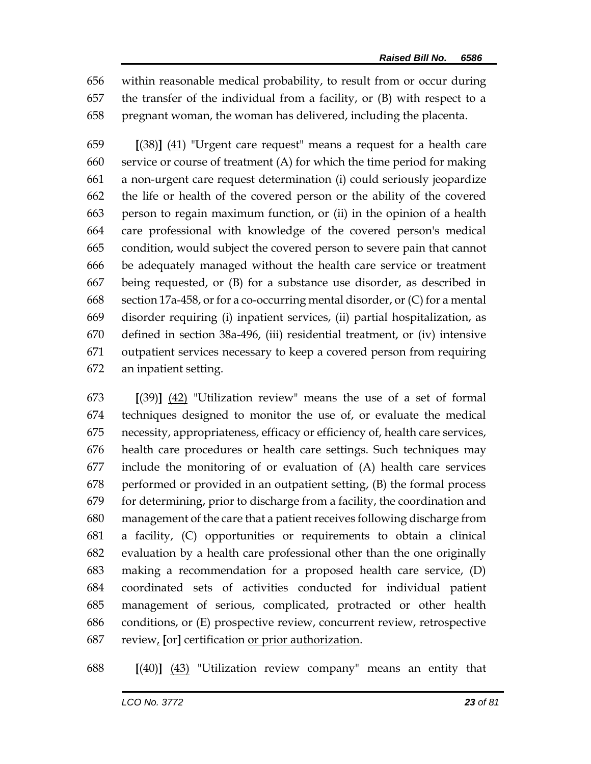within reasonable medical probability, to result from or occur during the transfer of the individual from a facility, or (B) with respect to a pregnant woman, the woman has delivered, including the placenta.

 **[**(38)**]** (41) "Urgent care request" means a request for a health care service or course of treatment (A) for which the time period for making a non-urgent care request determination (i) could seriously jeopardize the life or health of the covered person or the ability of the covered person to regain maximum function, or (ii) in the opinion of a health care professional with knowledge of the covered person's medical condition, would subject the covered person to severe pain that cannot be adequately managed without the health care service or treatment being requested, or (B) for a substance use disorder, as described in section 17a-458, or for a co-occurring mental disorder, or (C) for a mental disorder requiring (i) inpatient services, (ii) partial hospitalization, as defined in section 38a-496, (iii) residential treatment, or (iv) intensive outpatient services necessary to keep a covered person from requiring an inpatient setting.

 **[**(39)**]** (42) "Utilization review" means the use of a set of formal techniques designed to monitor the use of, or evaluate the medical necessity, appropriateness, efficacy or efficiency of, health care services, health care procedures or health care settings. Such techniques may include the monitoring of or evaluation of (A) health care services performed or provided in an outpatient setting, (B) the formal process for determining, prior to discharge from a facility, the coordination and management of the care that a patient receives following discharge from a facility, (C) opportunities or requirements to obtain a clinical evaluation by a health care professional other than the one originally making a recommendation for a proposed health care service, (D) coordinated sets of activities conducted for individual patient management of serious, complicated, protracted or other health conditions, or (E) prospective review, concurrent review, retrospective review, **[**or**]** certification or prior authorization.

**[**(40)**]** (43) "Utilization review company" means an entity that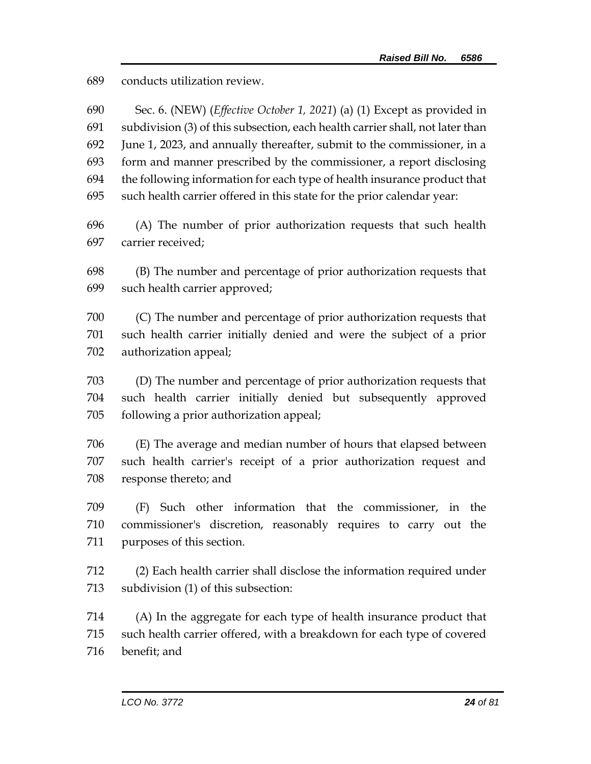conducts utilization review.

| 690        | Sec. 6. (NEW) ( <i>Effective October 1, 2021</i> ) (a) (1) Except as provided in                                                                         |
|------------|----------------------------------------------------------------------------------------------------------------------------------------------------------|
| 691<br>692 | subdivision (3) of this subsection, each health carrier shall, not later than<br>June 1, 2023, and annually thereafter, submit to the commissioner, in a |
| 693        | form and manner prescribed by the commissioner, a report disclosing                                                                                      |
| 694        | the following information for each type of health insurance product that                                                                                 |
| 695        | such health carrier offered in this state for the prior calendar year:                                                                                   |
| 696        | (A) The number of prior authorization requests that such health                                                                                          |
| 697        | carrier received;                                                                                                                                        |
| 698        | (B) The number and percentage of prior authorization requests that                                                                                       |
| 699        | such health carrier approved;                                                                                                                            |
| 700        | (C) The number and percentage of prior authorization requests that                                                                                       |
| 701        | such health carrier initially denied and were the subject of a prior                                                                                     |
| 702        | authorization appeal;                                                                                                                                    |
| 703        | (D) The number and percentage of prior authorization requests that                                                                                       |
| 704        | such health carrier initially denied but subsequently approved                                                                                           |
| 705        | following a prior authorization appeal;                                                                                                                  |
| 706        | (E) The average and median number of hours that elapsed between                                                                                          |
| 707        | such health carrier's receipt of a prior authorization request and                                                                                       |
| 708        | response thereto; and                                                                                                                                    |
| 709        | (F) Such other information that the commissioner, in the                                                                                                 |
| 710        | commissioner's discretion, reasonably requires to carry out the                                                                                          |
| 711        | purposes of this section.                                                                                                                                |
| 712        | (2) Each health carrier shall disclose the information required under                                                                                    |
| 713        | subdivision (1) of this subsection:                                                                                                                      |
| 714        | (A) In the aggregate for each type of health insurance product that                                                                                      |
| 715        | such health carrier offered, with a breakdown for each type of covered                                                                                   |
| 716        | benefit; and                                                                                                                                             |
|            |                                                                                                                                                          |
|            | LCO No. 3772<br>24 of 81                                                                                                                                 |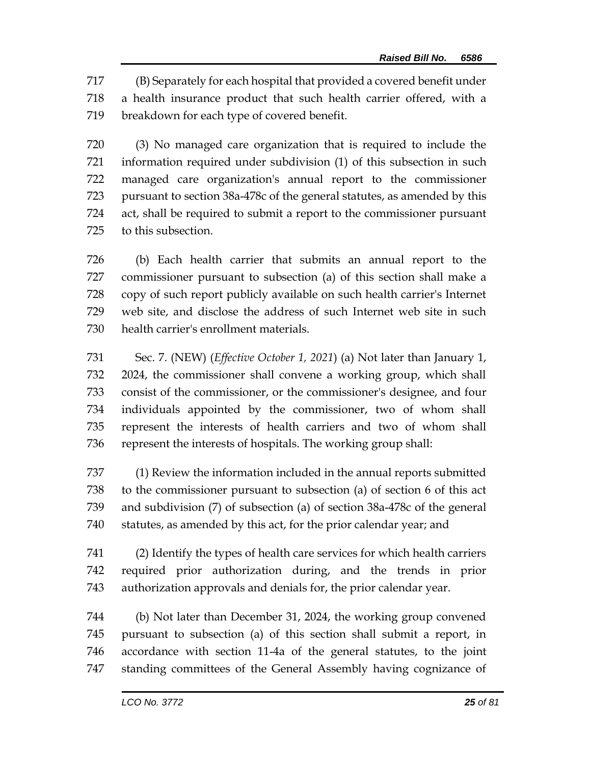(B) Separately for each hospital that provided a covered benefit under a health insurance product that such health carrier offered, with a breakdown for each type of covered benefit.

 (3) No managed care organization that is required to include the information required under subdivision (1) of this subsection in such managed care organization's annual report to the commissioner pursuant to section 38a-478c of the general statutes, as amended by this act, shall be required to submit a report to the commissioner pursuant to this subsection.

 (b) Each health carrier that submits an annual report to the commissioner pursuant to subsection (a) of this section shall make a copy of such report publicly available on such health carrier's Internet web site, and disclose the address of such Internet web site in such health carrier's enrollment materials.

 Sec. 7. (NEW) (*Effective October 1, 2021*) (a) Not later than January 1, 2024, the commissioner shall convene a working group, which shall consist of the commissioner, or the commissioner's designee, and four individuals appointed by the commissioner, two of whom shall represent the interests of health carriers and two of whom shall represent the interests of hospitals. The working group shall:

 (1) Review the information included in the annual reports submitted to the commissioner pursuant to subsection (a) of section 6 of this act and subdivision (7) of subsection (a) of section 38a-478c of the general statutes, as amended by this act, for the prior calendar year; and

 (2) Identify the types of health care services for which health carriers required prior authorization during, and the trends in prior authorization approvals and denials for, the prior calendar year.

 (b) Not later than December 31, 2024, the working group convened pursuant to subsection (a) of this section shall submit a report, in accordance with section 11-4a of the general statutes, to the joint standing committees of the General Assembly having cognizance of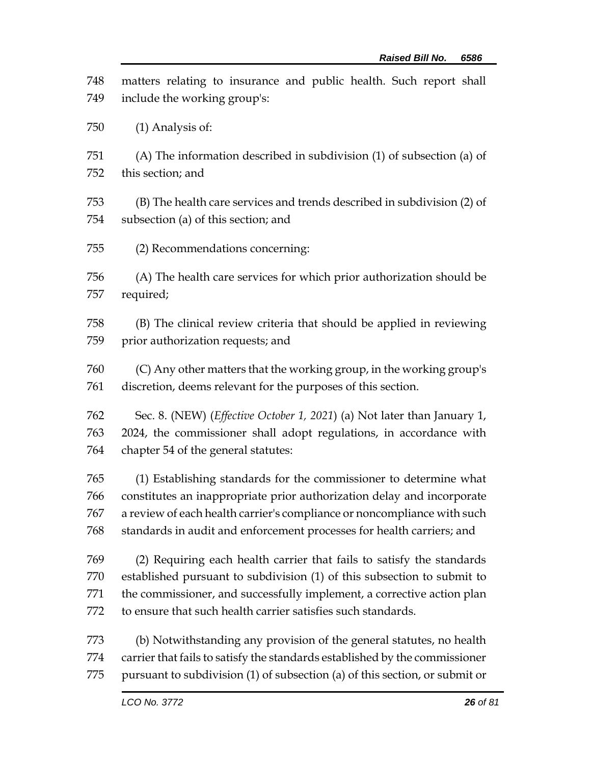| 748               | matters relating to insurance and public health. Such report shall                                                                                  |
|-------------------|-----------------------------------------------------------------------------------------------------------------------------------------------------|
| 749               | include the working group's:                                                                                                                        |
| 750               | $(1)$ Analysis of:                                                                                                                                  |
| 751               | (A) The information described in subdivision (1) of subsection (a) of                                                                               |
| 752               | this section; and                                                                                                                                   |
| 753               | (B) The health care services and trends described in subdivision (2) of                                                                             |
| 754               | subsection (a) of this section; and                                                                                                                 |
| 755               | (2) Recommendations concerning:                                                                                                                     |
| 756               | (A) The health care services for which prior authorization should be                                                                                |
| 757               | required;                                                                                                                                           |
| 758               | (B) The clinical review criteria that should be applied in reviewing                                                                                |
| 759               | prior authorization requests; and                                                                                                                   |
| 760               | (C) Any other matters that the working group, in the working group's                                                                                |
| 761               | discretion, deems relevant for the purposes of this section.                                                                                        |
| 762               | Sec. 8. (NEW) ( <i>Effective October 1, 2021</i> ) (a) Not later than January 1,                                                                    |
| 763               | 2024, the commissioner shall adopt regulations, in accordance with                                                                                  |
| 764               | chapter 54 of the general statutes:                                                                                                                 |
| 765               | (1) Establishing standards for the commissioner to determine what                                                                                   |
| 766               | constitutes an inappropriate prior authorization delay and incorporate                                                                              |
| 767               | a review of each health carrier's compliance or noncompliance with such                                                                             |
| 768               | standards in audit and enforcement processes for health carriers; and                                                                               |
| 769               | (2) Requiring each health carrier that fails to satisfy the standards                                                                               |
| 770               | established pursuant to subdivision (1) of this subsection to submit to                                                                             |
| 771               | the commissioner, and successfully implement, a corrective action plan                                                                              |
| 772               | to ensure that such health carrier satisfies such standards.                                                                                        |
| 773<br>774<br>775 | (b) Notwithstanding any provision of the general statutes, no health<br>carrier that fails to satisfy the standards established by the commissioner |
|                   | pursuant to subdivision (1) of subsection (a) of this section, or submit or                                                                         |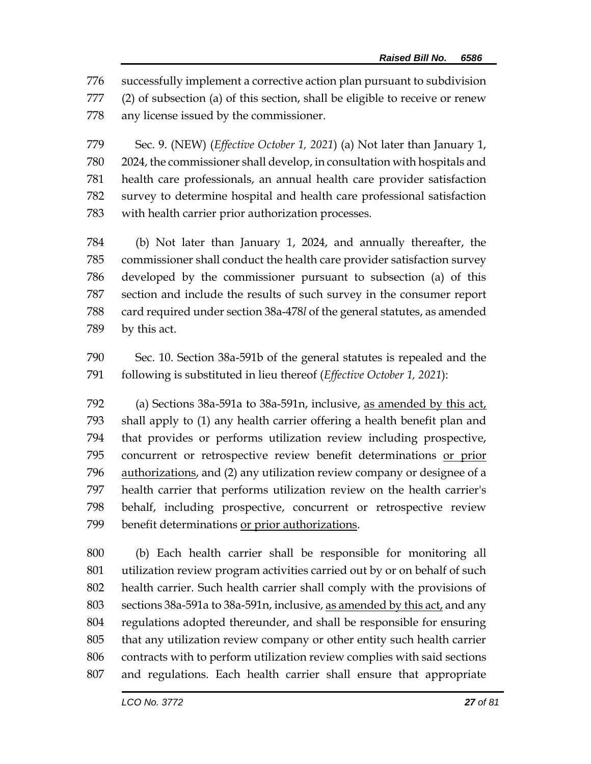successfully implement a corrective action plan pursuant to subdivision (2) of subsection (a) of this section, shall be eligible to receive or renew any license issued by the commissioner.

 Sec. 9. (NEW) (*Effective October 1, 2021*) (a) Not later than January 1, 2024, the commissioner shall develop, in consultation with hospitals and health care professionals, an annual health care provider satisfaction survey to determine hospital and health care professional satisfaction with health carrier prior authorization processes.

 (b) Not later than January 1, 2024, and annually thereafter, the commissioner shall conduct the health care provider satisfaction survey developed by the commissioner pursuant to subsection (a) of this section and include the results of such survey in the consumer report card required under section 38a-478*l* of the general statutes, as amended by this act.

 Sec. 10. Section 38a-591b of the general statutes is repealed and the following is substituted in lieu thereof (*Effective October 1, 2021*):

 (a) Sections 38a-591a to 38a-591n, inclusive, as amended by this act, shall apply to (1) any health carrier offering a health benefit plan and that provides or performs utilization review including prospective, concurrent or retrospective review benefit determinations or prior authorizations, and (2) any utilization review company or designee of a health carrier that performs utilization review on the health carrier's behalf, including prospective, concurrent or retrospective review benefit determinations or prior authorizations.

 (b) Each health carrier shall be responsible for monitoring all utilization review program activities carried out by or on behalf of such health carrier. Such health carrier shall comply with the provisions of sections 38a-591a to 38a-591n, inclusive, as amended by this act, and any regulations adopted thereunder, and shall be responsible for ensuring that any utilization review company or other entity such health carrier contracts with to perform utilization review complies with said sections and regulations. Each health carrier shall ensure that appropriate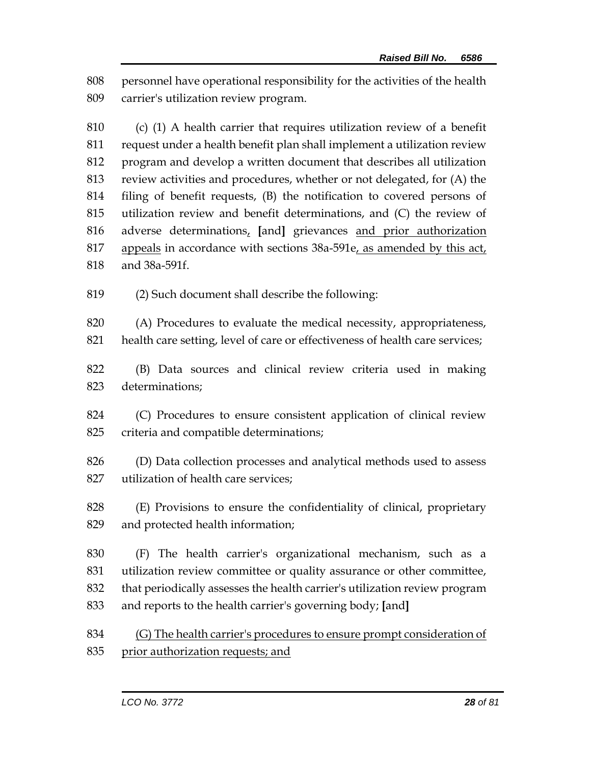personnel have operational responsibility for the activities of the health carrier's utilization review program.

 (c) (1) A health carrier that requires utilization review of a benefit request under a health benefit plan shall implement a utilization review program and develop a written document that describes all utilization review activities and procedures, whether or not delegated, for (A) the filing of benefit requests, (B) the notification to covered persons of utilization review and benefit determinations, and (C) the review of adverse determinations, **[**and**]** grievances and prior authorization 817 appeals in accordance with sections 38a-591e, as amended by this act, and 38a-591f.

(2) Such document shall describe the following:

 (A) Procedures to evaluate the medical necessity, appropriateness, health care setting, level of care or effectiveness of health care services;

 (B) Data sources and clinical review criteria used in making determinations;

 (C) Procedures to ensure consistent application of clinical review criteria and compatible determinations;

 (D) Data collection processes and analytical methods used to assess utilization of health care services;

 (E) Provisions to ensure the confidentiality of clinical, proprietary and protected health information;

 (F) The health carrier's organizational mechanism, such as a utilization review committee or quality assurance or other committee, that periodically assesses the health carrier's utilization review program and reports to the health carrier's governing body; **[**and**]**

 (G) The health carrier's procedures to ensure prompt consideration of prior authorization requests; and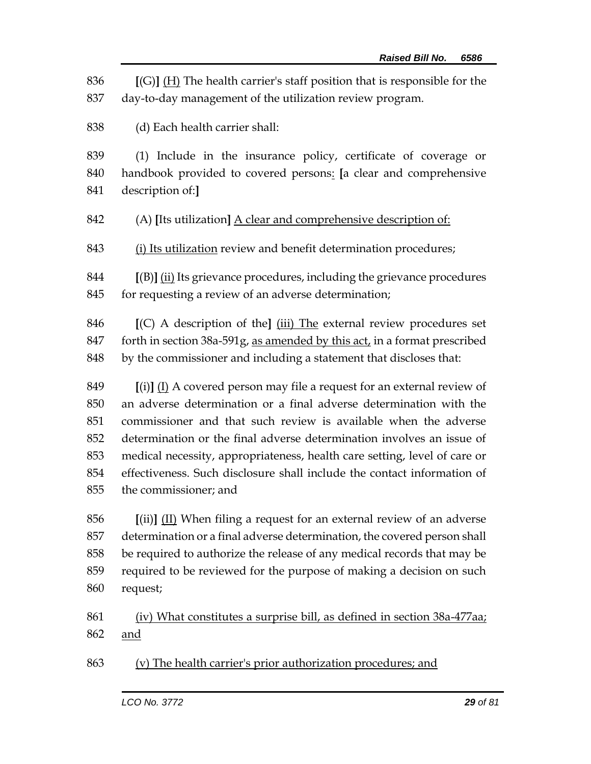**[**(G)**]** (H) The health carrier's staff position that is responsible for the day-to-day management of the utilization review program.

(d) Each health carrier shall:

 (1) Include in the insurance policy, certificate of coverage or handbook provided to covered persons: **[**a clear and comprehensive description of:**]**

(A) **[**Its utilization**]** A clear and comprehensive description of:

(i) Its utilization review and benefit determination procedures;

 **[**(B)**]** (ii) Its grievance procedures, including the grievance procedures 845 for requesting a review of an adverse determination;

 **[**(C) A description of the**]** (iii) The external review procedures set forth in section 38a-591g, as amended by this act, in a format prescribed by the commissioner and including a statement that discloses that:

 **[**(i)**]** (I) A covered person may file a request for an external review of an adverse determination or a final adverse determination with the commissioner and that such review is available when the adverse determination or the final adverse determination involves an issue of medical necessity, appropriateness, health care setting, level of care or effectiveness. Such disclosure shall include the contact information of the commissioner; and

 **[**(ii)**]** (II) When filing a request for an external review of an adverse determination or a final adverse determination, the covered person shall be required to authorize the release of any medical records that may be required to be reviewed for the purpose of making a decision on such request;

 (iv) What constitutes a surprise bill, as defined in section 38a-477aa; and

(v) The health carrier's prior authorization procedures; and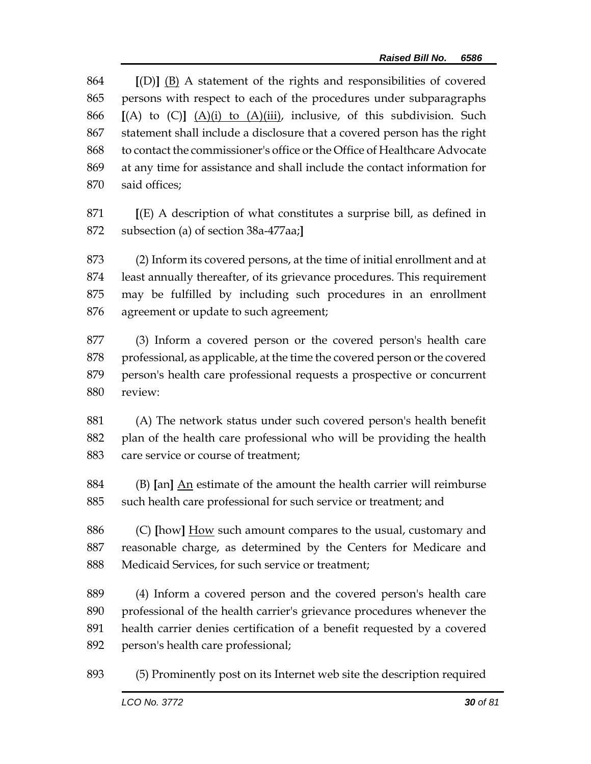**[**(D)**]** (B) A statement of the rights and responsibilities of covered persons with respect to each of the procedures under subparagraphs **[**(A) to (C)**]** (A)(i) to (A)(iii), inclusive, of this subdivision. Such statement shall include a disclosure that a covered person has the right to contact the commissioner's office or the Office of Healthcare Advocate at any time for assistance and shall include the contact information for said offices;

 **[**(E) A description of what constitutes a surprise bill, as defined in subsection (a) of section 38a-477aa;**]**

 (2) Inform its covered persons, at the time of initial enrollment and at least annually thereafter, of its grievance procedures. This requirement may be fulfilled by including such procedures in an enrollment agreement or update to such agreement;

 (3) Inform a covered person or the covered person's health care 878 professional, as applicable, at the time the covered person or the covered person's health care professional requests a prospective or concurrent review:

 (A) The network status under such covered person's health benefit plan of the health care professional who will be providing the health care service or course of treatment;

 (B) **[**an**]** An estimate of the amount the health carrier will reimburse such health care professional for such service or treatment; and

 (C) **[**how**]** How such amount compares to the usual, customary and reasonable charge, as determined by the Centers for Medicare and Medicaid Services, for such service or treatment;

 (4) Inform a covered person and the covered person's health care professional of the health carrier's grievance procedures whenever the health carrier denies certification of a benefit requested by a covered person's health care professional;

(5) Prominently post on its Internet web site the description required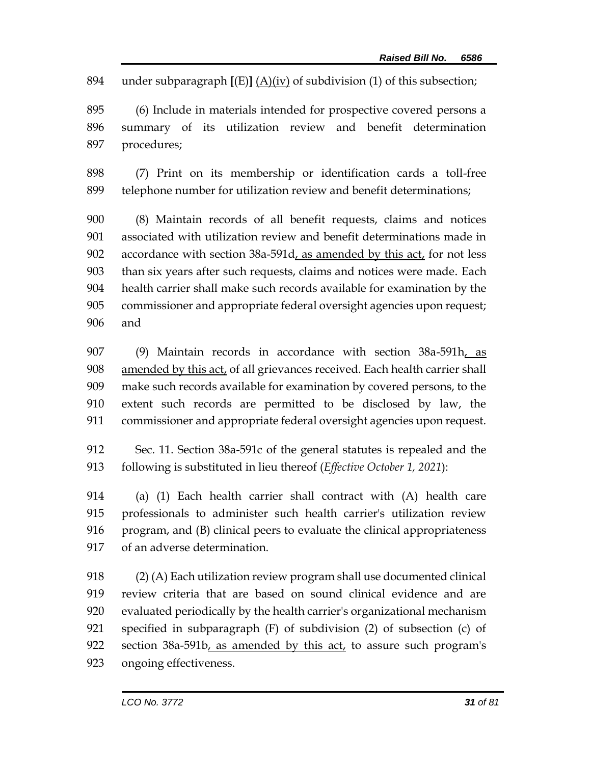under subparagraph **[**(E)**]** (A)(iv) of subdivision (1) of this subsection;

 (6) Include in materials intended for prospective covered persons a summary of its utilization review and benefit determination procedures;

 (7) Print on its membership or identification cards a toll-free telephone number for utilization review and benefit determinations;

 (8) Maintain records of all benefit requests, claims and notices associated with utilization review and benefit determinations made in accordance with section 38a-591d, as amended by this act, for not less than six years after such requests, claims and notices were made. Each health carrier shall make such records available for examination by the commissioner and appropriate federal oversight agencies upon request; and

 (9) Maintain records in accordance with section 38a-591h, as 908 amended by this act, of all grievances received. Each health carrier shall make such records available for examination by covered persons, to the extent such records are permitted to be disclosed by law, the commissioner and appropriate federal oversight agencies upon request.

 Sec. 11. Section 38a-591c of the general statutes is repealed and the following is substituted in lieu thereof (*Effective October 1, 2021*):

 (a) (1) Each health carrier shall contract with (A) health care professionals to administer such health carrier's utilization review program, and (B) clinical peers to evaluate the clinical appropriateness of an adverse determination.

 (2) (A) Each utilization review program shall use documented clinical review criteria that are based on sound clinical evidence and are evaluated periodically by the health carrier's organizational mechanism specified in subparagraph (F) of subdivision (2) of subsection (c) of 922 section 38a-591b, as amended by this act, to assure such program's ongoing effectiveness.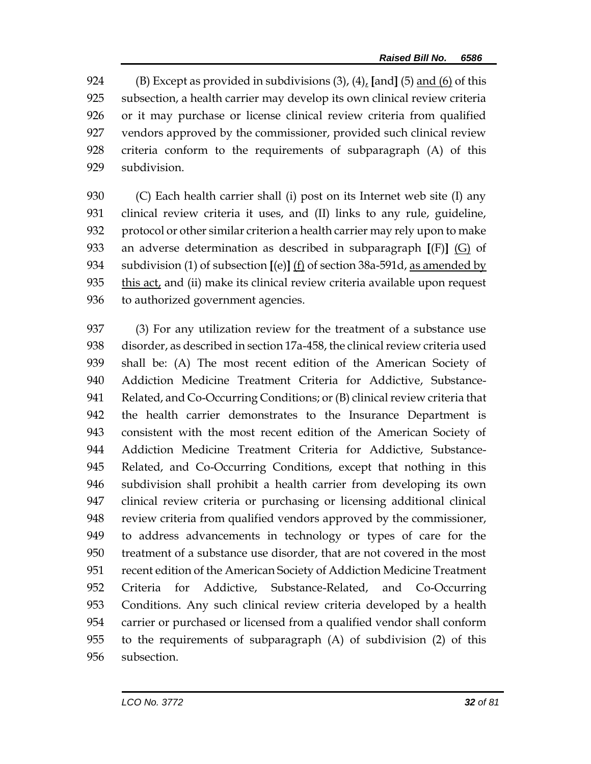(B) Except as provided in subdivisions (3), (4), **[**and**]** (5) and (6) of this subsection, a health carrier may develop its own clinical review criteria or it may purchase or license clinical review criteria from qualified vendors approved by the commissioner, provided such clinical review criteria conform to the requirements of subparagraph (A) of this subdivision.

 (C) Each health carrier shall (i) post on its Internet web site (I) any clinical review criteria it uses, and (II) links to any rule, guideline, protocol or other similar criterion a health carrier may rely upon to make an adverse determination as described in subparagraph **[**(F)**]** (G) of subdivision (1) of subsection **[**(e)**]** (f) of section 38a-591d, as amended by this act, and (ii) make its clinical review criteria available upon request to authorized government agencies.

 (3) For any utilization review for the treatment of a substance use disorder, as described in section 17a-458, the clinical review criteria used shall be: (A) The most recent edition of the American Society of Addiction Medicine Treatment Criteria for Addictive, Substance- Related, and Co-Occurring Conditions; or (B) clinical review criteria that the health carrier demonstrates to the Insurance Department is consistent with the most recent edition of the American Society of Addiction Medicine Treatment Criteria for Addictive, Substance- Related, and Co-Occurring Conditions, except that nothing in this subdivision shall prohibit a health carrier from developing its own clinical review criteria or purchasing or licensing additional clinical review criteria from qualified vendors approved by the commissioner, to address advancements in technology or types of care for the treatment of a substance use disorder, that are not covered in the most recent edition of the American Society of Addiction Medicine Treatment Criteria for Addictive, Substance-Related, and Co-Occurring Conditions. Any such clinical review criteria developed by a health carrier or purchased or licensed from a qualified vendor shall conform to the requirements of subparagraph (A) of subdivision (2) of this subsection.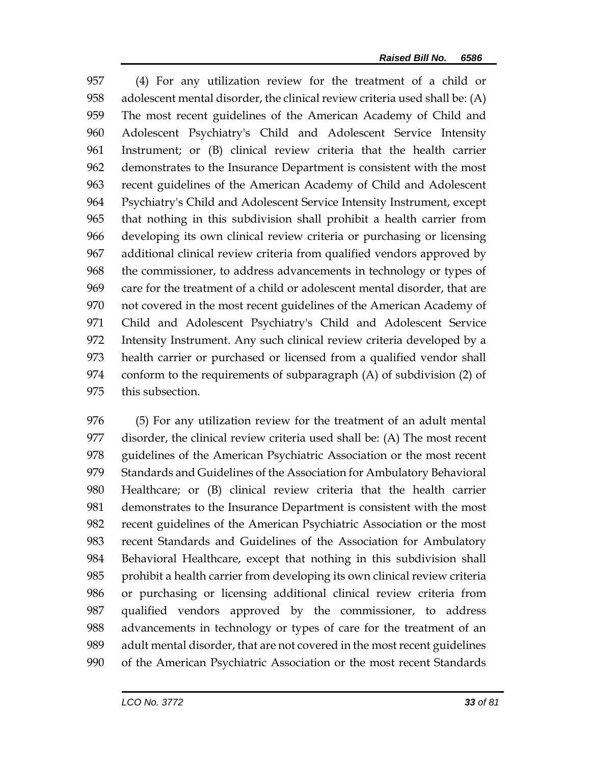(4) For any utilization review for the treatment of a child or adolescent mental disorder, the clinical review criteria used shall be: (A) The most recent guidelines of the American Academy of Child and Adolescent Psychiatry's Child and Adolescent Service Intensity Instrument; or (B) clinical review criteria that the health carrier demonstrates to the Insurance Department is consistent with the most recent guidelines of the American Academy of Child and Adolescent Psychiatry's Child and Adolescent Service Intensity Instrument, except that nothing in this subdivision shall prohibit a health carrier from developing its own clinical review criteria or purchasing or licensing additional clinical review criteria from qualified vendors approved by the commissioner, to address advancements in technology or types of care for the treatment of a child or adolescent mental disorder, that are not covered in the most recent guidelines of the American Academy of Child and Adolescent Psychiatry's Child and Adolescent Service Intensity Instrument. Any such clinical review criteria developed by a health carrier or purchased or licensed from a qualified vendor shall conform to the requirements of subparagraph (A) of subdivision (2) of this subsection.

 (5) For any utilization review for the treatment of an adult mental disorder, the clinical review criteria used shall be: (A) The most recent guidelines of the American Psychiatric Association or the most recent Standards and Guidelines of the Association for Ambulatory Behavioral Healthcare; or (B) clinical review criteria that the health carrier demonstrates to the Insurance Department is consistent with the most recent guidelines of the American Psychiatric Association or the most recent Standards and Guidelines of the Association for Ambulatory Behavioral Healthcare, except that nothing in this subdivision shall prohibit a health carrier from developing its own clinical review criteria or purchasing or licensing additional clinical review criteria from qualified vendors approved by the commissioner, to address advancements in technology or types of care for the treatment of an adult mental disorder, that are not covered in the most recent guidelines of the American Psychiatric Association or the most recent Standards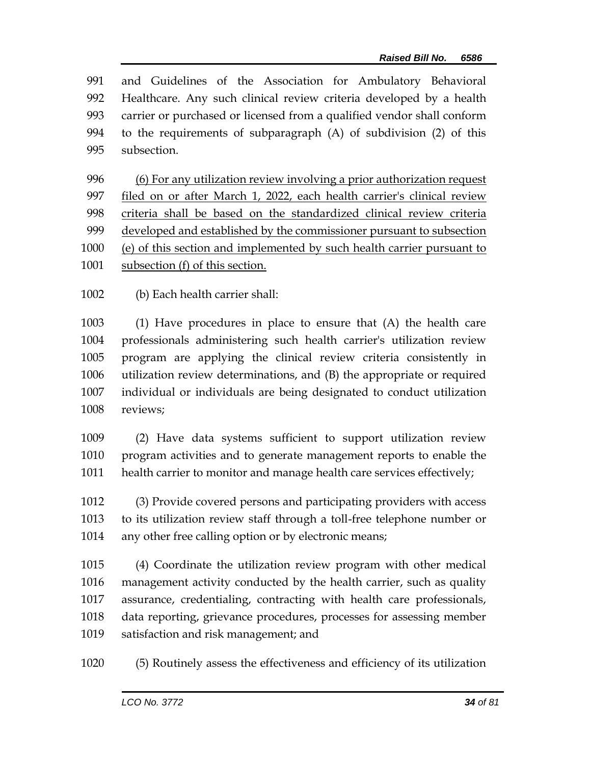and Guidelines of the Association for Ambulatory Behavioral Healthcare. Any such clinical review criteria developed by a health carrier or purchased or licensed from a qualified vendor shall conform to the requirements of subparagraph (A) of subdivision (2) of this subsection.

 (6) For any utilization review involving a prior authorization request filed on or after March 1, 2022, each health carrier's clinical review criteria shall be based on the standardized clinical review criteria developed and established by the commissioner pursuant to subsection (e) of this section and implemented by such health carrier pursuant to

- 1001 subsection (f) of this section.
- (b) Each health carrier shall:

 (1) Have procedures in place to ensure that (A) the health care professionals administering such health carrier's utilization review program are applying the clinical review criteria consistently in utilization review determinations, and (B) the appropriate or required individual or individuals are being designated to conduct utilization reviews;

 (2) Have data systems sufficient to support utilization review program activities and to generate management reports to enable the health carrier to monitor and manage health care services effectively;

 (3) Provide covered persons and participating providers with access to its utilization review staff through a toll-free telephone number or 1014 any other free calling option or by electronic means;

 (4) Coordinate the utilization review program with other medical management activity conducted by the health carrier, such as quality assurance, credentialing, contracting with health care professionals, data reporting, grievance procedures, processes for assessing member satisfaction and risk management; and

(5) Routinely assess the effectiveness and efficiency of its utilization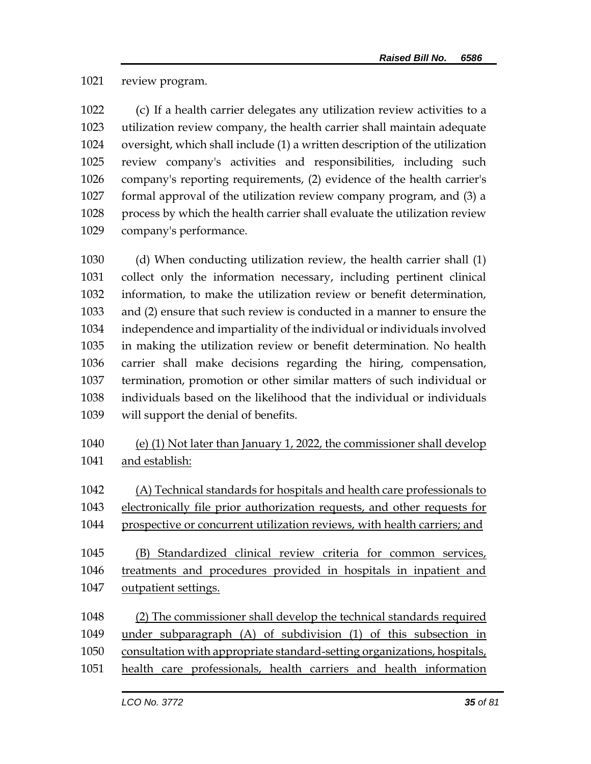review program.

 (c) If a health carrier delegates any utilization review activities to a utilization review company, the health carrier shall maintain adequate oversight, which shall include (1) a written description of the utilization review company's activities and responsibilities, including such company's reporting requirements, (2) evidence of the health carrier's formal approval of the utilization review company program, and (3) a process by which the health carrier shall evaluate the utilization review company's performance.

 (d) When conducting utilization review, the health carrier shall (1) collect only the information necessary, including pertinent clinical information, to make the utilization review or benefit determination, and (2) ensure that such review is conducted in a manner to ensure the independence and impartiality of the individual or individuals involved in making the utilization review or benefit determination. No health carrier shall make decisions regarding the hiring, compensation, termination, promotion or other similar matters of such individual or individuals based on the likelihood that the individual or individuals will support the denial of benefits.

- (e) (1) Not later than January 1, 2022, the commissioner shall develop and establish:
- (A) Technical standards for hospitals and health care professionals to
- electronically file prior authorization requests, and other requests for
- prospective or concurrent utilization reviews, with health carriers; and

 (B) Standardized clinical review criteria for common services, treatments and procedures provided in hospitals in inpatient and outpatient settings.

- (2) The commissioner shall develop the technical standards required
- under subparagraph (A) of subdivision (1) of this subsection in
- consultation with appropriate standard-setting organizations, hospitals,
- health care professionals, health carriers and health information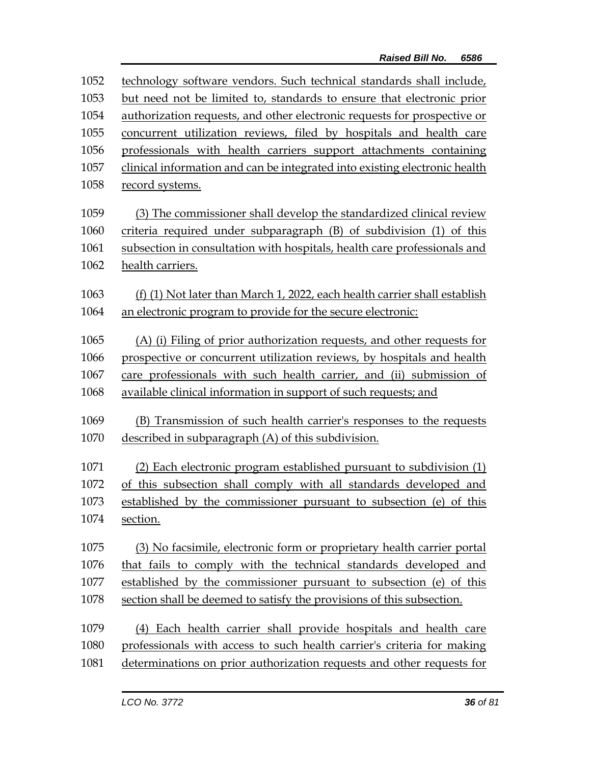| 1052 | technology software vendors. Such technical standards shall include,       |
|------|----------------------------------------------------------------------------|
| 1053 | but need not be limited to, standards to ensure that electronic prior      |
| 1054 | authorization requests, and other electronic requests for prospective or   |
| 1055 | concurrent utilization reviews, filed by hospitals and health care         |
| 1056 | professionals with health carriers support attachments containing          |
| 1057 | clinical information and can be integrated into existing electronic health |
| 1058 | record systems.                                                            |
| 1059 | (3) The commissioner shall develop the standardized clinical review        |
| 1060 | criteria required under subparagraph (B) of subdivision (1) of this        |
| 1061 | subsection in consultation with hospitals, health care professionals and   |
| 1062 | health carriers.                                                           |
| 1063 | (f) (1) Not later than March 1, 2022, each health carrier shall establish  |
| 1064 | an electronic program to provide for the secure electronic:                |
| 1065 | (A) (i) Filing of prior authorization requests, and other requests for     |
| 1066 | prospective or concurrent utilization reviews, by hospitals and health     |
| 1067 | care professionals with such health carrier, and (ii) submission of        |
| 1068 | available clinical information in support of such requests; and            |
| 1069 | (B) Transmission of such health carrier's responses to the requests        |
| 1070 | described in subparagraph (A) of this subdivision.                         |
| 1071 | (2) Each electronic program established pursuant to subdivision (1)        |
| 1072 | of this subsection shall comply with all standards developed and           |
| 1073 | established by the commissioner pursuant to subsection (e) of this         |
| 1074 | section.                                                                   |
| 1075 | (3) No facsimile, electronic form or proprietary health carrier portal     |
| 1076 | that fails to comply with the technical standards developed and            |
| 1077 | established by the commissioner pursuant to subsection (e) of this         |
| 1078 | section shall be deemed to satisfy the provisions of this subsection.      |
| 1079 | (4) Each health carrier shall provide hospitals and health care            |
| 1080 | professionals with access to such health carrier's criteria for making     |
| 1081 | determinations on prior authorization requests and other requests for      |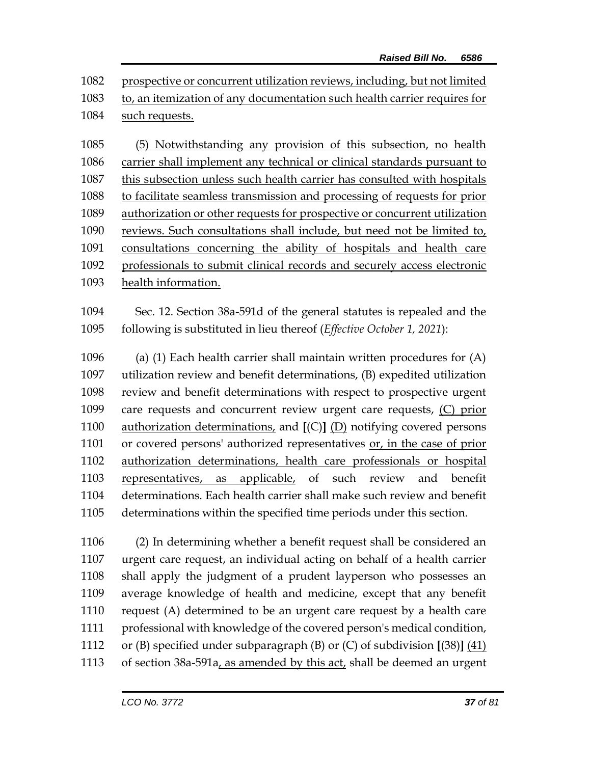| 1082 prospective or concurrent utilization reviews, including, but not limited |
|--------------------------------------------------------------------------------|
| 1083 to, an itemization of any documentation such health carrier requires for  |
| 1084 such requests.                                                            |

 (5) Notwithstanding any provision of this subsection, no health carrier shall implement any technical or clinical standards pursuant to this subsection unless such health carrier has consulted with hospitals to facilitate seamless transmission and processing of requests for prior authorization or other requests for prospective or concurrent utilization reviews. Such consultations shall include, but need not be limited to, consultations concerning the ability of hospitals and health care professionals to submit clinical records and securely access electronic health information.

 Sec. 12. Section 38a-591d of the general statutes is repealed and the following is substituted in lieu thereof (*Effective October 1, 2021*):

 (a) (1) Each health carrier shall maintain written procedures for (A) utilization review and benefit determinations, (B) expedited utilization review and benefit determinations with respect to prospective urgent care requests and concurrent review urgent care requests, (C) prior authorization determinations, and **[**(C)**]** (D) notifying covered persons or covered persons' authorized representatives or, in the case of prior authorization determinations, health care professionals or hospital representatives, as applicable, of such review and benefit determinations. Each health carrier shall make such review and benefit determinations within the specified time periods under this section.

 (2) In determining whether a benefit request shall be considered an urgent care request, an individual acting on behalf of a health carrier shall apply the judgment of a prudent layperson who possesses an average knowledge of health and medicine, except that any benefit request (A) determined to be an urgent care request by a health care professional with knowledge of the covered person's medical condition, or (B) specified under subparagraph (B) or (C) of subdivision **[**(38)**]** (41) 1113 of section 38a-591a, as amended by this act, shall be deemed an urgent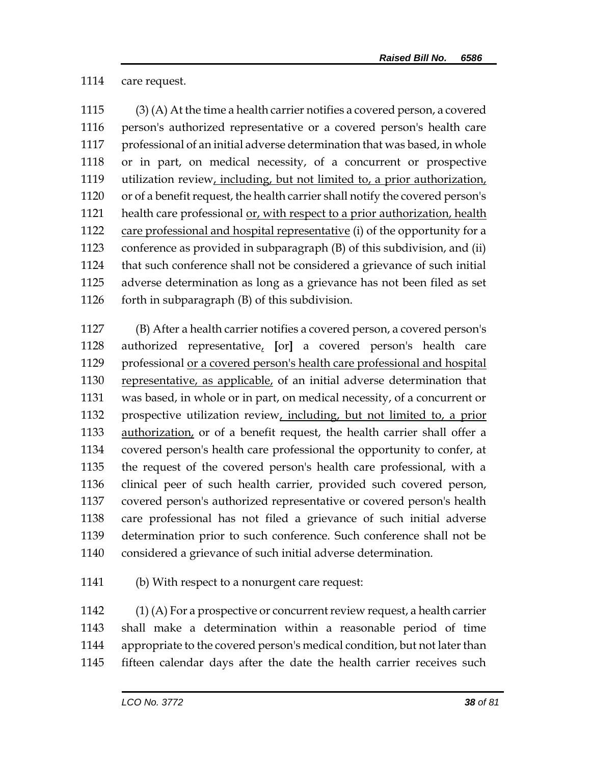care request.

 (3) (A) At the time a health carrier notifies a covered person, a covered person's authorized representative or a covered person's health care professional of an initial adverse determination that was based, in whole or in part, on medical necessity, of a concurrent or prospective utilization review, including, but not limited to, a prior authorization, or of a benefit request, the health carrier shall notify the covered person's 1121 health care professional or, with respect to a prior authorization, health care professional and hospital representative (i) of the opportunity for a conference as provided in subparagraph (B) of this subdivision, and (ii) that such conference shall not be considered a grievance of such initial adverse determination as long as a grievance has not been filed as set forth in subparagraph (B) of this subdivision.

 (B) After a health carrier notifies a covered person, a covered person's authorized representative, **[**or**]** a covered person's health care professional or a covered person's health care professional and hospital 1130 representative, as applicable, of an initial adverse determination that was based, in whole or in part, on medical necessity, of a concurrent or prospective utilization review, including, but not limited to, a prior authorization, or of a benefit request, the health carrier shall offer a covered person's health care professional the opportunity to confer, at the request of the covered person's health care professional, with a clinical peer of such health carrier, provided such covered person, covered person's authorized representative or covered person's health care professional has not filed a grievance of such initial adverse determination prior to such conference. Such conference shall not be considered a grievance of such initial adverse determination.

(b) With respect to a nonurgent care request:

 $(1)$  (A) For a prospective or concurrent review request, a health carrier shall make a determination within a reasonable period of time appropriate to the covered person's medical condition, but not later than fifteen calendar days after the date the health carrier receives such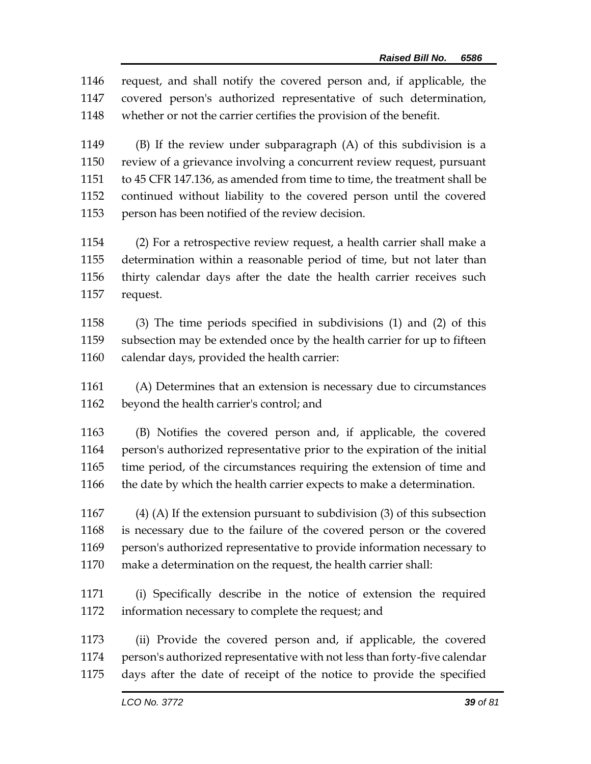request, and shall notify the covered person and, if applicable, the covered person's authorized representative of such determination, whether or not the carrier certifies the provision of the benefit.

 (B) If the review under subparagraph (A) of this subdivision is a review of a grievance involving a concurrent review request, pursuant to 45 CFR 147.136, as amended from time to time, the treatment shall be continued without liability to the covered person until the covered person has been notified of the review decision.

 (2) For a retrospective review request, a health carrier shall make a determination within a reasonable period of time, but not later than thirty calendar days after the date the health carrier receives such request.

 (3) The time periods specified in subdivisions (1) and (2) of this subsection may be extended once by the health carrier for up to fifteen calendar days, provided the health carrier:

 (A) Determines that an extension is necessary due to circumstances beyond the health carrier's control; and

 (B) Notifies the covered person and, if applicable, the covered person's authorized representative prior to the expiration of the initial time period, of the circumstances requiring the extension of time and the date by which the health carrier expects to make a determination.

 (4) (A) If the extension pursuant to subdivision (3) of this subsection is necessary due to the failure of the covered person or the covered person's authorized representative to provide information necessary to make a determination on the request, the health carrier shall:

 (i) Specifically describe in the notice of extension the required information necessary to complete the request; and

 (ii) Provide the covered person and, if applicable, the covered person's authorized representative with not less than forty-five calendar days after the date of receipt of the notice to provide the specified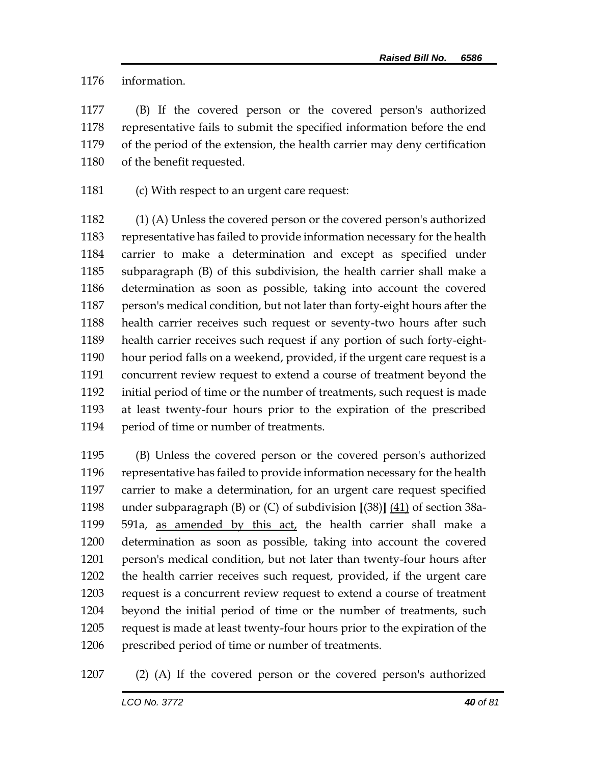information.

 (B) If the covered person or the covered person's authorized representative fails to submit the specified information before the end of the period of the extension, the health carrier may deny certification of the benefit requested.

(c) With respect to an urgent care request:

 (1) (A) Unless the covered person or the covered person's authorized representative has failed to provide information necessary for the health carrier to make a determination and except as specified under subparagraph (B) of this subdivision, the health carrier shall make a determination as soon as possible, taking into account the covered person's medical condition, but not later than forty-eight hours after the health carrier receives such request or seventy-two hours after such health carrier receives such request if any portion of such forty-eight- hour period falls on a weekend, provided, if the urgent care request is a concurrent review request to extend a course of treatment beyond the initial period of time or the number of treatments, such request is made at least twenty-four hours prior to the expiration of the prescribed period of time or number of treatments.

 (B) Unless the covered person or the covered person's authorized representative has failed to provide information necessary for the health carrier to make a determination, for an urgent care request specified under subparagraph (B) or (C) of subdivision **[**(38)**]** (41) of section 38a- 591a, as amended by this act, the health carrier shall make a determination as soon as possible, taking into account the covered person's medical condition, but not later than twenty-four hours after the health carrier receives such request, provided, if the urgent care request is a concurrent review request to extend a course of treatment beyond the initial period of time or the number of treatments, such request is made at least twenty-four hours prior to the expiration of the prescribed period of time or number of treatments.

(2) (A) If the covered person or the covered person's authorized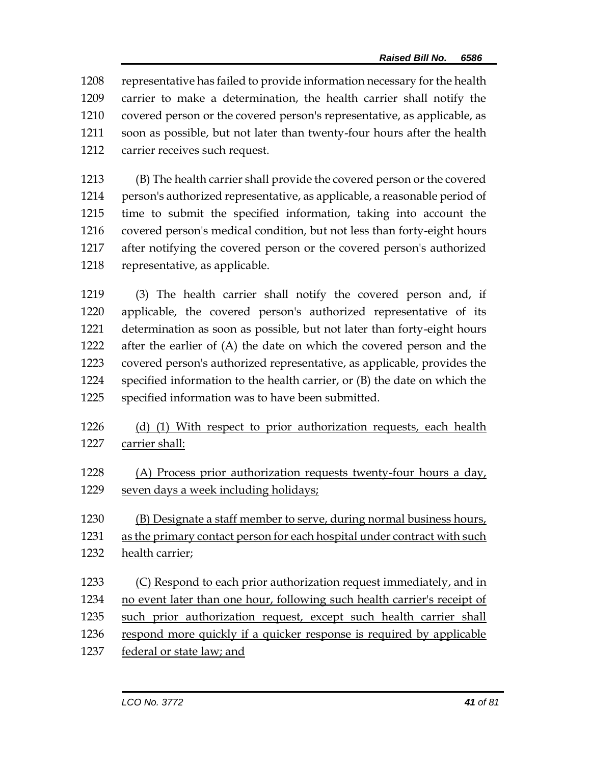representative has failed to provide information necessary for the health carrier to make a determination, the health carrier shall notify the covered person or the covered person's representative, as applicable, as soon as possible, but not later than twenty-four hours after the health carrier receives such request.

 (B) The health carrier shall provide the covered person or the covered person's authorized representative, as applicable, a reasonable period of time to submit the specified information, taking into account the covered person's medical condition, but not less than forty-eight hours after notifying the covered person or the covered person's authorized representative, as applicable.

 (3) The health carrier shall notify the covered person and, if applicable, the covered person's authorized representative of its determination as soon as possible, but not later than forty-eight hours after the earlier of (A) the date on which the covered person and the covered person's authorized representative, as applicable, provides the specified information to the health carrier, or (B) the date on which the specified information was to have been submitted.

## 1226 (d) (1) With respect to prior authorization requests, each health carrier shall:

- (A) Process prior authorization requests twenty-four hours a day, seven days a week including holidays;
- (B) Designate a staff member to serve, during normal business hours,
- as the primary contact person for each hospital under contract with such health carrier;
- 1233 (C) Respond to each prior authorization request immediately, and in no event later than one hour, following such health carrier's receipt of
- such prior authorization request, except such health carrier shall
- 1236 respond more quickly if a quicker response is required by applicable
- 1237 federal or state law; and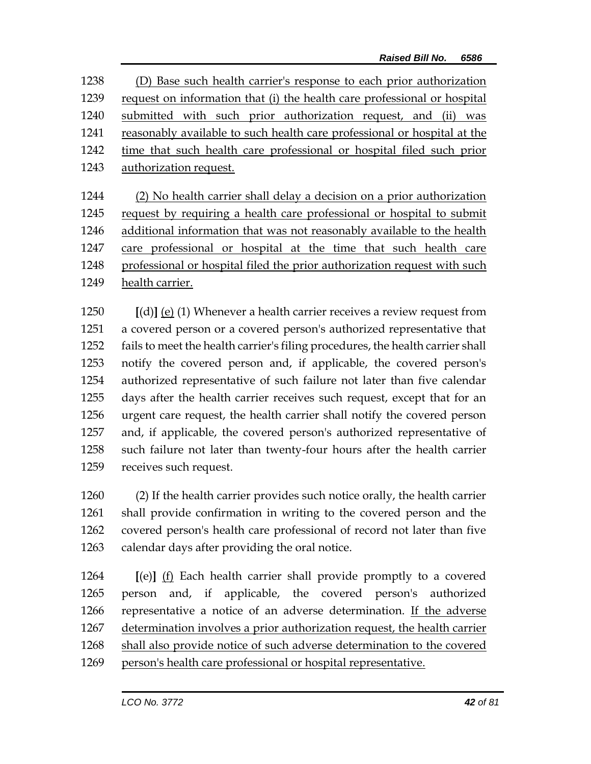(D) Base such health carrier's response to each prior authorization request on information that (i) the health care professional or hospital submitted with such prior authorization request, and (ii) was reasonably available to such health care professional or hospital at the time that such health care professional or hospital filed such prior authorization request.

 (2) No health carrier shall delay a decision on a prior authorization request by requiring a health care professional or hospital to submit additional information that was not reasonably available to the health care professional or hospital at the time that such health care professional or hospital filed the prior authorization request with such health carrier.

 **[**(d)**]** (e) (1) Whenever a health carrier receives a review request from a covered person or a covered person's authorized representative that fails to meet the health carrier's filing procedures, the health carrier shall notify the covered person and, if applicable, the covered person's authorized representative of such failure not later than five calendar days after the health carrier receives such request, except that for an urgent care request, the health carrier shall notify the covered person and, if applicable, the covered person's authorized representative of such failure not later than twenty-four hours after the health carrier receives such request.

 (2) If the health carrier provides such notice orally, the health carrier shall provide confirmation in writing to the covered person and the covered person's health care professional of record not later than five calendar days after providing the oral notice.

 **[**(e)**]** (f) Each health carrier shall provide promptly to a covered person and, if applicable, the covered person's authorized representative a notice of an adverse determination. If the adverse determination involves a prior authorization request, the health carrier shall also provide notice of such adverse determination to the covered person's health care professional or hospital representative.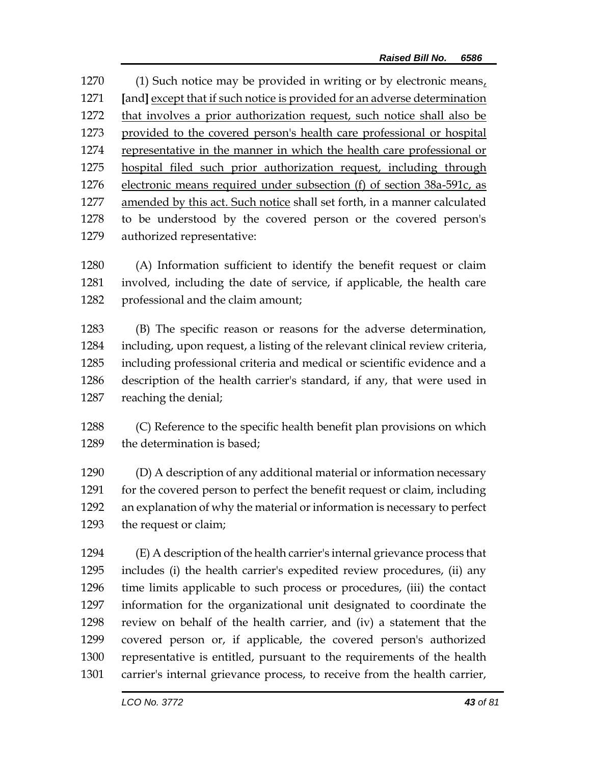(1) Such notice may be provided in writing or by electronic means, **[**and**]** except that if such notice is provided for an adverse determination 1272 that involves a prior authorization request, such notice shall also be provided to the covered person's health care professional or hospital representative in the manner in which the health care professional or hospital filed such prior authorization request, including through electronic means required under subsection (f) of section 38a-591c, as amended by this act. Such notice shall set forth, in a manner calculated to be understood by the covered person or the covered person's authorized representative:

 (A) Information sufficient to identify the benefit request or claim involved, including the date of service, if applicable, the health care professional and the claim amount;

 (B) The specific reason or reasons for the adverse determination, including, upon request, a listing of the relevant clinical review criteria, including professional criteria and medical or scientific evidence and a description of the health carrier's standard, if any, that were used in reaching the denial;

 (C) Reference to the specific health benefit plan provisions on which the determination is based;

 (D) A description of any additional material or information necessary 1291 for the covered person to perfect the benefit request or claim, including an explanation of why the material or information is necessary to perfect the request or claim;

 (E) A description of the health carrier's internal grievance process that includes (i) the health carrier's expedited review procedures, (ii) any time limits applicable to such process or procedures, (iii) the contact information for the organizational unit designated to coordinate the review on behalf of the health carrier, and (iv) a statement that the covered person or, if applicable, the covered person's authorized representative is entitled, pursuant to the requirements of the health carrier's internal grievance process, to receive from the health carrier,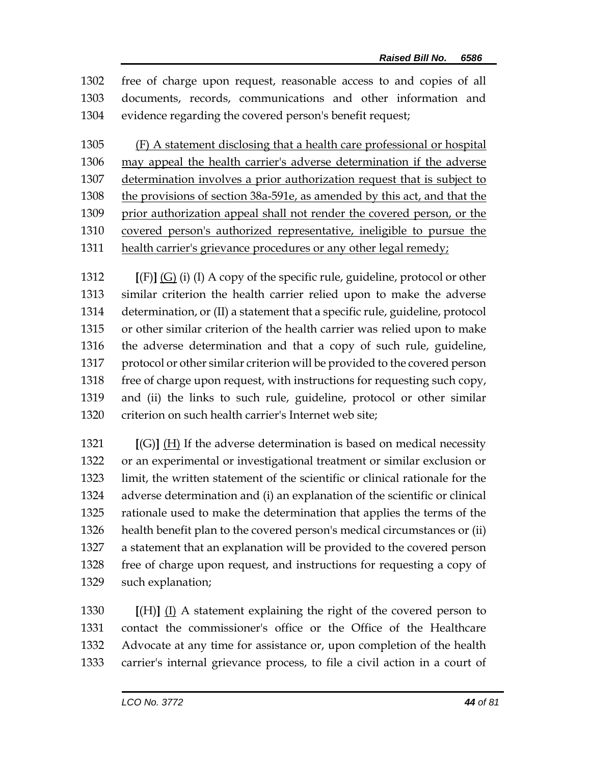free of charge upon request, reasonable access to and copies of all documents, records, communications and other information and evidence regarding the covered person's benefit request;

 (F) A statement disclosing that a health care professional or hospital may appeal the health carrier's adverse determination if the adverse determination involves a prior authorization request that is subject to 1308 the provisions of section 38a-591e, as amended by this act, and that the 1309 prior authorization appeal shall not render the covered person, or the covered person's authorized representative, ineligible to pursue the health carrier's grievance procedures or any other legal remedy;

 **[**(F)**]** (G) (i) (I) A copy of the specific rule, guideline, protocol or other similar criterion the health carrier relied upon to make the adverse determination, or (II) a statement that a specific rule, guideline, protocol or other similar criterion of the health carrier was relied upon to make the adverse determination and that a copy of such rule, guideline, protocol or other similar criterion will be provided to the covered person free of charge upon request, with instructions for requesting such copy, and (ii) the links to such rule, guideline, protocol or other similar criterion on such health carrier's Internet web site;

 **[**(G)**]** (H) If the adverse determination is based on medical necessity or an experimental or investigational treatment or similar exclusion or limit, the written statement of the scientific or clinical rationale for the adverse determination and (i) an explanation of the scientific or clinical rationale used to make the determination that applies the terms of the health benefit plan to the covered person's medical circumstances or (ii) a statement that an explanation will be provided to the covered person free of charge upon request, and instructions for requesting a copy of such explanation;

 **[**(H)**]** (I) A statement explaining the right of the covered person to contact the commissioner's office or the Office of the Healthcare Advocate at any time for assistance or, upon completion of the health carrier's internal grievance process, to file a civil action in a court of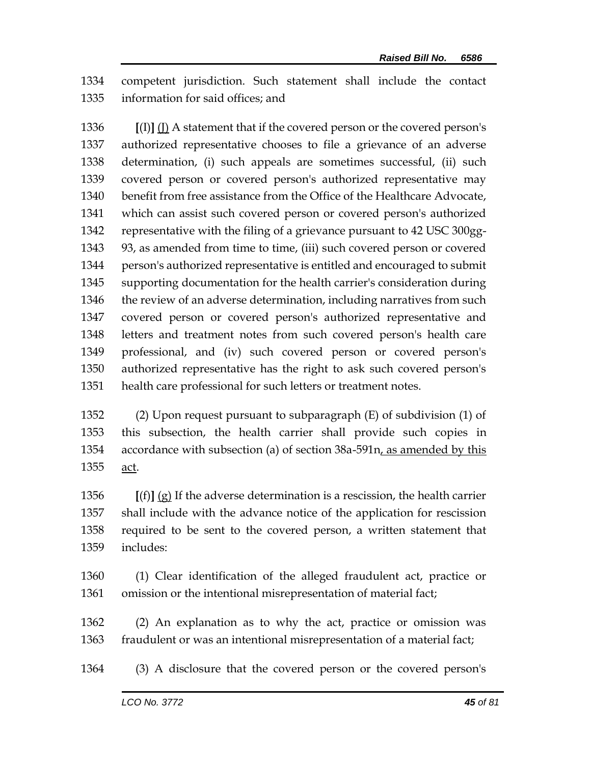competent jurisdiction. Such statement shall include the contact information for said offices; and

 **[**(I)**]** (J) A statement that if the covered person or the covered person's authorized representative chooses to file a grievance of an adverse determination, (i) such appeals are sometimes successful, (ii) such covered person or covered person's authorized representative may benefit from free assistance from the Office of the Healthcare Advocate, which can assist such covered person or covered person's authorized representative with the filing of a grievance pursuant to 42 USC 300gg- 93, as amended from time to time, (iii) such covered person or covered person's authorized representative is entitled and encouraged to submit supporting documentation for the health carrier's consideration during 1346 the review of an adverse determination, including narratives from such covered person or covered person's authorized representative and letters and treatment notes from such covered person's health care professional, and (iv) such covered person or covered person's authorized representative has the right to ask such covered person's health care professional for such letters or treatment notes.

 (2) Upon request pursuant to subparagraph (E) of subdivision (1) of this subsection, the health carrier shall provide such copies in 1354 accordance with subsection (a) of section 38a-591n, as amended by this act.

 **[**(f)**]** (g) If the adverse determination is a rescission, the health carrier shall include with the advance notice of the application for rescission required to be sent to the covered person, a written statement that includes:

 (1) Clear identification of the alleged fraudulent act, practice or omission or the intentional misrepresentation of material fact;

 (2) An explanation as to why the act, practice or omission was fraudulent or was an intentional misrepresentation of a material fact;

(3) A disclosure that the covered person or the covered person's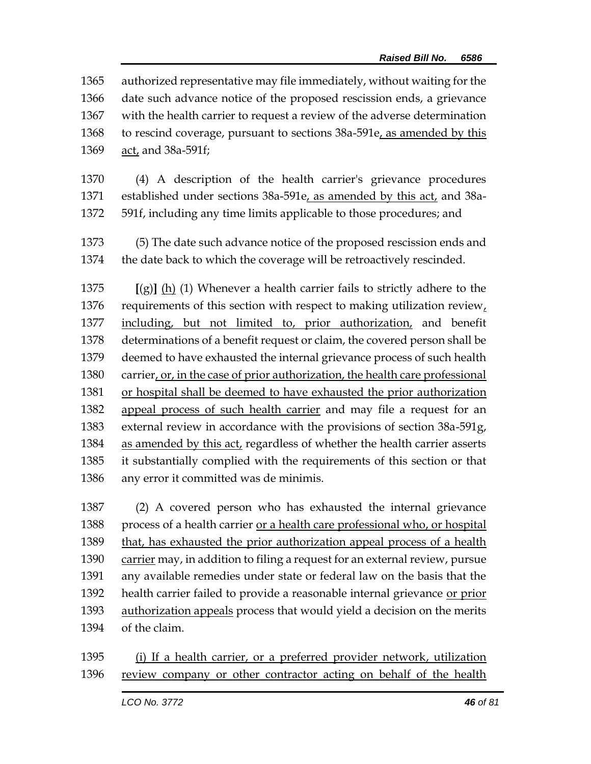authorized representative may file immediately, without waiting for the date such advance notice of the proposed rescission ends, a grievance with the health carrier to request a review of the adverse determination to rescind coverage, pursuant to sections 38a-591e, as amended by this act, and 38a-591f;

- (4) A description of the health carrier's grievance procedures 1371 established under sections 38a-591e, as amended by this act, and 38a-591f, including any time limits applicable to those procedures; and
- (5) The date such advance notice of the proposed rescission ends and the date back to which the coverage will be retroactively rescinded.

 **[**(g)**]** (h) (1) Whenever a health carrier fails to strictly adhere to the requirements of this section with respect to making utilization review, including, but not limited to, prior authorization, and benefit determinations of a benefit request or claim, the covered person shall be deemed to have exhausted the internal grievance process of such health 1380 carrier, or, in the case of prior authorization, the health care professional or hospital shall be deemed to have exhausted the prior authorization appeal process of such health carrier and may file a request for an external review in accordance with the provisions of section 38a-591g, as amended by this act, regardless of whether the health carrier asserts it substantially complied with the requirements of this section or that any error it committed was de minimis.

 (2) A covered person who has exhausted the internal grievance process of a health carrier or a health care professional who, or hospital that, has exhausted the prior authorization appeal process of a health carrier may, in addition to filing a request for an external review, pursue any available remedies under state or federal law on the basis that the health carrier failed to provide a reasonable internal grievance or prior 1393 authorization appeals process that would yield a decision on the merits of the claim.

 (i) If a health carrier, or a preferred provider network, utilization review company or other contractor acting on behalf of the health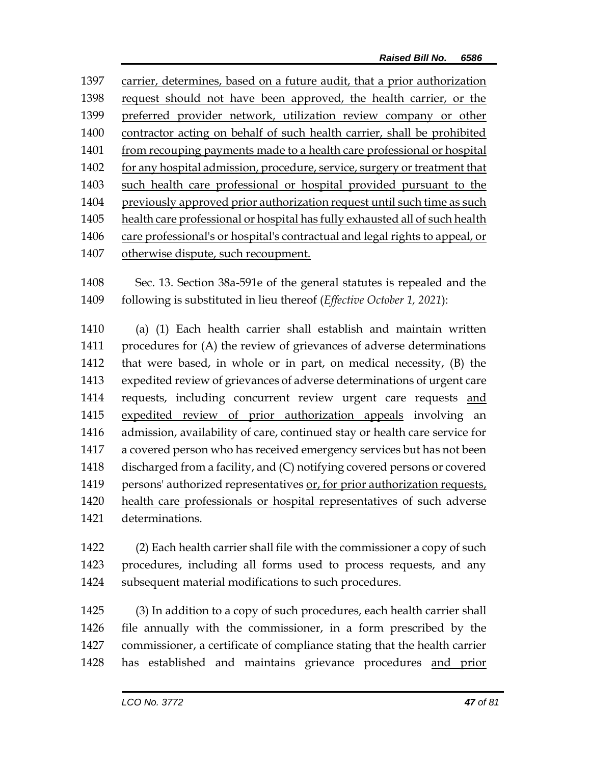carrier, determines, based on a future audit, that a prior authorization request should not have been approved, the health carrier, or the preferred provider network, utilization review company or other contractor acting on behalf of such health carrier, shall be prohibited 1401 from recouping payments made to a health care professional or hospital 1402 for any hospital admission, procedure, service, surgery or treatment that such health care professional or hospital provided pursuant to the previously approved prior authorization request until such time as such health care professional or hospital has fully exhausted all of such health care professional's or hospital's contractual and legal rights to appeal, or otherwise dispute, such recoupment.

 Sec. 13. Section 38a-591e of the general statutes is repealed and the following is substituted in lieu thereof (*Effective October 1, 2021*):

 (a) (1) Each health carrier shall establish and maintain written procedures for (A) the review of grievances of adverse determinations that were based, in whole or in part, on medical necessity, (B) the expedited review of grievances of adverse determinations of urgent care requests, including concurrent review urgent care requests and expedited review of prior authorization appeals involving an admission, availability of care, continued stay or health care service for a covered person who has received emergency services but has not been discharged from a facility, and (C) notifying covered persons or covered persons' authorized representatives or, for prior authorization requests, health care professionals or hospital representatives of such adverse determinations.

 (2) Each health carrier shall file with the commissioner a copy of such procedures, including all forms used to process requests, and any subsequent material modifications to such procedures.

 (3) In addition to a copy of such procedures, each health carrier shall file annually with the commissioner, in a form prescribed by the commissioner, a certificate of compliance stating that the health carrier has established and maintains grievance procedures and prior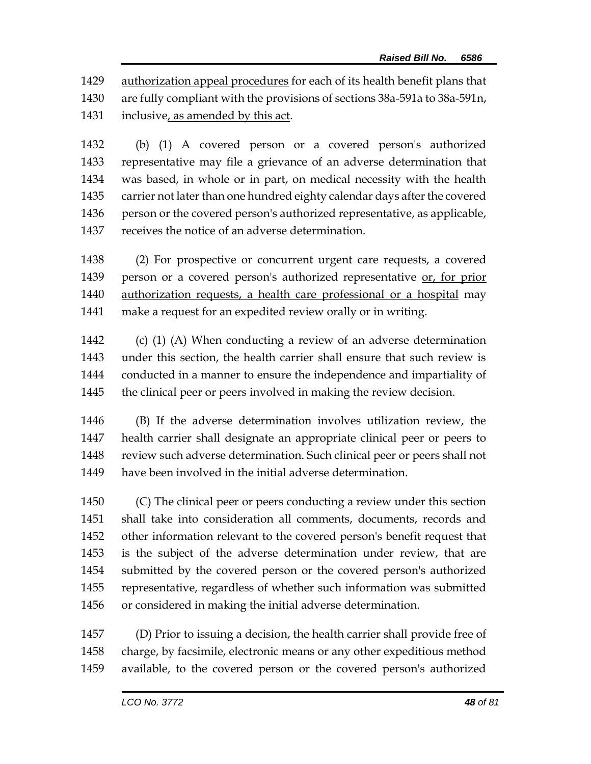authorization appeal procedures for each of its health benefit plans that are fully compliant with the provisions of sections 38a-591a to 38a-591n, inclusive, as amended by this act.

 (b) (1) A covered person or a covered person's authorized representative may file a grievance of an adverse determination that was based, in whole or in part, on medical necessity with the health carrier not later than one hundred eighty calendar days after the covered 1436 person or the covered person's authorized representative, as applicable, receives the notice of an adverse determination.

 (2) For prospective or concurrent urgent care requests, a covered person or a covered person's authorized representative or, for prior authorization requests, a health care professional or a hospital may make a request for an expedited review orally or in writing.

 (c) (1) (A) When conducting a review of an adverse determination under this section, the health carrier shall ensure that such review is conducted in a manner to ensure the independence and impartiality of the clinical peer or peers involved in making the review decision.

 (B) If the adverse determination involves utilization review, the health carrier shall designate an appropriate clinical peer or peers to review such adverse determination. Such clinical peer or peers shall not have been involved in the initial adverse determination.

 (C) The clinical peer or peers conducting a review under this section shall take into consideration all comments, documents, records and other information relevant to the covered person's benefit request that is the subject of the adverse determination under review, that are submitted by the covered person or the covered person's authorized representative, regardless of whether such information was submitted or considered in making the initial adverse determination.

 (D) Prior to issuing a decision, the health carrier shall provide free of charge, by facsimile, electronic means or any other expeditious method available, to the covered person or the covered person's authorized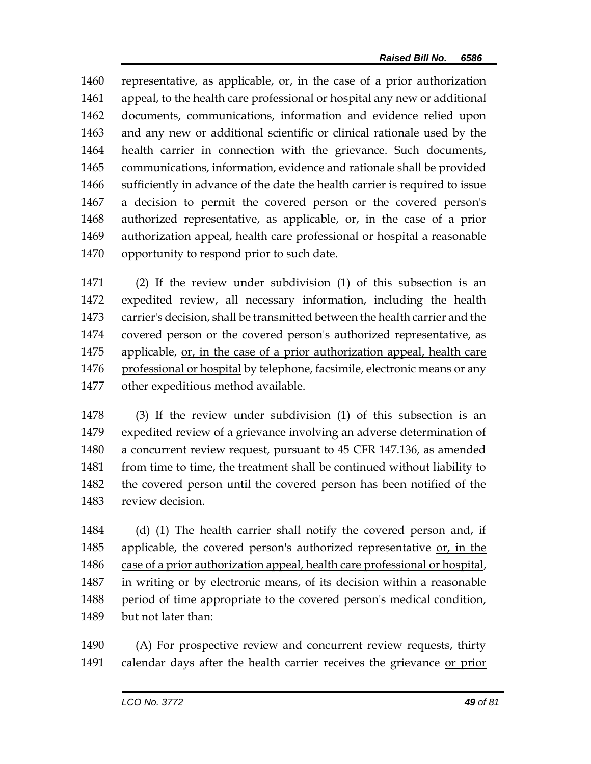representative, as applicable, or, in the case of a prior authorization appeal, to the health care professional or hospital any new or additional documents, communications, information and evidence relied upon and any new or additional scientific or clinical rationale used by the health carrier in connection with the grievance. Such documents, communications, information, evidence and rationale shall be provided sufficiently in advance of the date the health carrier is required to issue a decision to permit the covered person or the covered person's authorized representative, as applicable, or, in the case of a prior authorization appeal, health care professional or hospital a reasonable opportunity to respond prior to such date.

 (2) If the review under subdivision (1) of this subsection is an expedited review, all necessary information, including the health carrier's decision, shall be transmitted between the health carrier and the covered person or the covered person's authorized representative, as applicable, or, in the case of a prior authorization appeal, health care 1476 professional or hospital by telephone, facsimile, electronic means or any other expeditious method available.

 (3) If the review under subdivision (1) of this subsection is an expedited review of a grievance involving an adverse determination of a concurrent review request, pursuant to 45 CFR 147.136, as amended from time to time, the treatment shall be continued without liability to the covered person until the covered person has been notified of the review decision.

 (d) (1) The health carrier shall notify the covered person and, if applicable, the covered person's authorized representative or, in the case of a prior authorization appeal, health care professional or hospital, in writing or by electronic means, of its decision within a reasonable period of time appropriate to the covered person's medical condition, but not later than:

 (A) For prospective review and concurrent review requests, thirty calendar days after the health carrier receives the grievance or prior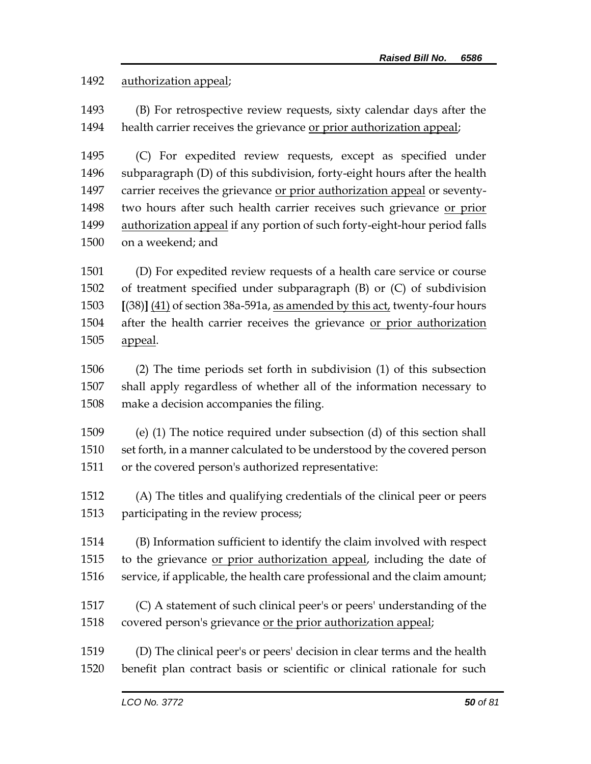## authorization appeal;

 (B) For retrospective review requests, sixty calendar days after the health carrier receives the grievance or prior authorization appeal;

 (C) For expedited review requests, except as specified under subparagraph (D) of this subdivision, forty-eight hours after the health carrier receives the grievance or prior authorization appeal or seventy- two hours after such health carrier receives such grievance or prior authorization appeal if any portion of such forty-eight-hour period falls on a weekend; and

 (D) For expedited review requests of a health care service or course of treatment specified under subparagraph (B) or (C) of subdivision **[**(38)**]** (41) of section 38a-591a, as amended by this act, twenty-four hours after the health carrier receives the grievance or prior authorization appeal.

 (2) The time periods set forth in subdivision (1) of this subsection shall apply regardless of whether all of the information necessary to make a decision accompanies the filing.

 (e) (1) The notice required under subsection (d) of this section shall set forth, in a manner calculated to be understood by the covered person or the covered person's authorized representative:

 (A) The titles and qualifying credentials of the clinical peer or peers participating in the review process;

 (B) Information sufficient to identify the claim involved with respect to the grievance or prior authorization appeal, including the date of service, if applicable, the health care professional and the claim amount;

 (C) A statement of such clinical peer's or peers' understanding of the covered person's grievance or the prior authorization appeal;

 (D) The clinical peer's or peers' decision in clear terms and the health benefit plan contract basis or scientific or clinical rationale for such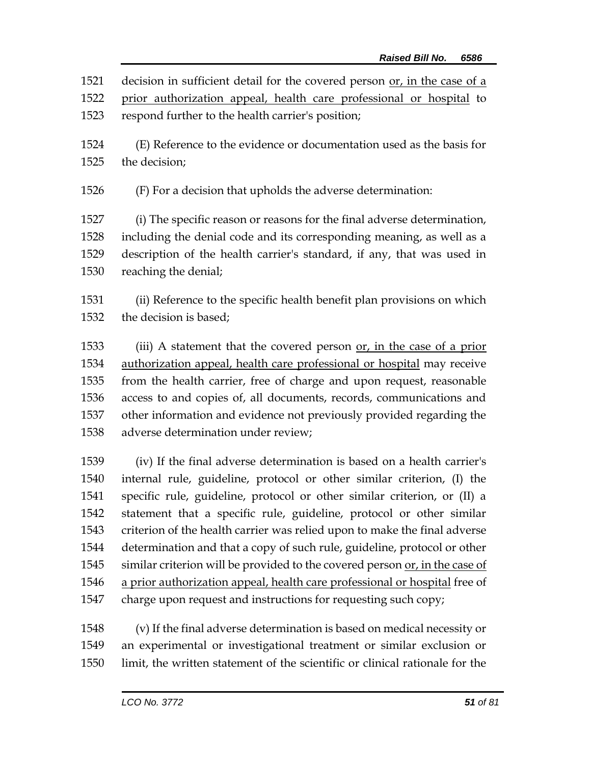1521 decision in sufficient detail for the covered person or, in the case of a prior authorization appeal, health care professional or hospital to

- respond further to the health carrier's position;
- (E) Reference to the evidence or documentation used as the basis for the decision;
- (F) For a decision that upholds the adverse determination:

 (i) The specific reason or reasons for the final adverse determination, including the denial code and its corresponding meaning, as well as a description of the health carrier's standard, if any, that was used in reaching the denial;

 (ii) Reference to the specific health benefit plan provisions on which the decision is based;

 (iii) A statement that the covered person or, in the case of a prior authorization appeal, health care professional or hospital may receive from the health carrier, free of charge and upon request, reasonable access to and copies of, all documents, records, communications and other information and evidence not previously provided regarding the adverse determination under review;

 (iv) If the final adverse determination is based on a health carrier's internal rule, guideline, protocol or other similar criterion, (I) the specific rule, guideline, protocol or other similar criterion, or (II) a statement that a specific rule, guideline, protocol or other similar criterion of the health carrier was relied upon to make the final adverse determination and that a copy of such rule, guideline, protocol or other similar criterion will be provided to the covered person or, in the case of a prior authorization appeal, health care professional or hospital free of charge upon request and instructions for requesting such copy;

 (v) If the final adverse determination is based on medical necessity or an experimental or investigational treatment or similar exclusion or limit, the written statement of the scientific or clinical rationale for the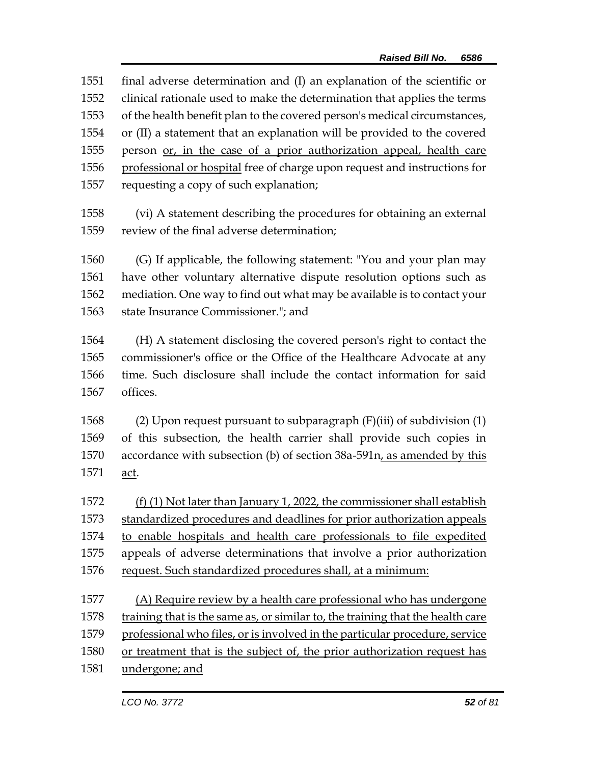| 1551 | final adverse determination and (I) an explanation of the scientific or        |
|------|--------------------------------------------------------------------------------|
| 1552 | clinical rationale used to make the determination that applies the terms       |
| 1553 | of the health benefit plan to the covered person's medical circumstances,      |
| 1554 | or (II) a statement that an explanation will be provided to the covered        |
| 1555 | person or, in the case of a prior authorization appeal, health care            |
| 1556 | professional or hospital free of charge upon request and instructions for      |
| 1557 | requesting a copy of such explanation;                                         |
|      |                                                                                |
| 1558 | (vi) A statement describing the procedures for obtaining an external           |
| 1559 | review of the final adverse determination;                                     |
|      |                                                                                |
| 1560 | (G) If applicable, the following statement: "You and your plan may             |
| 1561 | have other voluntary alternative dispute resolution options such as            |
| 1562 | mediation. One way to find out what may be available is to contact your        |
| 1563 | state Insurance Commissioner."; and                                            |
| 1564 | (H) A statement disclosing the covered person's right to contact the           |
| 1565 |                                                                                |
|      | commissioner's office or the Office of the Healthcare Advocate at any          |
| 1566 | time. Such disclosure shall include the contact information for said           |
| 1567 | offices.                                                                       |
| 1568 | (2) Upon request pursuant to subparagraph $(F)(iii)$ of subdivision $(1)$      |
| 1569 | of this subsection, the health carrier shall provide such copies in            |
| 1570 | accordance with subsection (b) of section 38a-591n, as amended by this         |
| 1571 | <u>act</u> .                                                                   |
|      |                                                                                |
| 1572 | $(f)$ (1) Not later than January 1, 2022, the commissioner shall establish     |
| 1573 | standardized procedures and deadlines for prior authorization appeals          |
| 1574 | to enable hospitals and health care professionals to file expedited            |
| 1575 | appeals of adverse determinations that involve a prior authorization           |
| 1576 | request. Such standardized procedures shall, at a minimum:                     |
|      |                                                                                |
| 1577 | (A) Require review by a health care professional who has undergone             |
| 1578 | training that is the same as, or similar to, the training that the health care |
| 1579 | professional who files, or is involved in the particular procedure, service    |
| 1580 | or treatment that is the subject of, the prior authorization request has       |
| 1581 | undergone; and                                                                 |
|      |                                                                                |
|      | LCO No. 3772<br>52 of 81                                                       |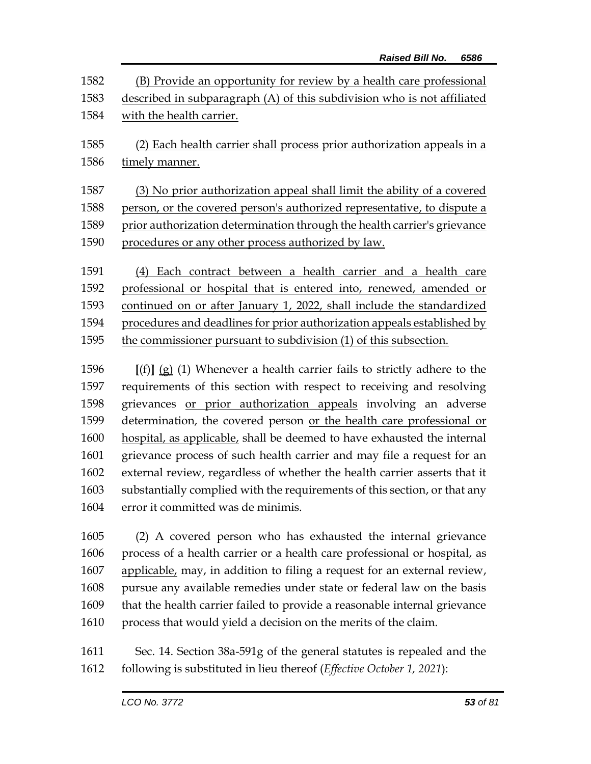| 1582 | (B) Provide an opportunity for review by a health care professional      |
|------|--------------------------------------------------------------------------|
| 1583 | described in subparagraph (A) of this subdivision who is not affiliated  |
| 1584 | with the health carrier.                                                 |
| 1585 | (2) Each health carrier shall process prior authorization appeals in a   |
| 1586 | timely manner.                                                           |
| 1587 | (3) No prior authorization appeal shall limit the ability of a covered   |
| 1588 | person, or the covered person's authorized representative, to dispute a  |
| 1589 | prior authorization determination through the health carrier's grievance |
| 1590 | procedures or any other process authorized by law.                       |
| 1591 | Each contract between a health carrier and a health care<br>(4)          |
| 1592 | professional or hospital that is entered into, renewed, amended or       |
| 1593 | continued on or after January 1, 2022, shall include the standardized    |
| 1594 | procedures and deadlines for prior authorization appeals established by  |
| 1595 | the commissioner pursuant to subdivision (1) of this subsection.         |

 **[**(f)**]** (g) (1) Whenever a health carrier fails to strictly adhere to the requirements of this section with respect to receiving and resolving grievances or prior authorization appeals involving an adverse 1599 determination, the covered person or the health care professional or hospital, as applicable, shall be deemed to have exhausted the internal grievance process of such health carrier and may file a request for an external review, regardless of whether the health carrier asserts that it substantially complied with the requirements of this section, or that any error it committed was de minimis.

 (2) A covered person who has exhausted the internal grievance process of a health carrier or a health care professional or hospital, as 1607 applicable, may, in addition to filing a request for an external review, pursue any available remedies under state or federal law on the basis that the health carrier failed to provide a reasonable internal grievance process that would yield a decision on the merits of the claim.

1611 Sec. 14. Section 38a-591g of the general statutes is repealed and the 1612 following is substituted in lieu thereof (*Effective October 1, 2021*):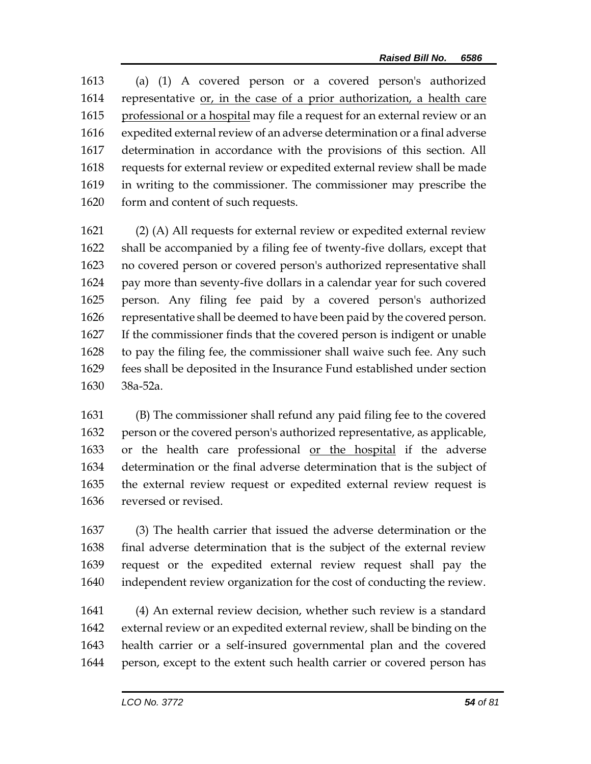(a) (1) A covered person or a covered person's authorized representative or, in the case of a prior authorization, a health care 1615 professional or a hospital may file a request for an external review or an expedited external review of an adverse determination or a final adverse determination in accordance with the provisions of this section. All requests for external review or expedited external review shall be made in writing to the commissioner. The commissioner may prescribe the form and content of such requests.

 (2) (A) All requests for external review or expedited external review shall be accompanied by a filing fee of twenty-five dollars, except that no covered person or covered person's authorized representative shall pay more than seventy-five dollars in a calendar year for such covered person. Any filing fee paid by a covered person's authorized representative shall be deemed to have been paid by the covered person. If the commissioner finds that the covered person is indigent or unable to pay the filing fee, the commissioner shall waive such fee. Any such fees shall be deposited in the Insurance Fund established under section 38a-52a.

 (B) The commissioner shall refund any paid filing fee to the covered person or the covered person's authorized representative, as applicable, 1633 or the health care professional or the hospital if the adverse determination or the final adverse determination that is the subject of the external review request or expedited external review request is reversed or revised.

 (3) The health carrier that issued the adverse determination or the final adverse determination that is the subject of the external review request or the expedited external review request shall pay the independent review organization for the cost of conducting the review.

 (4) An external review decision, whether such review is a standard external review or an expedited external review, shall be binding on the health carrier or a self-insured governmental plan and the covered person, except to the extent such health carrier or covered person has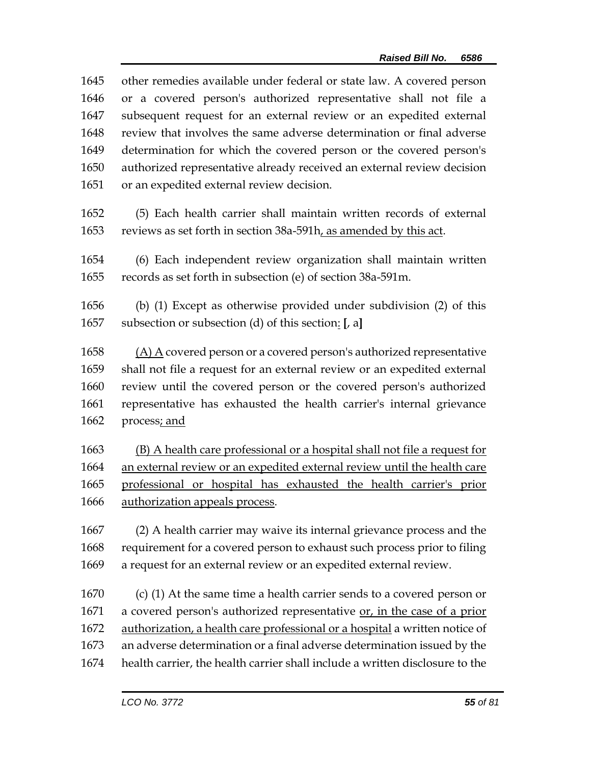| 1645 | other remedies available under federal or state law. A covered person        |
|------|------------------------------------------------------------------------------|
| 1646 | or a covered person's authorized representative shall not file a             |
| 1647 | subsequent request for an external review or an expedited external           |
| 1648 | review that involves the same adverse determination or final adverse         |
| 1649 | determination for which the covered person or the covered person's           |
| 1650 | authorized representative already received an external review decision       |
| 1651 | or an expedited external review decision.                                    |
| 1652 | (5) Each health carrier shall maintain written records of external           |
| 1653 | reviews as set forth in section 38a-591h, as amended by this act.            |
| 1654 | (6) Each independent review organization shall maintain written              |
| 1655 | records as set forth in subsection (e) of section 38a-591m.                  |
| 1656 | (b) (1) Except as otherwise provided under subdivision (2) of this           |
| 1657 | subsection or subsection (d) of this section: [, a]                          |
| 1658 | $(A)$ A covered person or a covered person's authorized representative       |
| 1659 | shall not file a request for an external review or an expedited external     |
| 1660 | review until the covered person or the covered person's authorized           |
| 1661 | representative has exhausted the health carrier's internal grievance         |
| 1662 | process; and                                                                 |
| 1663 | (B) A health care professional or a hospital shall not file a request for    |
| 1664 | an external review or an expedited external review until the health care     |
| 1665 | professional or hospital has exhausted the health carrier's prior            |
| 1666 | authorization appeals process.                                               |
| 1667 | (2) A health carrier may waive its internal grievance process and the        |
| 1668 | requirement for a covered person to exhaust such process prior to filing     |
| 1669 | a request for an external review or an expedited external review.            |
| 1670 | $(c)$ (1) At the same time a health carrier sends to a covered person or     |
| 1671 | a covered person's authorized representative or, in the case of a prior      |
| 1672 | authorization, a health care professional or a hospital a written notice of  |
| 1673 | an adverse determination or a final adverse determination issued by the      |
| 1674 | health carrier, the health carrier shall include a written disclosure to the |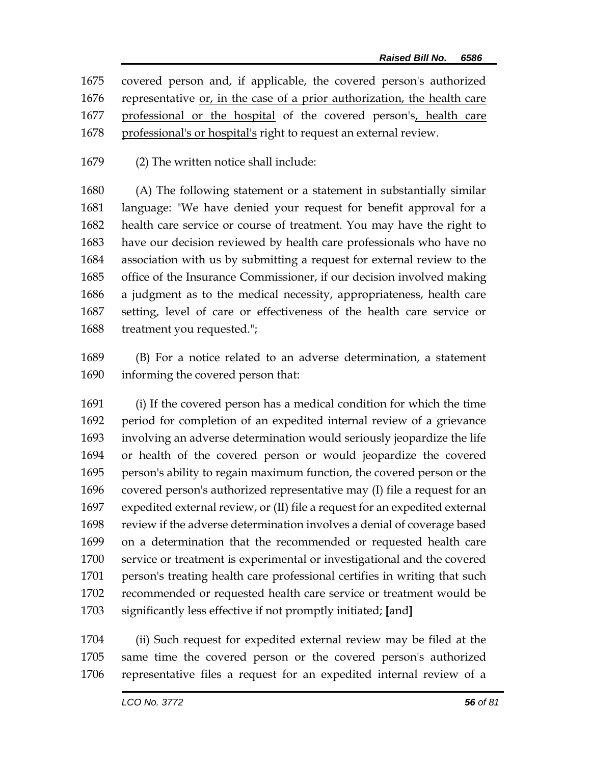- covered person and, if applicable, the covered person's authorized representative or, in the case of a prior authorization, the health care 1677 professional or the hospital of the covered person's, health care professional's or hospital's right to request an external review.
- (2) The written notice shall include:

 (A) The following statement or a statement in substantially similar language: "We have denied your request for benefit approval for a health care service or course of treatment. You may have the right to have our decision reviewed by health care professionals who have no association with us by submitting a request for external review to the office of the Insurance Commissioner, if our decision involved making a judgment as to the medical necessity, appropriateness, health care setting, level of care or effectiveness of the health care service or treatment you requested.";

 (B) For a notice related to an adverse determination, a statement informing the covered person that:

 (i) If the covered person has a medical condition for which the time period for completion of an expedited internal review of a grievance involving an adverse determination would seriously jeopardize the life or health of the covered person or would jeopardize the covered person's ability to regain maximum function, the covered person or the covered person's authorized representative may (I) file a request for an expedited external review, or (II) file a request for an expedited external review if the adverse determination involves a denial of coverage based on a determination that the recommended or requested health care service or treatment is experimental or investigational and the covered person's treating health care professional certifies in writing that such recommended or requested health care service or treatment would be significantly less effective if not promptly initiated; **[**and**]**

 (ii) Such request for expedited external review may be filed at the same time the covered person or the covered person's authorized representative files a request for an expedited internal review of a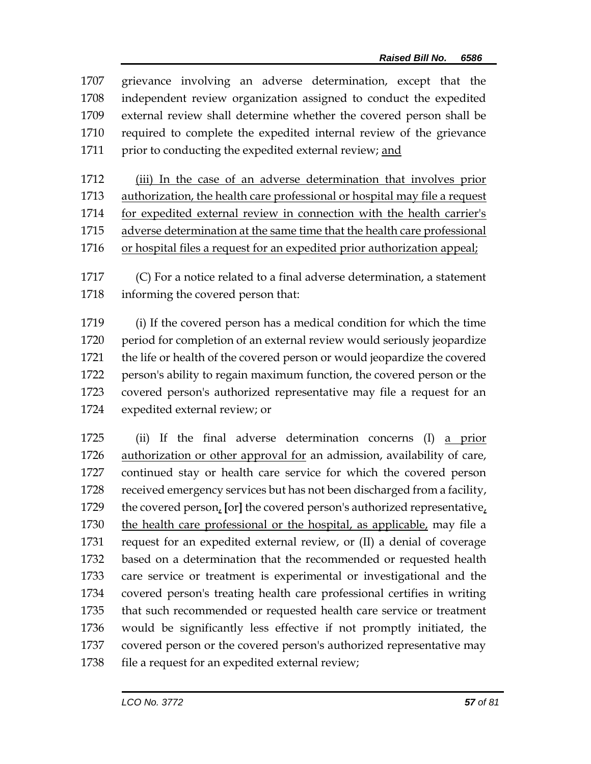grievance involving an adverse determination, except that the independent review organization assigned to conduct the expedited external review shall determine whether the covered person shall be required to complete the expedited internal review of the grievance 1711 prior to conducting the expedited external review; and

 (iii) In the case of an adverse determination that involves prior authorization, the health care professional or hospital may file a request for expedited external review in connection with the health carrier's adverse determination at the same time that the health care professional or hospital files a request for an expedited prior authorization appeal;

 (C) For a notice related to a final adverse determination, a statement informing the covered person that:

 (i) If the covered person has a medical condition for which the time period for completion of an external review would seriously jeopardize the life or health of the covered person or would jeopardize the covered person's ability to regain maximum function, the covered person or the covered person's authorized representative may file a request for an expedited external review; or

 (ii) If the final adverse determination concerns (I) a prior 1726 authorization or other approval for an admission, availability of care, continued stay or health care service for which the covered person received emergency services but has not been discharged from a facility, the covered person, **[**or**]** the covered person's authorized representative, 1730 the health care professional or the hospital, as applicable, may file a request for an expedited external review, or (II) a denial of coverage based on a determination that the recommended or requested health care service or treatment is experimental or investigational and the covered person's treating health care professional certifies in writing that such recommended or requested health care service or treatment would be significantly less effective if not promptly initiated, the covered person or the covered person's authorized representative may 1738 file a request for an expedited external review;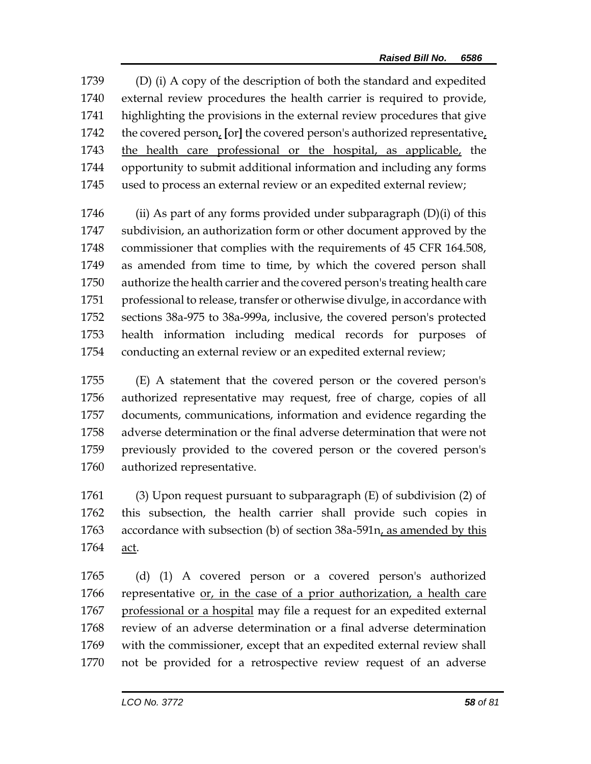(D) (i) A copy of the description of both the standard and expedited external review procedures the health carrier is required to provide, highlighting the provisions in the external review procedures that give the covered person, **[**or**]** the covered person's authorized representative, the health care professional or the hospital, as applicable, the opportunity to submit additional information and including any forms used to process an external review or an expedited external review;

1746 (ii) As part of any forms provided under subparagraph  $(D)(i)$  of this subdivision, an authorization form or other document approved by the commissioner that complies with the requirements of 45 CFR 164.508, as amended from time to time, by which the covered person shall authorize the health carrier and the covered person's treating health care professional to release, transfer or otherwise divulge, in accordance with sections 38a-975 to 38a-999a, inclusive, the covered person's protected health information including medical records for purposes of conducting an external review or an expedited external review;

 (E) A statement that the covered person or the covered person's authorized representative may request, free of charge, copies of all documents, communications, information and evidence regarding the adverse determination or the final adverse determination that were not previously provided to the covered person or the covered person's authorized representative.

 (3) Upon request pursuant to subparagraph (E) of subdivision (2) of this subsection, the health carrier shall provide such copies in accordance with subsection (b) of section 38a-591n, as amended by this act.

 (d) (1) A covered person or a covered person's authorized representative or, in the case of a prior authorization, a health care professional or a hospital may file a request for an expedited external review of an adverse determination or a final adverse determination with the commissioner, except that an expedited external review shall not be provided for a retrospective review request of an adverse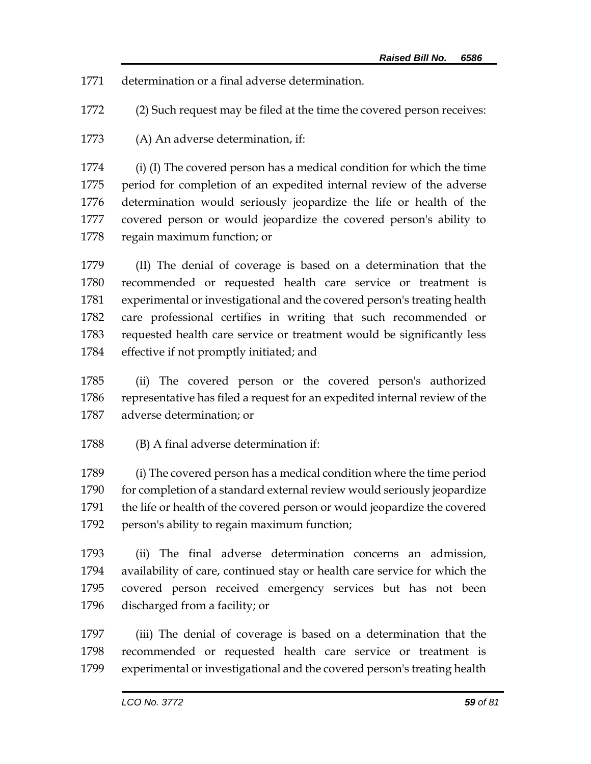determination or a final adverse determination.

(2) Such request may be filed at the time the covered person receives:

(A) An adverse determination, if:

 (i) (I) The covered person has a medical condition for which the time period for completion of an expedited internal review of the adverse determination would seriously jeopardize the life or health of the covered person or would jeopardize the covered person's ability to regain maximum function; or

 (II) The denial of coverage is based on a determination that the recommended or requested health care service or treatment is experimental or investigational and the covered person's treating health care professional certifies in writing that such recommended or requested health care service or treatment would be significantly less effective if not promptly initiated; and

 (ii) The covered person or the covered person's authorized representative has filed a request for an expedited internal review of the adverse determination; or

(B) A final adverse determination if:

 (i) The covered person has a medical condition where the time period 1790 for completion of a standard external review would seriously jeopardize the life or health of the covered person or would jeopardize the covered person's ability to regain maximum function;

 (ii) The final adverse determination concerns an admission, availability of care, continued stay or health care service for which the covered person received emergency services but has not been discharged from a facility; or

 (iii) The denial of coverage is based on a determination that the recommended or requested health care service or treatment is experimental or investigational and the covered person's treating health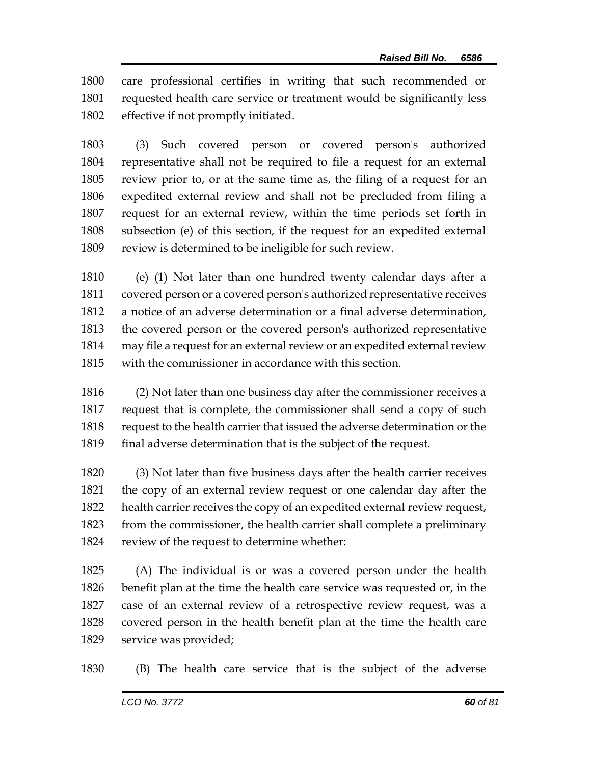care professional certifies in writing that such recommended or requested health care service or treatment would be significantly less effective if not promptly initiated.

 (3) Such covered person or covered person's authorized representative shall not be required to file a request for an external review prior to, or at the same time as, the filing of a request for an expedited external review and shall not be precluded from filing a request for an external review, within the time periods set forth in subsection (e) of this section, if the request for an expedited external review is determined to be ineligible for such review.

 (e) (1) Not later than one hundred twenty calendar days after a covered person or a covered person's authorized representative receives a notice of an adverse determination or a final adverse determination, the covered person or the covered person's authorized representative may file a request for an external review or an expedited external review with the commissioner in accordance with this section.

 (2) Not later than one business day after the commissioner receives a request that is complete, the commissioner shall send a copy of such request to the health carrier that issued the adverse determination or the final adverse determination that is the subject of the request.

 (3) Not later than five business days after the health carrier receives the copy of an external review request or one calendar day after the health carrier receives the copy of an expedited external review request, from the commissioner, the health carrier shall complete a preliminary review of the request to determine whether:

 (A) The individual is or was a covered person under the health benefit plan at the time the health care service was requested or, in the case of an external review of a retrospective review request, was a covered person in the health benefit plan at the time the health care service was provided;

(B) The health care service that is the subject of the adverse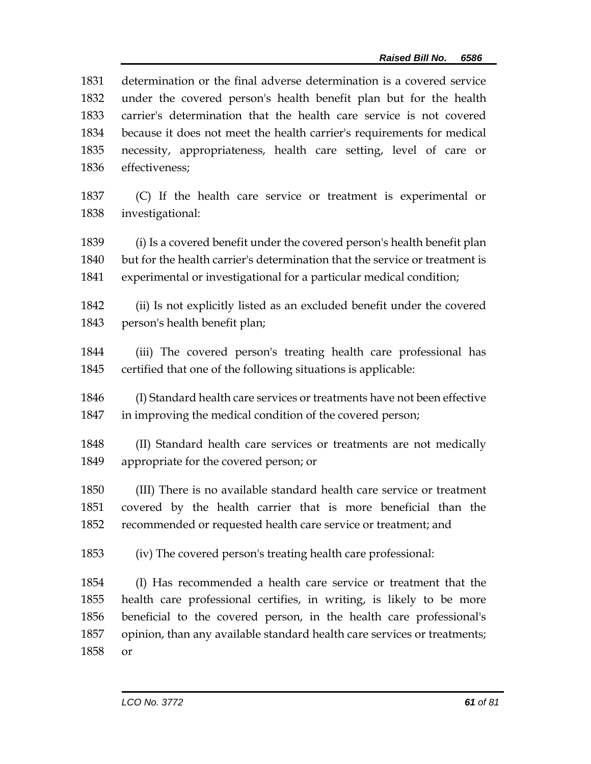| 1831 | determination or the final adverse determination is a covered service       |
|------|-----------------------------------------------------------------------------|
| 1832 | under the covered person's health benefit plan but for the health           |
| 1833 | carrier's determination that the health care service is not covered         |
| 1834 | because it does not meet the health carrier's requirements for medical      |
| 1835 | necessity, appropriateness, health care setting, level of care or           |
| 1836 | effectiveness;                                                              |
| 1837 | (C) If the health care service or treatment is experimental or              |
| 1838 | investigational:                                                            |
| 1839 | (i) Is a covered benefit under the covered person's health benefit plan     |
| 1840 | but for the health carrier's determination that the service or treatment is |
| 1841 | experimental or investigational for a particular medical condition;         |
| 1842 | (ii) Is not explicitly listed as an excluded benefit under the covered      |
| 1843 | person's health benefit plan;                                               |
| 1844 | (iii) The covered person's treating health care professional has            |
| 1845 | certified that one of the following situations is applicable:               |
| 1846 | (I) Standard health care services or treatments have not been effective     |
| 1847 | in improving the medical condition of the covered person;                   |
| 1848 | (II) Standard health care services or treatments are not medically          |
| 1849 | appropriate for the covered person; or                                      |
| 1850 | (III) There is no available standard health care service or treatment       |
| 1851 | covered by the health carrier that is more beneficial than the              |
| 1852 | recommended or requested health care service or treatment; and              |
| 1853 | (iv) The covered person's treating health care professional:                |
| 1854 | (I) Has recommended a health care service or treatment that the             |
| 1855 | health care professional certifies, in writing, is likely to be more        |
| 1856 | beneficial to the covered person, in the health care professional's         |
| 1857 | opinion, than any available standard health care services or treatments;    |
| 1858 | or                                                                          |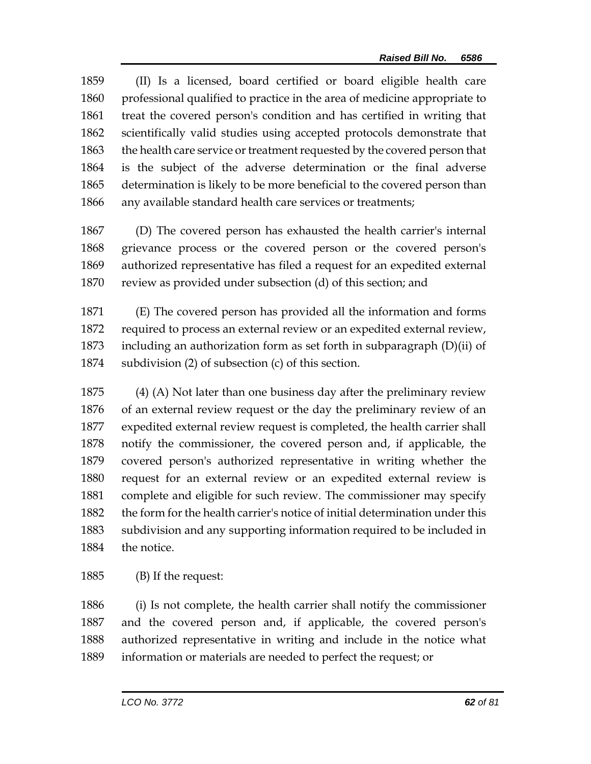(II) Is a licensed, board certified or board eligible health care professional qualified to practice in the area of medicine appropriate to treat the covered person's condition and has certified in writing that scientifically valid studies using accepted protocols demonstrate that the health care service or treatment requested by the covered person that is the subject of the adverse determination or the final adverse determination is likely to be more beneficial to the covered person than any available standard health care services or treatments;

 (D) The covered person has exhausted the health carrier's internal grievance process or the covered person or the covered person's authorized representative has filed a request for an expedited external review as provided under subsection (d) of this section; and

 (E) The covered person has provided all the information and forms required to process an external review or an expedited external review, including an authorization form as set forth in subparagraph (D)(ii) of subdivision (2) of subsection (c) of this section.

 (4) (A) Not later than one business day after the preliminary review of an external review request or the day the preliminary review of an expedited external review request is completed, the health carrier shall notify the commissioner, the covered person and, if applicable, the covered person's authorized representative in writing whether the request for an external review or an expedited external review is complete and eligible for such review. The commissioner may specify the form for the health carrier's notice of initial determination under this subdivision and any supporting information required to be included in the notice.

(B) If the request:

 (i) Is not complete, the health carrier shall notify the commissioner and the covered person and, if applicable, the covered person's authorized representative in writing and include in the notice what information or materials are needed to perfect the request; or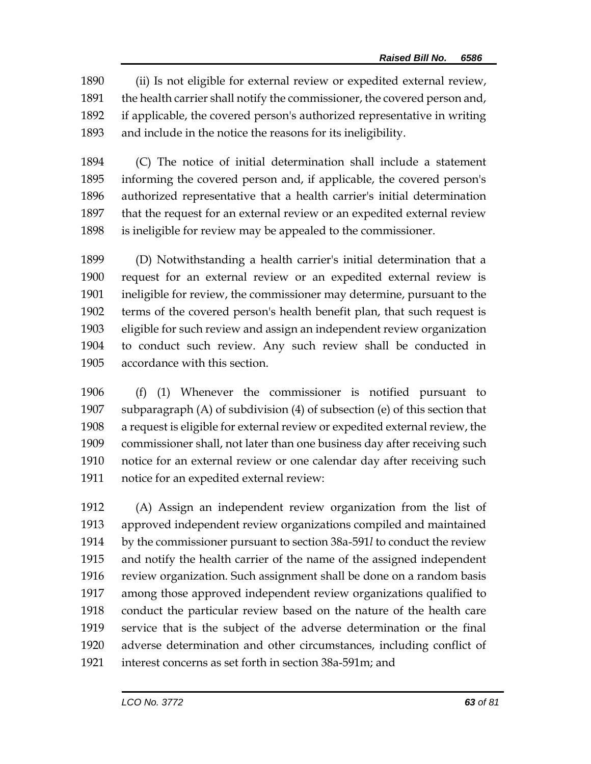(ii) Is not eligible for external review or expedited external review, the health carrier shall notify the commissioner, the covered person and, if applicable, the covered person's authorized representative in writing and include in the notice the reasons for its ineligibility.

 (C) The notice of initial determination shall include a statement informing the covered person and, if applicable, the covered person's authorized representative that a health carrier's initial determination that the request for an external review or an expedited external review is ineligible for review may be appealed to the commissioner.

 (D) Notwithstanding a health carrier's initial determination that a request for an external review or an expedited external review is ineligible for review, the commissioner may determine, pursuant to the terms of the covered person's health benefit plan, that such request is eligible for such review and assign an independent review organization to conduct such review. Any such review shall be conducted in accordance with this section.

 (f) (1) Whenever the commissioner is notified pursuant to subparagraph (A) of subdivision (4) of subsection (e) of this section that a request is eligible for external review or expedited external review, the commissioner shall, not later than one business day after receiving such notice for an external review or one calendar day after receiving such notice for an expedited external review:

 (A) Assign an independent review organization from the list of approved independent review organizations compiled and maintained by the commissioner pursuant to section 38a-591*l* to conduct the review and notify the health carrier of the name of the assigned independent review organization. Such assignment shall be done on a random basis among those approved independent review organizations qualified to conduct the particular review based on the nature of the health care service that is the subject of the adverse determination or the final adverse determination and other circumstances, including conflict of interest concerns as set forth in section 38a-591m; and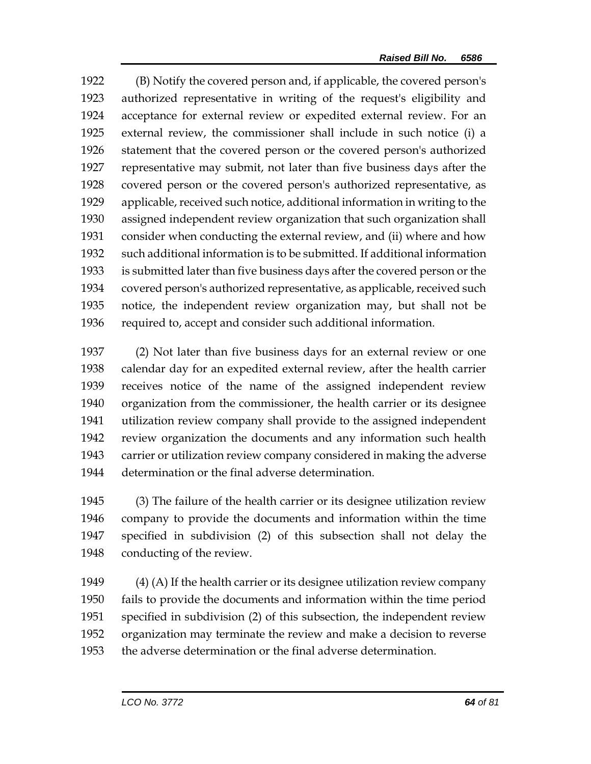(B) Notify the covered person and, if applicable, the covered person's authorized representative in writing of the request's eligibility and acceptance for external review or expedited external review. For an external review, the commissioner shall include in such notice (i) a statement that the covered person or the covered person's authorized representative may submit, not later than five business days after the covered person or the covered person's authorized representative, as applicable, received such notice, additional information in writing to the assigned independent review organization that such organization shall consider when conducting the external review, and (ii) where and how such additional information is to be submitted. If additional information is submitted later than five business days after the covered person or the covered person's authorized representative, as applicable, received such notice, the independent review organization may, but shall not be required to, accept and consider such additional information.

 (2) Not later than five business days for an external review or one calendar day for an expedited external review, after the health carrier receives notice of the name of the assigned independent review organization from the commissioner, the health carrier or its designee utilization review company shall provide to the assigned independent review organization the documents and any information such health carrier or utilization review company considered in making the adverse determination or the final adverse determination.

 (3) The failure of the health carrier or its designee utilization review company to provide the documents and information within the time specified in subdivision (2) of this subsection shall not delay the conducting of the review.

 (4) (A) If the health carrier or its designee utilization review company fails to provide the documents and information within the time period specified in subdivision (2) of this subsection, the independent review organization may terminate the review and make a decision to reverse the adverse determination or the final adverse determination.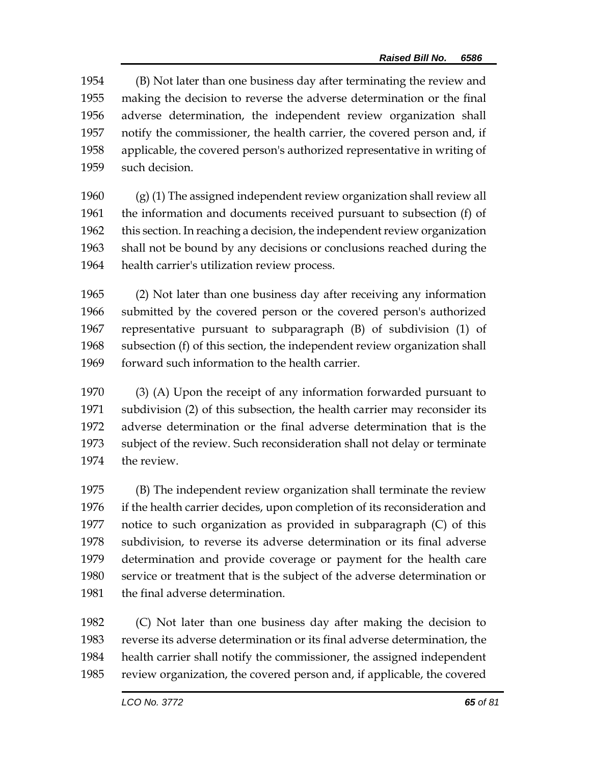(B) Not later than one business day after terminating the review and making the decision to reverse the adverse determination or the final adverse determination, the independent review organization shall notify the commissioner, the health carrier, the covered person and, if applicable, the covered person's authorized representative in writing of such decision.

 (g) (1) The assigned independent review organization shall review all the information and documents received pursuant to subsection (f) of this section. In reaching a decision, the independent review organization shall not be bound by any decisions or conclusions reached during the health carrier's utilization review process.

 (2) Not later than one business day after receiving any information submitted by the covered person or the covered person's authorized representative pursuant to subparagraph (B) of subdivision (1) of subsection (f) of this section, the independent review organization shall forward such information to the health carrier.

 (3) (A) Upon the receipt of any information forwarded pursuant to subdivision (2) of this subsection, the health carrier may reconsider its adverse determination or the final adverse determination that is the subject of the review. Such reconsideration shall not delay or terminate the review.

 (B) The independent review organization shall terminate the review if the health carrier decides, upon completion of its reconsideration and notice to such organization as provided in subparagraph (C) of this subdivision, to reverse its adverse determination or its final adverse determination and provide coverage or payment for the health care service or treatment that is the subject of the adverse determination or the final adverse determination.

 (C) Not later than one business day after making the decision to reverse its adverse determination or its final adverse determination, the health carrier shall notify the commissioner, the assigned independent review organization, the covered person and, if applicable, the covered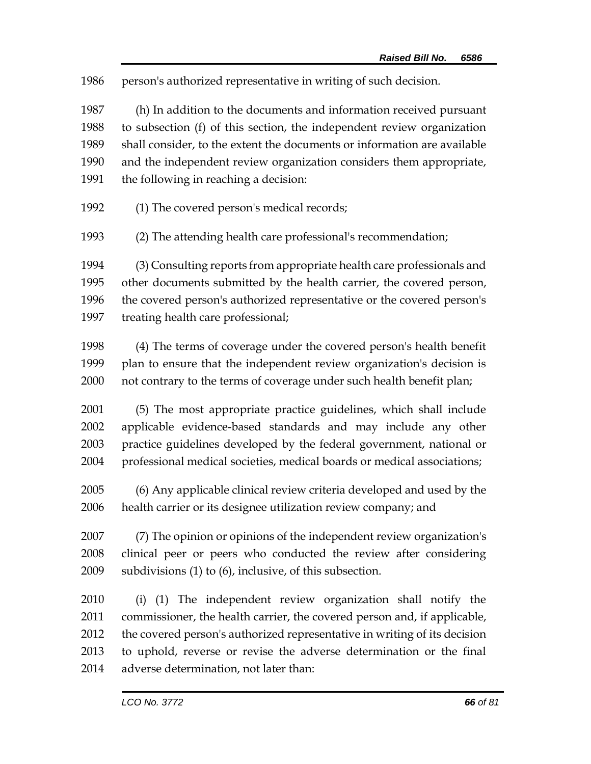person's authorized representative in writing of such decision.

 (h) In addition to the documents and information received pursuant to subsection (f) of this section, the independent review organization shall consider, to the extent the documents or information are available and the independent review organization considers them appropriate, the following in reaching a decision:

(1) The covered person's medical records;

(2) The attending health care professional's recommendation;

 (3) Consulting reports from appropriate health care professionals and other documents submitted by the health carrier, the covered person, the covered person's authorized representative or the covered person's treating health care professional;

- (4) The terms of coverage under the covered person's health benefit plan to ensure that the independent review organization's decision is not contrary to the terms of coverage under such health benefit plan;
- (5) The most appropriate practice guidelines, which shall include applicable evidence-based standards and may include any other practice guidelines developed by the federal government, national or professional medical societies, medical boards or medical associations;
- (6) Any applicable clinical review criteria developed and used by the health carrier or its designee utilization review company; and

 (7) The opinion or opinions of the independent review organization's clinical peer or peers who conducted the review after considering subdivisions (1) to (6), inclusive, of this subsection.

 (i) (1) The independent review organization shall notify the commissioner, the health carrier, the covered person and, if applicable, the covered person's authorized representative in writing of its decision to uphold, reverse or revise the adverse determination or the final adverse determination, not later than: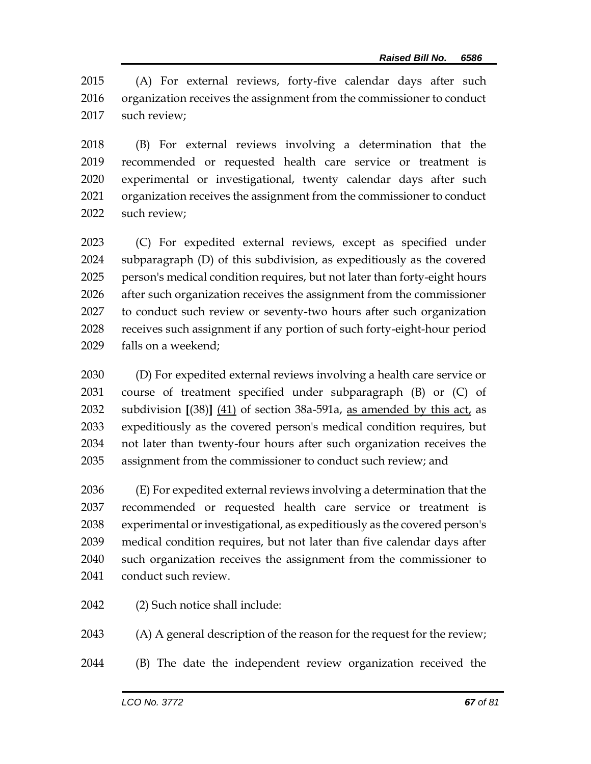(A) For external reviews, forty-five calendar days after such organization receives the assignment from the commissioner to conduct such review;

 (B) For external reviews involving a determination that the recommended or requested health care service or treatment is experimental or investigational, twenty calendar days after such organization receives the assignment from the commissioner to conduct such review;

 (C) For expedited external reviews, except as specified under subparagraph (D) of this subdivision, as expeditiously as the covered person's medical condition requires, but not later than forty-eight hours after such organization receives the assignment from the commissioner to conduct such review or seventy-two hours after such organization receives such assignment if any portion of such forty-eight-hour period falls on a weekend;

 (D) For expedited external reviews involving a health care service or course of treatment specified under subparagraph (B) or (C) of subdivision **[**(38)**]** (41) of section 38a-591a, as amended by this act, as expeditiously as the covered person's medical condition requires, but not later than twenty-four hours after such organization receives the assignment from the commissioner to conduct such review; and

 (E) For expedited external reviews involving a determination that the recommended or requested health care service or treatment is experimental or investigational, as expeditiously as the covered person's medical condition requires, but not later than five calendar days after such organization receives the assignment from the commissioner to conduct such review.

(2) Such notice shall include:

(A) A general description of the reason for the request for the review;

(B) The date the independent review organization received the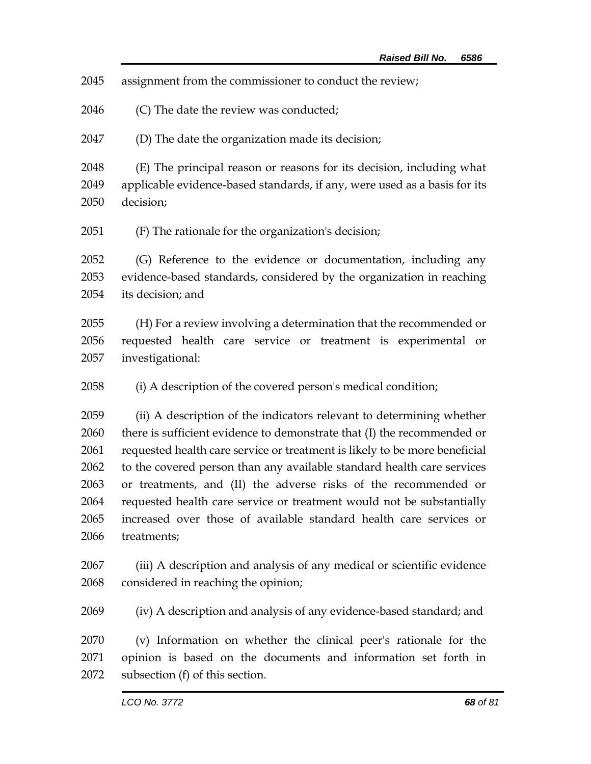assignment from the commissioner to conduct the review;

(C) The date the review was conducted;

(D) The date the organization made its decision;

 (E) The principal reason or reasons for its decision, including what applicable evidence-based standards, if any, were used as a basis for its decision;

(F) The rationale for the organization's decision;

 (G) Reference to the evidence or documentation, including any evidence-based standards, considered by the organization in reaching its decision; and

 (H) For a review involving a determination that the recommended or requested health care service or treatment is experimental or investigational:

(i) A description of the covered person's medical condition;

 (ii) A description of the indicators relevant to determining whether 2060 there is sufficient evidence to demonstrate that (I) the recommended or requested health care service or treatment is likely to be more beneficial to the covered person than any available standard health care services or treatments, and (II) the adverse risks of the recommended or requested health care service or treatment would not be substantially increased over those of available standard health care services or treatments;

 (iii) A description and analysis of any medical or scientific evidence considered in reaching the opinion;

(iv) A description and analysis of any evidence-based standard; and

 (v) Information on whether the clinical peer's rationale for the opinion is based on the documents and information set forth in subsection (f) of this section.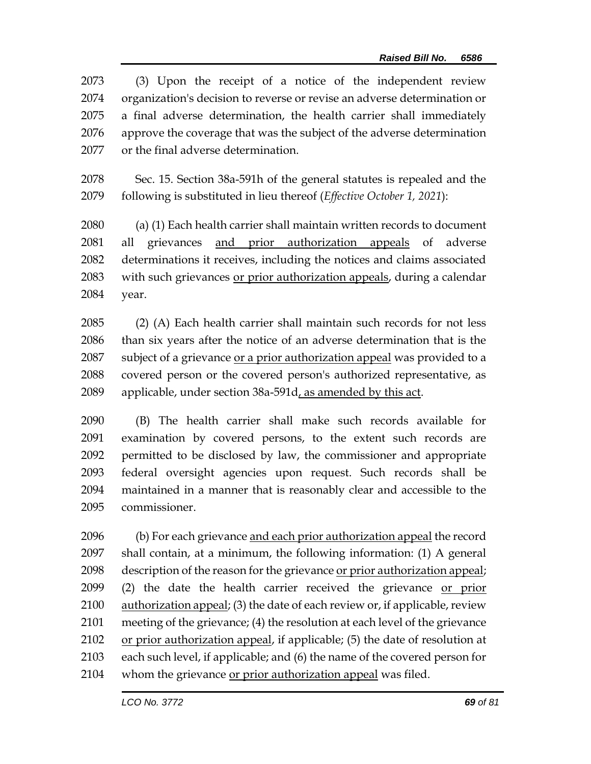(3) Upon the receipt of a notice of the independent review organization's decision to reverse or revise an adverse determination or a final adverse determination, the health carrier shall immediately approve the coverage that was the subject of the adverse determination or the final adverse determination.

 Sec. 15. Section 38a-591h of the general statutes is repealed and the following is substituted in lieu thereof (*Effective October 1, 2021*):

 (a) (1) Each health carrier shall maintain written records to document all grievances and prior authorization appeals of adverse determinations it receives, including the notices and claims associated with such grievances or prior authorization appeals, during a calendar year.

 (2) (A) Each health carrier shall maintain such records for not less than six years after the notice of an adverse determination that is the 2087 subject of a grievance or a prior authorization appeal was provided to a covered person or the covered person's authorized representative, as applicable, under section 38a-591d, as amended by this act.

 (B) The health carrier shall make such records available for examination by covered persons, to the extent such records are permitted to be disclosed by law, the commissioner and appropriate federal oversight agencies upon request. Such records shall be maintained in a manner that is reasonably clear and accessible to the commissioner.

 (b) For each grievance and each prior authorization appeal the record shall contain, at a minimum, the following information: (1) A general description of the reason for the grievance or prior authorization appeal; 2099 (2) the date the health carrier received the grievance or prior authorization appeal; (3) the date of each review or, if applicable, review meeting of the grievance; (4) the resolution at each level of the grievance or prior authorization appeal, if applicable; (5) the date of resolution at each such level, if applicable; and (6) the name of the covered person for whom the grievance or prior authorization appeal was filed.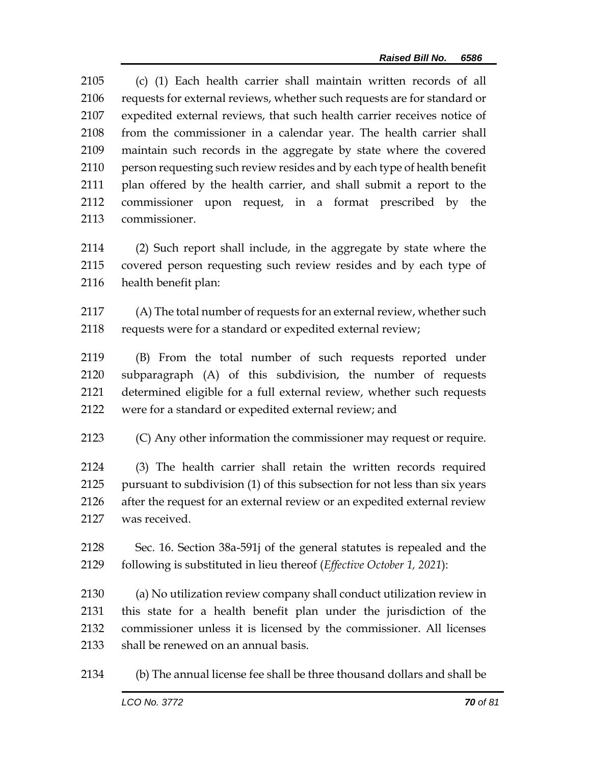(c) (1) Each health carrier shall maintain written records of all requests for external reviews, whether such requests are for standard or expedited external reviews, that such health carrier receives notice of from the commissioner in a calendar year. The health carrier shall maintain such records in the aggregate by state where the covered person requesting such review resides and by each type of health benefit plan offered by the health carrier, and shall submit a report to the commissioner upon request, in a format prescribed by the commissioner.

 (2) Such report shall include, in the aggregate by state where the covered person requesting such review resides and by each type of health benefit plan:

2117 (A) The total number of requests for an external review, whether such 2118 requests were for a standard or expedited external review;

 (B) From the total number of such requests reported under subparagraph (A) of this subdivision, the number of requests determined eligible for a full external review, whether such requests were for a standard or expedited external review; and

(C) Any other information the commissioner may request or require.

 (3) The health carrier shall retain the written records required pursuant to subdivision (1) of this subsection for not less than six years after the request for an external review or an expedited external review was received.

 Sec. 16. Section 38a-591j of the general statutes is repealed and the following is substituted in lieu thereof (*Effective October 1, 2021*):

 (a) No utilization review company shall conduct utilization review in this state for a health benefit plan under the jurisdiction of the commissioner unless it is licensed by the commissioner. All licenses shall be renewed on an annual basis.

(b) The annual license fee shall be three thousand dollars and shall be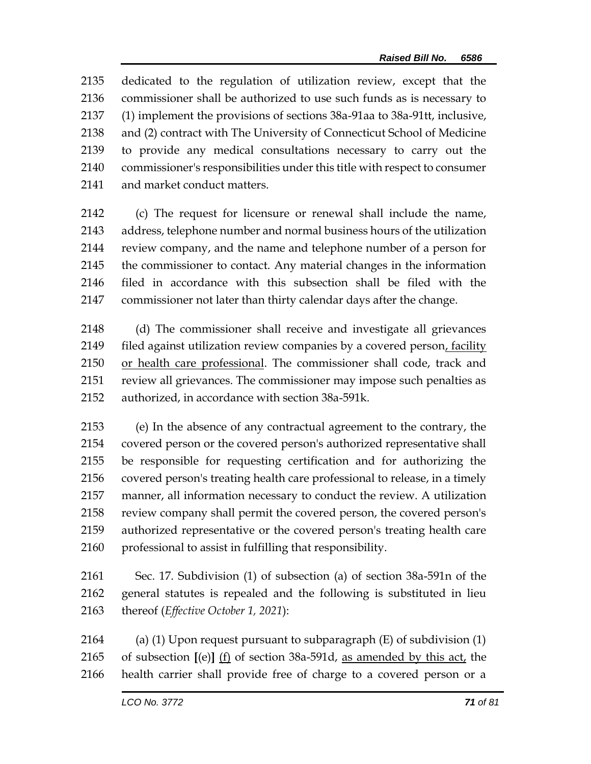dedicated to the regulation of utilization review, except that the commissioner shall be authorized to use such funds as is necessary to (1) implement the provisions of sections 38a-91aa to 38a-91tt, inclusive, and (2) contract with The University of Connecticut School of Medicine to provide any medical consultations necessary to carry out the commissioner's responsibilities under this title with respect to consumer and market conduct matters.

 (c) The request for licensure or renewal shall include the name, address, telephone number and normal business hours of the utilization review company, and the name and telephone number of a person for the commissioner to contact. Any material changes in the information filed in accordance with this subsection shall be filed with the commissioner not later than thirty calendar days after the change.

 (d) The commissioner shall receive and investigate all grievances 2149 filed against utilization review companies by a covered person, facility or health care professional. The commissioner shall code, track and review all grievances. The commissioner may impose such penalties as authorized, in accordance with section 38a-591k.

 (e) In the absence of any contractual agreement to the contrary, the covered person or the covered person's authorized representative shall be responsible for requesting certification and for authorizing the covered person's treating health care professional to release, in a timely manner, all information necessary to conduct the review. A utilization review company shall permit the covered person, the covered person's authorized representative or the covered person's treating health care professional to assist in fulfilling that responsibility.

 Sec. 17. Subdivision (1) of subsection (a) of section 38a-591n of the general statutes is repealed and the following is substituted in lieu thereof (*Effective October 1, 2021*):

 (a) (1) Upon request pursuant to subparagraph (E) of subdivision (1) of subsection **[**(e)**]** (f) of section 38a-591d, as amended by this act, the health carrier shall provide free of charge to a covered person or a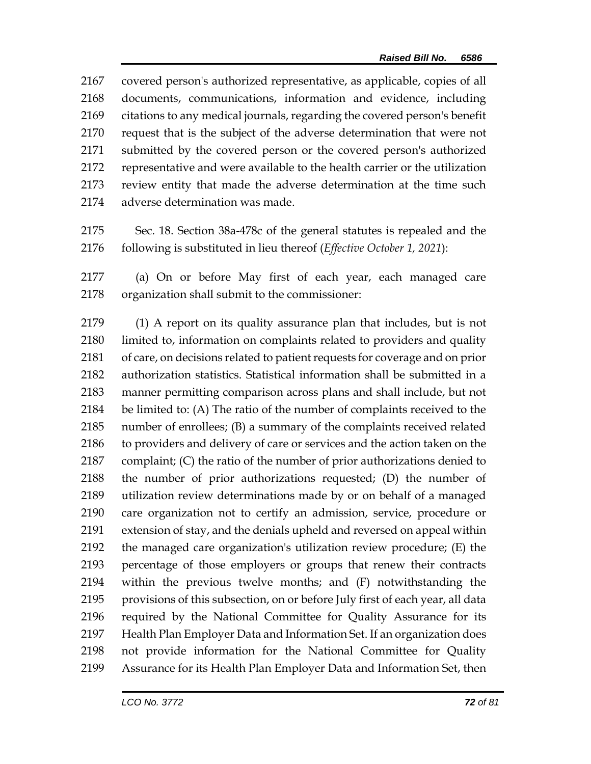covered person's authorized representative, as applicable, copies of all documents, communications, information and evidence, including citations to any medical journals, regarding the covered person's benefit request that is the subject of the adverse determination that were not submitted by the covered person or the covered person's authorized representative and were available to the health carrier or the utilization review entity that made the adverse determination at the time such adverse determination was made.

 Sec. 18. Section 38a-478c of the general statutes is repealed and the following is substituted in lieu thereof (*Effective October 1, 2021*):

 (a) On or before May first of each year, each managed care organization shall submit to the commissioner:

 (1) A report on its quality assurance plan that includes, but is not limited to, information on complaints related to providers and quality of care, on decisions related to patient requests for coverage and on prior authorization statistics. Statistical information shall be submitted in a manner permitting comparison across plans and shall include, but not be limited to: (A) The ratio of the number of complaints received to the number of enrollees; (B) a summary of the complaints received related to providers and delivery of care or services and the action taken on the complaint; (C) the ratio of the number of prior authorizations denied to the number of prior authorizations requested; (D) the number of utilization review determinations made by or on behalf of a managed care organization not to certify an admission, service, procedure or extension of stay, and the denials upheld and reversed on appeal within the managed care organization's utilization review procedure; (E) the percentage of those employers or groups that renew their contracts within the previous twelve months; and (F) notwithstanding the provisions of this subsection, on or before July first of each year, all data required by the National Committee for Quality Assurance for its Health Plan Employer Data and Information Set. If an organization does not provide information for the National Committee for Quality Assurance for its Health Plan Employer Data and Information Set, then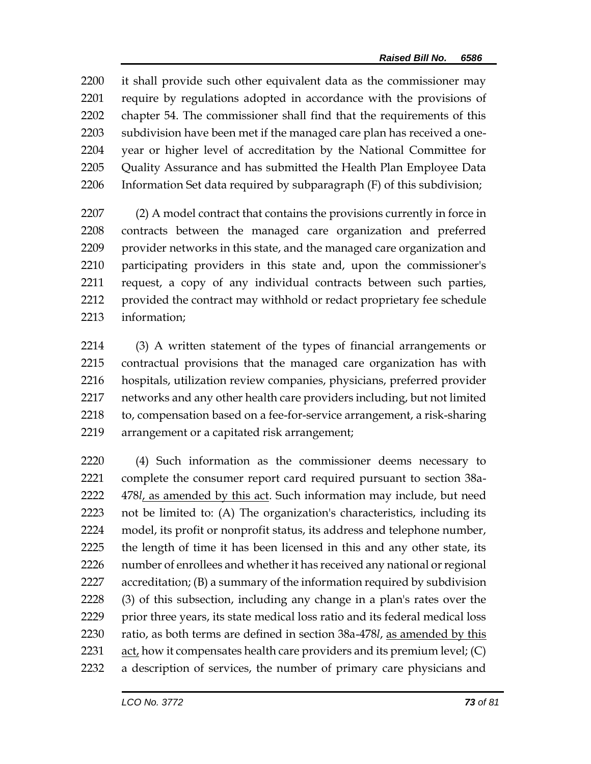it shall provide such other equivalent data as the commissioner may require by regulations adopted in accordance with the provisions of chapter 54. The commissioner shall find that the requirements of this subdivision have been met if the managed care plan has received a one- year or higher level of accreditation by the National Committee for Quality Assurance and has submitted the Health Plan Employee Data Information Set data required by subparagraph (F) of this subdivision;

 (2) A model contract that contains the provisions currently in force in contracts between the managed care organization and preferred provider networks in this state, and the managed care organization and participating providers in this state and, upon the commissioner's request, a copy of any individual contracts between such parties, provided the contract may withhold or redact proprietary fee schedule information;

 (3) A written statement of the types of financial arrangements or contractual provisions that the managed care organization has with hospitals, utilization review companies, physicians, preferred provider networks and any other health care providers including, but not limited to, compensation based on a fee-for-service arrangement, a risk-sharing arrangement or a capitated risk arrangement;

 (4) Such information as the commissioner deems necessary to complete the consumer report card required pursuant to section 38a- 478*l*, as amended by this act. Such information may include, but need not be limited to: (A) The organization's characteristics, including its model, its profit or nonprofit status, its address and telephone number, the length of time it has been licensed in this and any other state, its number of enrollees and whether it has received any national or regional accreditation; (B) a summary of the information required by subdivision (3) of this subsection, including any change in a plan's rates over the prior three years, its state medical loss ratio and its federal medical loss ratio, as both terms are defined in section 38a-478*l*, as amended by this  $act<sub>i</sub>$  how it compensates health care providers and its premium level; (C) a description of services, the number of primary care physicians and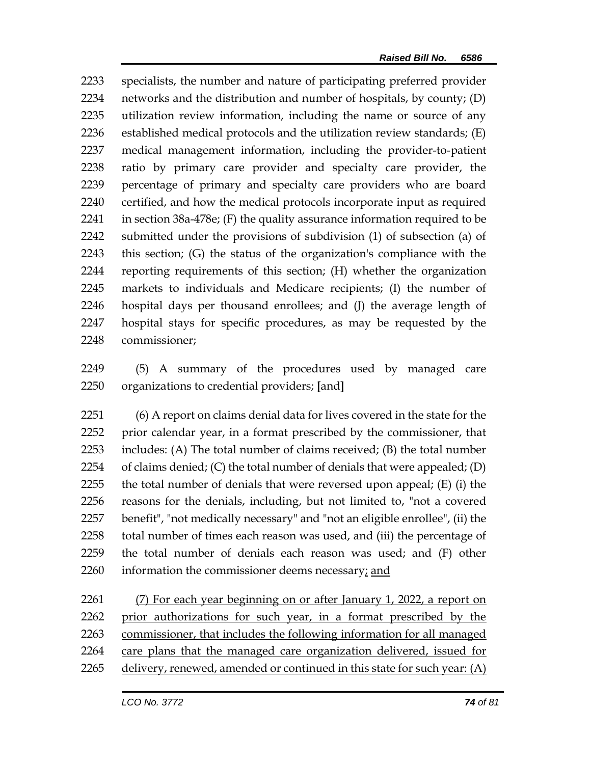specialists, the number and nature of participating preferred provider networks and the distribution and number of hospitals, by county; (D) utilization review information, including the name or source of any established medical protocols and the utilization review standards; (E) medical management information, including the provider-to-patient ratio by primary care provider and specialty care provider, the percentage of primary and specialty care providers who are board certified, and how the medical protocols incorporate input as required in section 38a-478e; (F) the quality assurance information required to be submitted under the provisions of subdivision (1) of subsection (a) of this section; (G) the status of the organization's compliance with the reporting requirements of this section; (H) whether the organization markets to individuals and Medicare recipients; (I) the number of hospital days per thousand enrollees; and (J) the average length of hospital stays for specific procedures, as may be requested by the commissioner;

 (5) A summary of the procedures used by managed care organizations to credential providers; **[**and**]**

 (6) A report on claims denial data for lives covered in the state for the prior calendar year, in a format prescribed by the commissioner, that includes: (A) The total number of claims received; (B) the total number 2254 of claims denied; (C) the total number of denials that were appealed; (D) the total number of denials that were reversed upon appeal; (E) (i) the reasons for the denials, including, but not limited to, "not a covered benefit", "not medically necessary" and "not an eligible enrollee", (ii) the 2258 total number of times each reason was used, and (iii) the percentage of the total number of denials each reason was used; and (F) other information the commissioner deems necessary; and

 (7) For each year beginning on or after January 1, 2022, a report on prior authorizations for such year, in a format prescribed by the commissioner, that includes the following information for all managed care plans that the managed care organization delivered, issued for delivery, renewed, amended or continued in this state for such year: (A)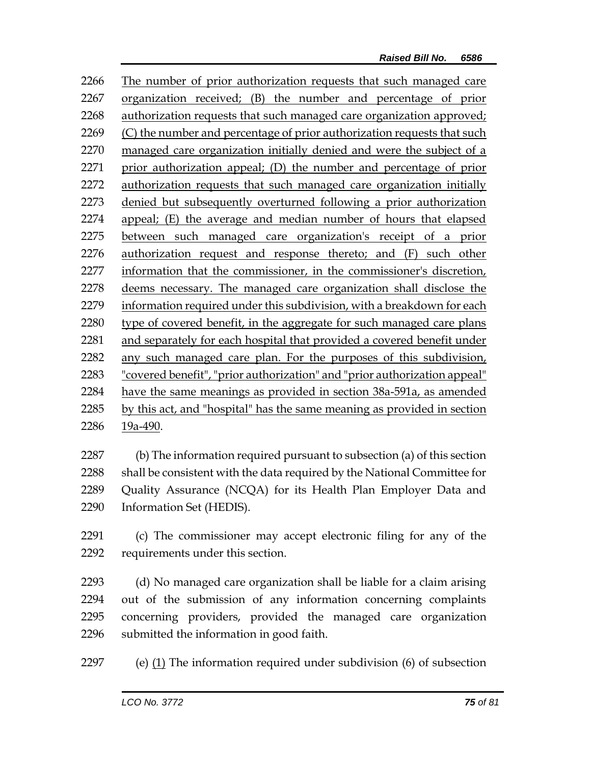The number of prior authorization requests that such managed care organization received; (B) the number and percentage of prior authorization requests that such managed care organization approved; 2269 (C) the number and percentage of prior authorization requests that such managed care organization initially denied and were the subject of a prior authorization appeal; (D) the number and percentage of prior authorization requests that such managed care organization initially denied but subsequently overturned following a prior authorization appeal; (E) the average and median number of hours that elapsed between such managed care organization's receipt of a prior 2276 authorization request and response thereto; and (F) such other information that the commissioner, in the commissioner's discretion, deems necessary. The managed care organization shall disclose the information required under this subdivision, with a breakdown for each 2280 type of covered benefit, in the aggregate for such managed care plans and separately for each hospital that provided a covered benefit under any such managed care plan. For the purposes of this subdivision, "covered benefit", "prior authorization" and "prior authorization appeal" have the same meanings as provided in section 38a-591a, as amended by this act, and "hospital" has the same meaning as provided in section 19a-490.

 (b) The information required pursuant to subsection (a) of this section shall be consistent with the data required by the National Committee for Quality Assurance (NCQA) for its Health Plan Employer Data and Information Set (HEDIS).

 (c) The commissioner may accept electronic filing for any of the requirements under this section.

 (d) No managed care organization shall be liable for a claim arising out of the submission of any information concerning complaints concerning providers, provided the managed care organization submitted the information in good faith.

(e) (1) The information required under subdivision (6) of subsection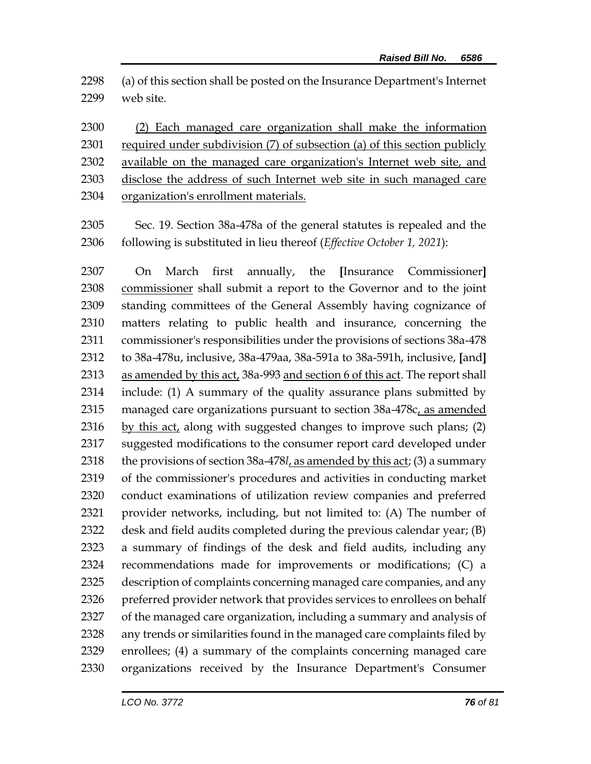(a) of this section shall be posted on the Insurance Department's Internet web site.

 (2) Each managed care organization shall make the information required under subdivision (7) of subsection (a) of this section publicly available on the managed care organization's Internet web site, and disclose the address of such Internet web site in such managed care organization's enrollment materials.

 Sec. 19. Section 38a-478a of the general statutes is repealed and the following is substituted in lieu thereof (*Effective October 1, 2021*):

 On March first annually, the **[**Insurance Commissioner**]** commissioner shall submit a report to the Governor and to the joint standing committees of the General Assembly having cognizance of matters relating to public health and insurance, concerning the commissioner's responsibilities under the provisions of sections 38a-478 to 38a-478u, inclusive, 38a-479aa, 38a-591a to 38a-591h, inclusive, **[**and**]** as amended by this act, 38a-993 and section 6 of this act. The report shall include: (1) A summary of the quality assurance plans submitted by managed care organizations pursuant to section 38a-478c, as amended by this act, along with suggested changes to improve such plans; (2) suggested modifications to the consumer report card developed under the provisions of section 38a-478*l*, as amended by this act; (3) a summary of the commissioner's procedures and activities in conducting market conduct examinations of utilization review companies and preferred provider networks, including, but not limited to: (A) The number of desk and field audits completed during the previous calendar year; (B) a summary of findings of the desk and field audits, including any recommendations made for improvements or modifications; (C) a description of complaints concerning managed care companies, and any 2326 preferred provider network that provides services to enrollees on behalf of the managed care organization, including a summary and analysis of any trends or similarities found in the managed care complaints filed by enrollees; (4) a summary of the complaints concerning managed care organizations received by the Insurance Department's Consumer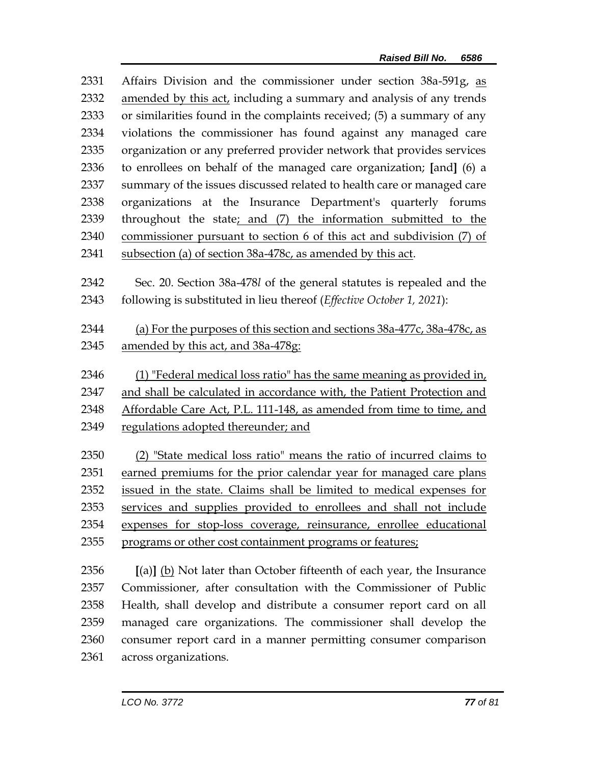| 2331 | Affairs Division and the commissioner under section 38a-591g, as         |  |  |
|------|--------------------------------------------------------------------------|--|--|
| 2332 | amended by this act, including a summary and analysis of any trends      |  |  |
| 2333 | or similarities found in the complaints received; (5) a summary of any   |  |  |
| 2334 | violations the commissioner has found against any managed care           |  |  |
| 2335 | organization or any preferred provider network that provides services    |  |  |
| 2336 | to enrollees on behalf of the managed care organization; [and] (6) a     |  |  |
| 2337 | summary of the issues discussed related to health care or managed care   |  |  |
| 2338 | organizations at the Insurance Department's quarterly forums             |  |  |
| 2339 | throughout the state; and (7) the information submitted to the           |  |  |
| 2340 | commissioner pursuant to section 6 of this act and subdivision (7) of    |  |  |
| 2341 | subsection (a) of section 38a-478c, as amended by this act.              |  |  |
|      |                                                                          |  |  |
| 2342 | Sec. 20. Section 38a-478l of the general statutes is repealed and the    |  |  |
| 2343 | following is substituted in lieu thereof (Effective October 1, 2021):    |  |  |
| 2344 | (a) For the purposes of this section and sections 38a-477c, 38a-478c, as |  |  |
| 2345 | amended by this act, and 38a-478g:                                       |  |  |
|      |                                                                          |  |  |
| 2346 | (1) "Federal medical loss ratio" has the same meaning as provided in,    |  |  |
| 2347 | and shall be calculated in accordance with, the Patient Protection and   |  |  |
| 2348 | Affordable Care Act, P.L. 111-148, as amended from time to time, and     |  |  |
| 2349 | regulations adopted thereunder; and                                      |  |  |
|      |                                                                          |  |  |
| 2350 | (2) "State medical loss ratio" means the ratio of incurred claims to     |  |  |
| 2351 | earned premiums for the prior calendar year for managed care plans       |  |  |
| 2352 | issued in the state. Claims shall be limited to medical expenses for     |  |  |
| 2353 | services and supplies provided to enrollees and shall not include        |  |  |
| 2354 | expenses for stop-loss coverage, reinsurance, enrollee educational       |  |  |
| 2355 | programs or other cost containment programs or features;                 |  |  |
| 2356 | $[(a)]$ (b) Not later than October fifteenth of each year, the Insurance |  |  |
| 2357 | Commissioner, after consultation with the Commissioner of Public         |  |  |
|      |                                                                          |  |  |

 Commissioner, after consultation with the Commissioner of Public Health, shall develop and distribute a consumer report card on all managed care organizations. The commissioner shall develop the consumer report card in a manner permitting consumer comparison across organizations.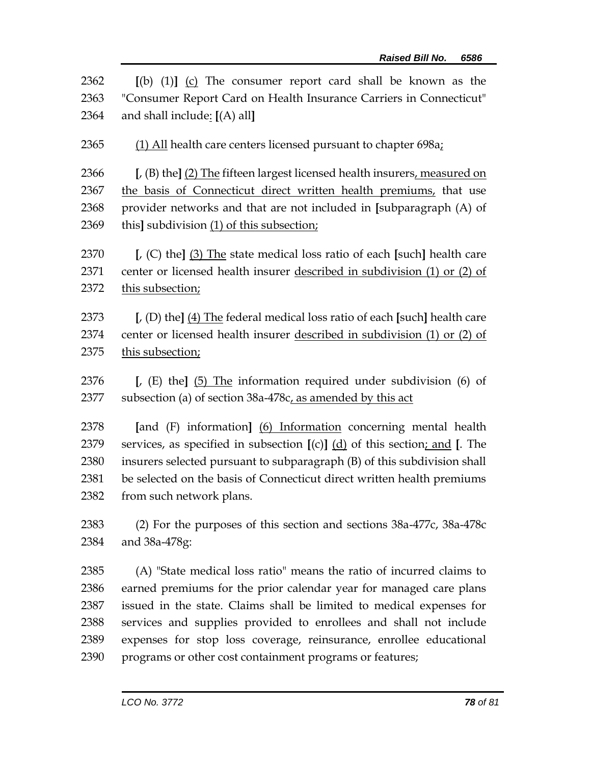| 2362 | $[(b) (1)]$ $(c)$ The consumer report card shall be known as the                               |  |  |
|------|------------------------------------------------------------------------------------------------|--|--|
| 2363 | "Consumer Report Card on Health Insurance Carriers in Connecticut"                             |  |  |
| 2364 | and shall include: [(A) all]                                                                   |  |  |
| 2365 | (1) All health care centers licensed pursuant to chapter 698a;                                 |  |  |
| 2366 | $\left[$ , (B) the] $\left(2\right)$ The fifteen largest licensed health insurers, measured on |  |  |
| 2367 | the basis of Connecticut direct written health premiums, that use                              |  |  |
| 2368 | provider networks and that are not included in [subparagraph (A) of                            |  |  |
| 2369 | this] subdivision (1) of this subsection;                                                      |  |  |
| 2370 | [, (C) the] $(3)$ The state medical loss ratio of each [such] health care                      |  |  |
| 2371 | center or licensed health insurer described in subdivision (1) or (2) of                       |  |  |
| 2372 | this subsection;                                                                               |  |  |
| 2373 | $\left[$ , (D) the] (4) The federal medical loss ratio of each [such] health care              |  |  |
| 2374 | center or licensed health insurer described in subdivision (1) or (2) of                       |  |  |
| 2375 | this subsection;                                                                               |  |  |
| 2376 | [ $\mu$ (E) the] (5) The information required under subdivision (6) of                         |  |  |
| 2377 | subsection (a) of section 38a-478c, as amended by this act                                     |  |  |
| 2378 | [and (F) information] (6) Information concerning mental health                                 |  |  |
| 2379 | services, as specified in subsection $[(c)]$ $(d)$ of this section; and [. The                 |  |  |
| 2380 | insurers selected pursuant to subparagraph (B) of this subdivision shall                       |  |  |
| 2381 | be selected on the basis of Connecticut direct written health premiums                         |  |  |
| 2382 | from such network plans.                                                                       |  |  |
| 2383 | (2) For the purposes of this section and sections $38a-477c$ , $38a-478c$                      |  |  |
| 2384 | and 38a-478g:                                                                                  |  |  |
| 2385 | (A) "State medical loss ratio" means the ratio of incurred claims to                           |  |  |
| 2386 | earned premiums for the prior calendar year for managed care plans                             |  |  |
| 2387 | issued in the state. Claims shall be limited to medical expenses for                           |  |  |
| 2388 | services and supplies provided to enrollees and shall not include                              |  |  |
| 2389 | expenses for stop loss coverage, reinsurance, enrollee educational                             |  |  |
| 2390 | programs or other cost containment programs or features;                                       |  |  |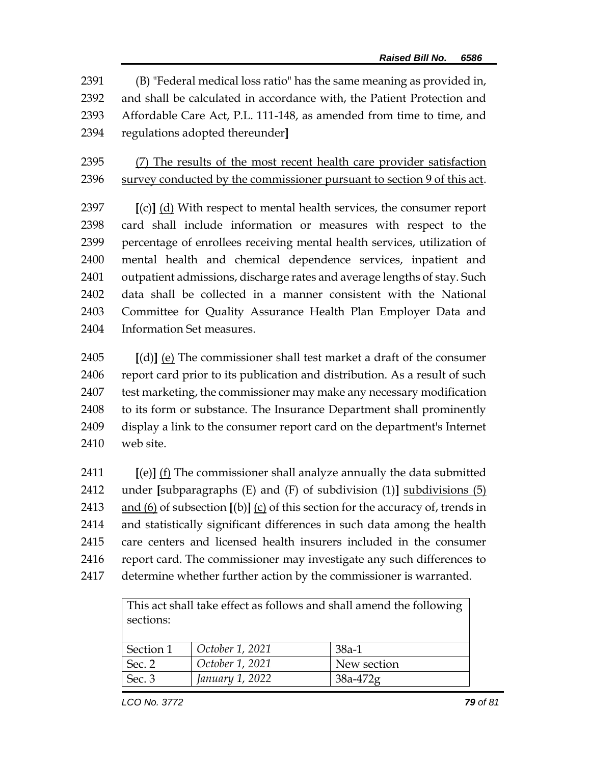(B) "Federal medical loss ratio" has the same meaning as provided in, and shall be calculated in accordance with, the Patient Protection and Affordable Care Act, P.L. 111-148, as amended from time to time, and regulations adopted thereunder**]**

 (7) The results of the most recent health care provider satisfaction survey conducted by the commissioner pursuant to section 9 of this act.

 **[**(c)**]** (d) With respect to mental health services, the consumer report card shall include information or measures with respect to the percentage of enrollees receiving mental health services, utilization of mental health and chemical dependence services, inpatient and outpatient admissions, discharge rates and average lengths of stay. Such data shall be collected in a manner consistent with the National Committee for Quality Assurance Health Plan Employer Data and Information Set measures.

 **[**(d)**]** (e) The commissioner shall test market a draft of the consumer report card prior to its publication and distribution. As a result of such test marketing, the commissioner may make any necessary modification to its form or substance. The Insurance Department shall prominently display a link to the consumer report card on the department's Internet web site.

 **[**(e)**]** (f) The commissioner shall analyze annually the data submitted under **[**subparagraphs (E) and (F) of subdivision (1)**]** subdivisions (5) and (6) of subsection **[**(b)**]** (c) of this section for the accuracy of, trends in and statistically significant differences in such data among the health care centers and licensed health insurers included in the consumer report card. The commissioner may investigate any such differences to determine whether further action by the commissioner is warranted.

> This act shall take effect as follows and shall amend the following sections:

| Section 1 | October 1, 2021 | 38a-1       |
|-----------|-----------------|-------------|
| Sec. 2    | October 1, 2021 | New section |
| Sec. 3    | January 1, 2022 | $38a-472g$  |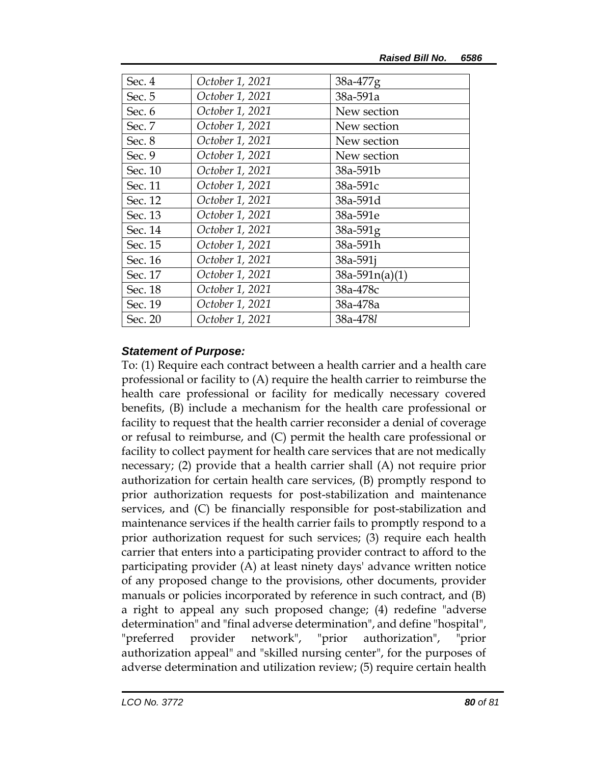| Sec. 4  | October 1, 2021 | $38a-477g$       |
|---------|-----------------|------------------|
| Sec. 5  | October 1, 2021 | 38a-591a         |
| Sec. 6  | October 1, 2021 | New section      |
| Sec. 7  | October 1, 2021 | New section      |
| Sec. 8  | October 1, 2021 | New section      |
| Sec. 9  | October 1, 2021 | New section      |
| Sec. 10 | October 1, 2021 | 38a-591b         |
| Sec. 11 | October 1, 2021 | 38a-591c         |
| Sec. 12 | October 1, 2021 | 38a-591d         |
| Sec. 13 | October 1, 2021 | 38a-591e         |
| Sec. 14 | October 1, 2021 | 38a-591g         |
| Sec. 15 | October 1, 2021 | 38a-591h         |
| Sec. 16 | October 1, 2021 | 38a-591i         |
| Sec. 17 | October 1, 2021 | $38a-591n(a)(1)$ |
| Sec. 18 | October 1, 2021 | 38a-478c         |
| Sec. 19 | October 1, 2021 | 38a-478a         |
| Sec. 20 | October 1, 2021 | 38a-478l         |

## *Statement of Purpose:*

To: (1) Require each contract between a health carrier and a health care professional or facility to (A) require the health carrier to reimburse the health care professional or facility for medically necessary covered benefits, (B) include a mechanism for the health care professional or facility to request that the health carrier reconsider a denial of coverage or refusal to reimburse, and (C) permit the health care professional or facility to collect payment for health care services that are not medically necessary; (2) provide that a health carrier shall (A) not require prior authorization for certain health care services, (B) promptly respond to prior authorization requests for post-stabilization and maintenance services, and (C) be financially responsible for post-stabilization and maintenance services if the health carrier fails to promptly respond to a prior authorization request for such services; (3) require each health carrier that enters into a participating provider contract to afford to the participating provider (A) at least ninety days' advance written notice of any proposed change to the provisions, other documents, provider manuals or policies incorporated by reference in such contract, and (B) a right to appeal any such proposed change; (4) redefine "adverse determination" and "final adverse determination", and define "hospital", "preferred provider network", "prior authorization", "prior authorization appeal" and "skilled nursing center", for the purposes of adverse determination and utilization review; (5) require certain health